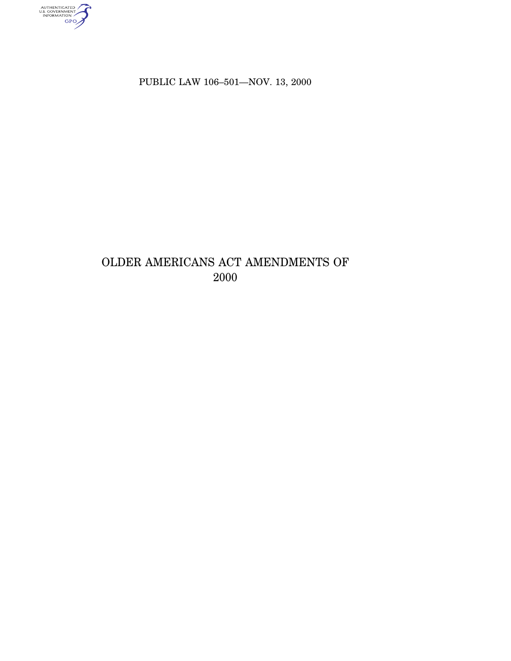authenticated<br>u.s. government<br>information<br>GPO

PUBLIC LAW 106–501—NOV. 13, 2000

# OLDER AMERICANS ACT AMENDMENTS OF 2000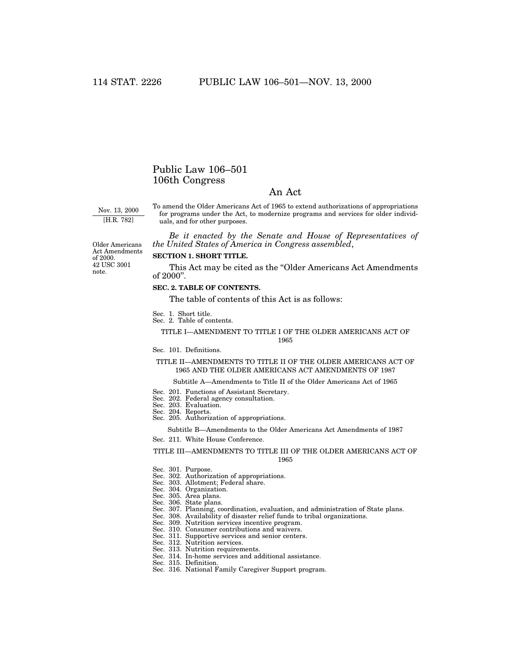# Public Law 106–501 106th Congress

# An Act

Nov. 13, 2000 [H.R. 782]

To amend the Older Americans Act of 1965 to extend authorizations of appropriations for programs under the Act, to modernize programs and services for older individuals, and for other purposes.

*Be it enacted by the Senate and House of Representatives of the United States of America in Congress assembled*,

42 USC 3001 note. Older Americans Act Amendments of 2000.

## **SECTION 1. SHORT TITLE.**

This Act may be cited as the ''Older Americans Act Amendments of 2000''.

# **SEC. 2. TABLE OF CONTENTS.**

The table of contents of this Act is as follows:

# Sec. 1. Short title. Sec. 2. Table of contents.

### TITLE I—AMENDMENT TO TITLE I OF THE OLDER AMERICANS ACT OF 1965

# Sec. 101. Definitions.

### TITLE II—AMENDMENTS TO TITLE II OF THE OLDER AMERICANS ACT OF 1965 AND THE OLDER AMERICANS ACT AMENDMENTS OF 1987

Subtitle A—Amendments to Title II of the Older Americans Act of 1965

- Sec. 201. Functions of Assistant Secretary.
- Sec. 202. Federal agency consultation.
- Sec. 203. Evaluation.
- Sec. 204. Reports.
- Sec. 205. Authorization of appropriations.

### Subtitle B—Amendments to the Older Americans Act Amendments of 1987

Sec. 211. White House Conference.

### TITLE III—AMENDMENTS TO TITLE III OF THE OLDER AMERICANS ACT OF 1965

- 
- Sec. 301. Purpose. Sec. 302. Authorization of appropriations.
- Sec. 303. Allotment; Federal share.
- Sec. 304. Organization.
- Sec. 305. Area plans.
- Sec. 306. State plans.
- Sec. 307. Planning, coordination, evaluation, and administration of State plans.
- Sec. 308. Availability of disaster relief funds to tribal organizations.
- Sec. 309. Nutrition services incentive program. Sec. 310. Consumer contributions and waivers.
- Sec. 311. Supportive services and senior centers.
- 
- Sec. 312. Nutrition services.
- Sec. 313. Nutrition requirements. Sec. 314. In-home services and additional assistance.
- Sec. 315. Definition.
- Sec. 316. National Family Caregiver Support program.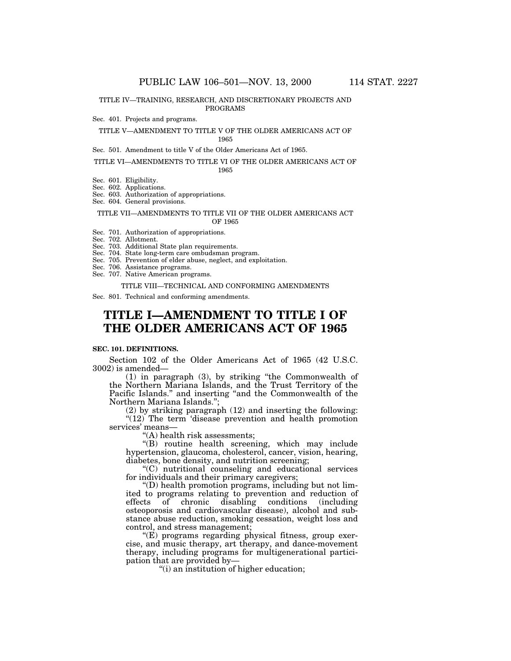### TITLE IV—TRAINING, RESEARCH, AND DISCRETIONARY PROJECTS AND PROGRAMS

Sec. 401. Projects and programs.

## TITLE V—AMENDMENT TO TITLE V OF THE OLDER AMERICANS ACT OF 1965

Sec. 501. Amendment to title V of the Older Americans Act of 1965.

### TITLE VI—AMENDMENTS TO TITLE VI OF THE OLDER AMERICANS ACT OF

1965

Sec. 601. Eligibility.

- Sec. 602. Applications.
- Sec. 603. Authorization of appropriations.
- Sec. 604. General provisions.

### TITLE VII—AMENDMENTS TO TITLE VII OF THE OLDER AMERICANS ACT OF 1965

- Sec. 701. Authorization of appropriations.
- Sec. 702. Allotment.
- Sec. 703. Additional State plan requirements.
- Sec. 704. State long-term care ombudsman program.
- Sec. 705. Prevention of elder abuse, neglect, and exploitation.
- Sec. 706. Assistance programs.
- Sec. 707. Native American programs.

TITLE VIII—TECHNICAL AND CONFORMING AMENDMENTS

Sec. 801. Technical and conforming amendments.

# **TITLE I—AMENDMENT TO TITLE I OF THE OLDER AMERICANS ACT OF 1965**

### **SEC. 101. DEFINITIONS.**

Section 102 of the Older Americans Act of 1965 (42 U.S.C. 3002) is amended—

(1) in paragraph (3), by striking ''the Commonwealth of the Northern Mariana Islands, and the Trust Territory of the Pacific Islands.'' and inserting ''and the Commonwealth of the Northern Mariana Islands.'';

(2) by striking paragraph (12) and inserting the following: "(12) The term 'disease prevention and health promotion services' means—

 $f(A)$  health risk assessments;

"(B) routine health screening, which may include hypertension, glaucoma, cholesterol, cancer, vision, hearing, diabetes, bone density, and nutrition screening;

''(C) nutritional counseling and educational services for individuals and their primary caregivers;

''(D) health promotion programs, including but not limited to programs relating to prevention and reduction of effects of chronic disabling conditions (including osteoporosis and cardiovascular disease), alcohol and substance abuse reduction, smoking cessation, weight loss and control, and stress management;

''(E) programs regarding physical fitness, group exercise, and music therapy, art therapy, and dance-movement therapy, including programs for multigenerational participation that are provided by—

''(i) an institution of higher education;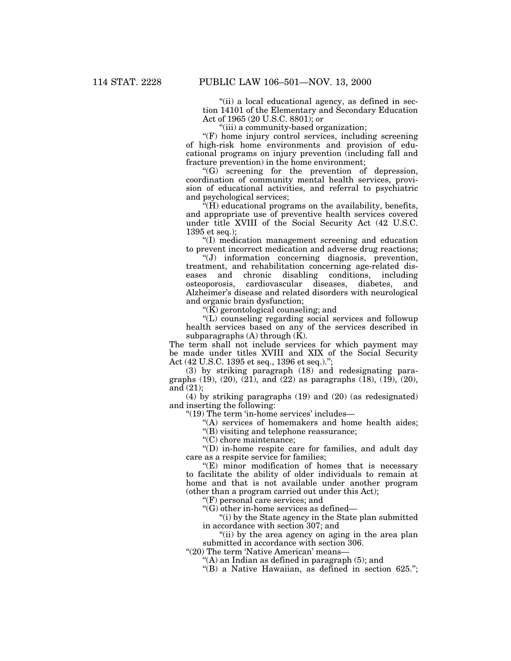"(ii) a local educational agency, as defined in section 14101 of the Elementary and Secondary Education Act of 1965 (20 U.S.C. 8801); or

''(iii) a community-based organization;

"(F) home injury control services, including screening of high-risk home environments and provision of educational programs on injury prevention (including fall and fracture prevention) in the home environment;

''(G) screening for the prevention of depression, coordination of community mental health services, provision of educational activities, and referral to psychiatric and psychological services;

 $\mathbf{H}^{\mathsf{r}}(\mathbf{H})$  educational programs on the availability, benefits, and appropriate use of preventive health services covered under title XVIII of the Social Security Act (42 U.S.C. 1395 et seq.);

''(I) medication management screening and education to prevent incorrect medication and adverse drug reactions;

''(J) information concerning diagnosis, prevention, treatment, and rehabilitation concerning age-related diseases and chronic disabling conditions, including osteoporosis, cardiovascular diseases, diabetes, and Alzheimer's disease and related disorders with neurological and organic brain dysfunction;

" $(K)$  gerontological counseling; and

''(L) counseling regarding social services and followup health services based on any of the services described in subparagraphs (A) through (K).

The term shall not include services for which payment may be made under titles XVIII and XIX of the Social Security Act (42 U.S.C. 1395 et seq., 1396 et seq.).'';

(3) by striking paragraph (18) and redesignating paragraphs (19), (20), (21), and (22) as paragraphs (18), (19), (20), and (21);

(4) by striking paragraphs (19) and (20) (as redesignated) and inserting the following:

''(19) The term 'in-home services' includes—

''(A) services of homemakers and home health aides;

''(B) visiting and telephone reassurance;

''(C) chore maintenance;

''(D) in-home respite care for families, and adult day care as a respite service for families;

 $f(E)$  minor modification of homes that is necessary to facilitate the ability of older individuals to remain at home and that is not available under another program (other than a program carried out under this Act);

''(F) personal care services; and

''(G) other in-home services as defined—

''(i) by the State agency in the State plan submitted in accordance with section 307; and

"(ii) by the area agency on aging in the area plan submitted in accordance with section 306.

"(20) The term 'Native American' means-

''(A) an Indian as defined in paragraph (5); and

''(B) a Native Hawaiian, as defined in section 625.'';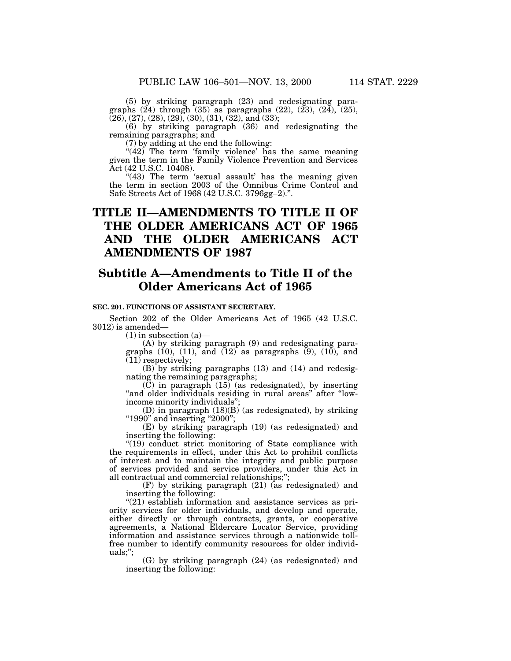(5) by striking paragraph (23) and redesignating paragraphs (24) through (35) as paragraphs (22), (23), (24), (25),  $(26), (27), (28), (29), (30), (31), (32), \text{and}$   $(33);$ 

(6) by striking paragraph (36) and redesignating the remaining paragraphs; and

(7) by adding at the end the following:

 $*(42)$  The term 'family violence' has the same meaning given the term in the Family Violence Prevention and Services Act (42 U.S.C. 10408).

"(43) The term 'sexual assault' has the meaning given the term in section 2003 of the Omnibus Crime Control and Safe Streets Act of 1968 (42 U.S.C. 3796gg–2).''.

# **TITLE II—AMENDMENTS TO TITLE II OF THE OLDER AMERICANS ACT OF 1965 AND THE OLDER AMERICANS ACT AMENDMENTS OF 1987**

# **Subtitle A—Amendments to Title II of the Older Americans Act of 1965**

# **SEC. 201. FUNCTIONS OF ASSISTANT SECRETARY.**

Section 202 of the Older Americans Act of 1965 (42 U.S.C. 3012) is amended—

 $(1)$  in subsection  $(a)$ —

(A) by striking paragraph (9) and redesignating paragraphs (10), (11), and (12) as paragraphs  $(9)$ , (10), and (11) respectively;

(B) by striking paragraphs (13) and (14) and redesignating the remaining paragraphs;<br>(C) in paragraph (15) (as redesignated), by inserting

" and older individuals residing in rural areas" after "lowincome minority individuals'';

(D) in paragraph (18)(B) (as redesignated), by striking "1990" and inserting "2000";

(E) by striking paragraph (19) (as redesignated) and inserting the following:

''(19) conduct strict monitoring of State compliance with the requirements in effect, under this Act to prohibit conflicts of interest and to maintain the integrity and public purpose of services provided and service providers, under this Act in all contractual and commercial relationships;'';

(F) by striking paragraph (21) (as redesignated) and inserting the following:

 $''(21)$  establish information and assistance services as priority services for older individuals, and develop and operate, either directly or through contracts, grants, or cooperative agreements, a National Eldercare Locator Service, providing information and assistance services through a nationwide tollfree number to identify community resources for older individuals;'';

(G) by striking paragraph (24) (as redesignated) and inserting the following: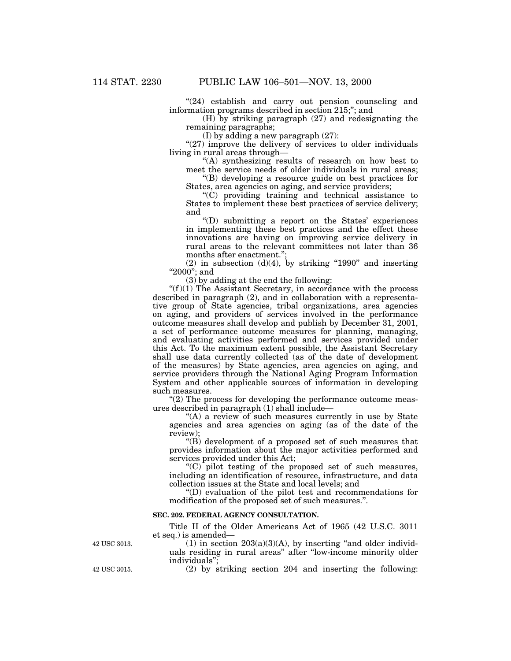"(24) establish and carry out pension counseling and information programs described in section 215;''; and

(H) by striking paragraph (27) and redesignating the remaining paragraphs;

(I) by adding a new paragraph (27):

 $\degree$ (27) improve the delivery of services to older individuals living in rural areas through—

"(A) synthesizing results of research on how best to meet the service needs of older individuals in rural areas;

''(B) developing a resource guide on best practices for States, area agencies on aging, and service providers;

''(C) providing training and technical assistance to States to implement these best practices of service delivery; and

''(D) submitting a report on the States' experiences in implementing these best practices and the effect these innovations are having on improving service delivery in rural areas to the relevant committees not later than 36 months after enactment.'';

(2) in subsection  $(d)(4)$ , by striking "1990" and inserting "2000"; and

(3) by adding at the end the following:

 $f'(f)(1)$  The Assistant Secretary, in accordance with the process described in paragraph (2), and in collaboration with a representative group of State agencies, tribal organizations, area agencies on aging, and providers of services involved in the performance outcome measures shall develop and publish by December 31, 2001, a set of performance outcome measures for planning, managing, and evaluating activities performed and services provided under this Act. To the maximum extent possible, the Assistant Secretary shall use data currently collected (as of the date of development of the measures) by State agencies, area agencies on aging, and service providers through the National Aging Program Information System and other applicable sources of information in developing such measures.

" $(2)$  The process for developing the performance outcome measures described in paragraph (1) shall include—

"(A) a review of such measures currently in use by State agencies and area agencies on aging (as of the date of the review);

''(B) development of a proposed set of such measures that provides information about the major activities performed and services provided under this Act;

''(C) pilot testing of the proposed set of such measures, including an identification of resource, infrastructure, and data collection issues at the State and local levels; and

''(D) evaluation of the pilot test and recommendations for modification of the proposed set of such measures.''.

### **SEC. 202. FEDERAL AGENCY CONSULTATION.**

Title II of the Older Americans Act of 1965 (42 U.S.C. 3011 et seq.) is amended—

 $(1)$  in section  $203(a)(3)(A)$ , by inserting "and older individuals residing in rural areas'' after ''low-income minority older individuals'';

42 USC 3013.

42 USC 3015. (2) by striking section 204 and inserting the following: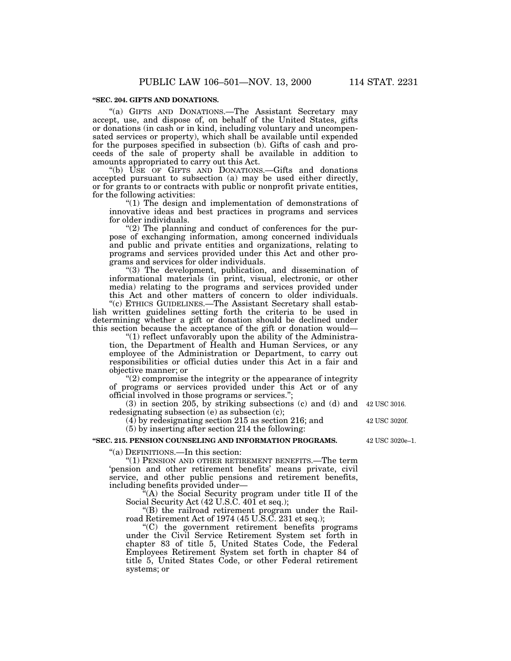## **''SEC. 204. GIFTS AND DONATIONS.**

''(a) GIFTS AND DONATIONS.—The Assistant Secretary may accept, use, and dispose of, on behalf of the United States, gifts or donations (in cash or in kind, including voluntary and uncompensated services or property), which shall be available until expended for the purposes specified in subsection (b). Gifts of cash and proceeds of the sale of property shall be available in addition to amounts appropriated to carry out this Act.

''(b) USE OF GIFTS AND DONATIONS.—Gifts and donations accepted pursuant to subsection (a) may be used either directly, or for grants to or contracts with public or nonprofit private entities, for the following activities:

''(1) The design and implementation of demonstrations of innovative ideas and best practices in programs and services for older individuals.

 $(2)$  The planning and conduct of conferences for the purpose of exchanging information, among concerned individuals and public and private entities and organizations, relating to programs and services provided under this Act and other programs and services for older individuals.

''(3) The development, publication, and dissemination of informational materials (in print, visual, electronic, or other media) relating to the programs and services provided under this Act and other matters of concern to older individuals.

''(c) ETHICS GUIDELINES.—The Assistant Secretary shall establish written guidelines setting forth the criteria to be used in determining whether a gift or donation should be declined under this section because the acceptance of the gift or donation would—

''(1) reflect unfavorably upon the ability of the Administration, the Department of Health and Human Services, or any employee of the Administration or Department, to carry out responsibilities or official duties under this Act in a fair and objective manner; or

''(2) compromise the integrity or the appearance of integrity of programs or services provided under this Act or of any official involved in those programs or services.'';

(3) in section 205, by striking subsections (c) and (d) and 42 USC 3016. redesignating subsection (e) as subsection (c);

(4) by redesignating section 215 as section 216; and (5) by inserting after section 214 the following:

# **''SEC. 215. PENSION COUNSELING AND INFORMATION PROGRAMS.**

''(a) DEFINITIONS.—In this section:

"(1) PENSION AND OTHER RETIREMENT BENEFITS.—The term 'pension and other retirement benefits' means private, civil service, and other public pensions and retirement benefits, including benefits provided under—

''(A) the Social Security program under title II of the Social Security Act (42 U.S.C. 401 et seq.);

"(B) the railroad retirement program under the Railroad Retirement Act of  $1974$  (45 U.S.C. 231 et seq.);

 $C$  the government retirement benefits programs under the Civil Service Retirement System set forth in chapter 83 of title 5, United States Code, the Federal Employees Retirement System set forth in chapter 84 of title 5, United States Code, or other Federal retirement systems; or

42 USC 3020f.

42 USC 3020e–1.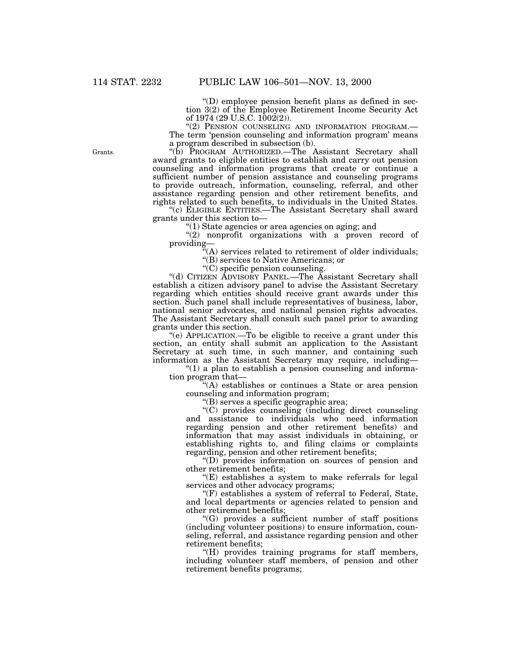''(D) employee pension benefit plans as defined in section 3(2) of the Employee Retirement Income Security Act

of 1974 (29 U.S.C. 1002(2)).<br>
"(2) PENSION COUNSELING AND INFORMATION PROGRAM.— The term 'pension counseling and information program' means a program described in subsection (b).

''(b) PROGRAM AUTHORIZED.—The Assistant Secretary shall award grants to eligible entities to establish and carry out pension counseling and information programs that create or continue a sufficient number of pension assistance and counseling programs to provide outreach, information, counseling, referral, and other assistance regarding pension and other retirement benefits, and rights related to such benefits, to individuals in the United States. ''(c) ELIGIBLE ENTITIES.—The Assistant Secretary shall award

grants under this section to—<br>"(1) State agencies or area agencies on aging; and

"(2) nonprofit organizations with a proven record of providing—

 $\mathbb{F}(A)$  services related to retirement of older individuals;

"(B) services to Native Americans; or "(C) specific pension counseling.

"(d) CITIZEN ADVISORY PANEL.—The Assistant Secretary shall establish a citizen advisory panel to advise the Assistant Secretary regarding which entities should receive grant awards under this section. Such panel shall include representatives of business, labor, national senior advocates, and national pension rights advocates. The Assistant Secretary shall consult such panel prior to awarding grants under this section.

''(e) APPLICATION.—To be eligible to receive a grant under this section, an entity shall submit an application to the Assistant Secretary at such time, in such manner, and containing such information as the Assistant Secretary may require, including—

 $(1)$  a plan to establish a pension counseling and information program that—

''(A) establishes or continues a State or area pension counseling and information program;

''(B) serves a specific geographic area;

''(C) provides counseling (including direct counseling and assistance to individuals who need information regarding pension and other retirement benefits) and information that may assist individuals in obtaining, or establishing rights to, and filing claims or complaints regarding, pension and other retirement benefits;

''(D) provides information on sources of pension and other retirement benefits;

''(E) establishes a system to make referrals for legal services and other advocacy programs;

 $(F)$  establishes a system of referral to Federal, State, and local departments or agencies related to pension and other retirement benefits;

''(G) provides a sufficient number of staff positions (including volunteer positions) to ensure information, counseling, referral, and assistance regarding pension and other retirement benefits;

''(H) provides training programs for staff members, including volunteer staff members, of pension and other retirement benefits programs;

Grants.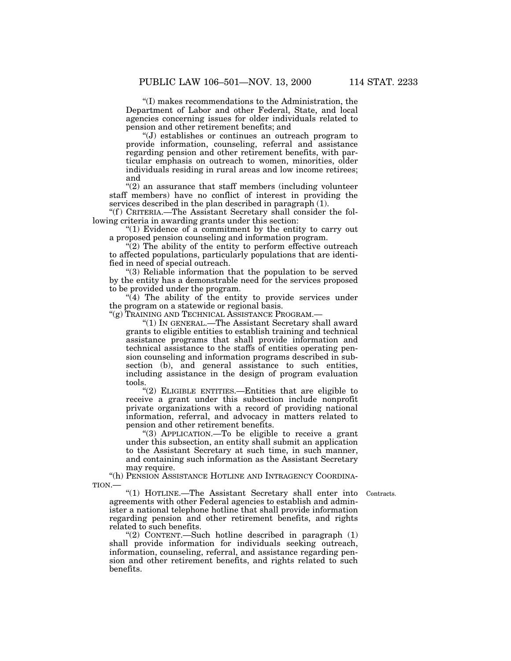''(I) makes recommendations to the Administration, the Department of Labor and other Federal, State, and local agencies concerning issues for older individuals related to pension and other retirement benefits; and

''(J) establishes or continues an outreach program to provide information, counseling, referral and assistance regarding pension and other retirement benefits, with particular emphasis on outreach to women, minorities, older individuals residing in rural areas and low income retirees; and

 $"(2)$  an assurance that staff members (including volunteer staff members) have no conflict of interest in providing the services described in the plan described in paragraph (1).

"(f) CRITERIA.—The Assistant Secretary shall consider the following criteria in awarding grants under this section:

" $(1)$  Evidence of a commitment by the entity to carry out a proposed pension counseling and information program.

 $\sqrt{\ }$ (2) The ability of the entity to perform effective outreach to affected populations, particularly populations that are identified in need of special outreach.

''(3) Reliable information that the population to be served by the entity has a demonstrable need for the services proposed to be provided under the program.

 $\sqrt[4]{(4)}$  The ability of the entity to provide services under the program on a statewide or regional basis.

''(g) TRAINING AND TECHNICAL ASSISTANCE PROGRAM.—

''(1) IN GENERAL.—The Assistant Secretary shall award grants to eligible entities to establish training and technical assistance programs that shall provide information and technical assistance to the staffs of entities operating pension counseling and information programs described in subsection (b), and general assistance to such entities, including assistance in the design of program evaluation tools.

"(2) ELIGIBLE ENTITIES.—Entities that are eligible to receive a grant under this subsection include nonprofit private organizations with a record of providing national information, referral, and advocacy in matters related to pension and other retirement benefits.

''(3) APPLICATION.—To be eligible to receive a grant under this subsection, an entity shall submit an application to the Assistant Secretary at such time, in such manner, and containing such information as the Assistant Secretary may require.

''(h) PENSION ASSISTANCE HOTLINE AND INTRAGENCY COORDINA-TION.—

Contracts.

''(1) HOTLINE.—The Assistant Secretary shall enter into agreements with other Federal agencies to establish and administer a national telephone hotline that shall provide information regarding pension and other retirement benefits, and rights related to such benefits.

"(2) CONTENT.—Such hotline described in paragraph  $(1)$ shall provide information for individuals seeking outreach, information, counseling, referral, and assistance regarding pension and other retirement benefits, and rights related to such benefits.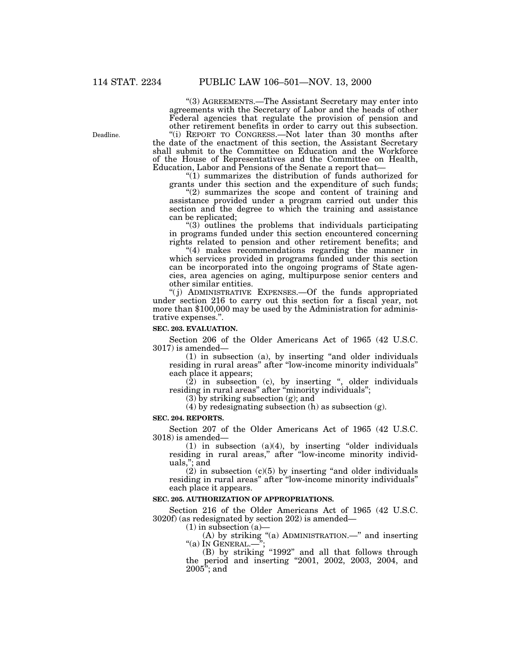''(3) AGREEMENTS.—The Assistant Secretary may enter into agreements with the Secretary of Labor and the heads of other Federal agencies that regulate the provision of pension and other retirement benefits in order to carry out this subsection.

''(i) REPORT TO CONGRESS.—Not later than 30 months after the date of the enactment of this section, the Assistant Secretary shall submit to the Committee on Education and the Workforce of the House of Representatives and the Committee on Health,

Education, Labor and Pensions of the Senate a report that—<br>
"(1) summarizes the distribution of funds authorized for<br>
grants under this section and the expenditure of such funds;

" $(2)$  summarizes the scope and content of training and assistance provided under a program carried out under this section and the degree to which the training and assistance can be replicated;<br>"(3) outlines the problems that individuals participating

in programs funded under this section encountered concerning rights related to pension and other retirement benefits; and

"(4) makes recommendations regarding the manner in which services provided in programs funded under this section can be incorporated into the ongoing programs of State agencies, area agencies on aging, multipurpose senior centers and other similar entities.

''( j) ADMINISTRATIVE EXPENSES.—Of the funds appropriated under section 216 to carry out this section for a fiscal year, not more than \$100,000 may be used by the Administration for administrative expenses.''.

## **SEC. 203. EVALUATION.**

Section 206 of the Older Americans Act of 1965 (42 U.S.C. 3017) is amended—

(1) in subsection (a), by inserting ''and older individuals residing in rural areas'' after ''low-income minority individuals'' each place it appears;

 $(2)$  in subsection (c), by inserting ", older individuals residing in rural areas" after "minority individuals";

(3) by striking subsection (g); and

(4) by redesignating subsection (h) as subsection (g).

### **SEC. 204. REPORTS.**

Section 207 of the Older Americans Act of 1965 (42 U.S.C.

3018) is amended— (1) in subsection (a)(4), by inserting ''older individuals residing in rural areas," after "low-income minority individuals,''; and

 $(2)$  in subsection  $(c)(5)$  by inserting "and older individuals" residing in rural areas'' after ''low-income minority individuals'' each place it appears.

#### **SEC. 205. AUTHORIZATION OF APPROPRIATIONS.**

Section 216 of the Older Americans Act of 1965 (42 U.S.C. 3020f) (as redesignated by section 202) is amended— (1) in subsection (a)—

(A) by striking "(a) ADMINISTRATION.—" and inserting  $N_{N}$  GENERAL  $"$ (a) In GENERAL. $-$ 

(B) by striking ''1992'' and all that follows through the period and inserting ''2001, 2002, 2003, 2004, and  $2005\overset{_{\textit{\tiny\textbf{?}}}}{_{\textit{\tiny\textbf{?}}}}$  and

Deadline.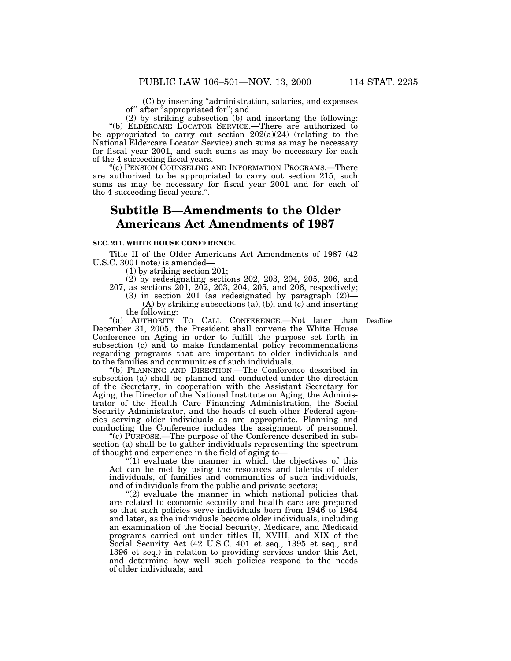(C) by inserting ''administration, salaries, and expenses of'' after ''appropriated for''; and

(2) by striking subsection (b) and inserting the following: ''(b) ELDERCARE LOCATOR SERVICE.—There are authorized to be appropriated to carry out section  $202(a)(24)$  (relating to the National Eldercare Locator Service) such sums as may be necessary for fiscal year 2001, and such sums as may be necessary for each

"(c) PENSION COUNSELING AND INFORMATION PROGRAMS.—There are authorized to be appropriated to carry out section 215, such sums as may be necessary for fiscal year 2001 and for each of the 4 succeeding fiscal years.''.

# **Subtitle B—Amendments to the Older Americans Act Amendments of 1987**

### **SEC. 211. WHITE HOUSE CONFERENCE.**

Title II of the Older Americans Act Amendments of 1987 (42 U.S.C. 3001 note) is amended—

 $(1)$  by striking section 201;

(2) by redesignating sections 202, 203, 204, 205, 206, and 207, as sections 201, 202, 203, 204, 205, and 206, respectively;

(3) in section 201 (as redesignated by paragraph  $(2)$ —<br>(A) by striking subsections (a), (b), and (c) and inserting<br>the following:

the following: ''(a) AUTHORITY TO CALL CONFERENCE.—Not later than Deadline. December 31, 2005, the President shall convene the White House Conference on Aging in order to fulfill the purpose set forth in subsection (c) and to make fundamental policy recommendations regarding programs that are important to older individuals and to the families and communities of such individuals. to the families and communities of such individuals. ''(b) PLANNING AND DIRECTION.—The Conference described in

subsection (a) shall be planned and conducted under the direction of the Secretary, in cooperation with the Assistant Secretary for Aging, the Director of the National Institute on Aging, the Administrator of the Health Care Financing Administration, the Social Security Administrator, and the heads of such other Federal agencies serving older individuals as are appropriate. Planning and conducting the Conference includes the assignment of personnel. ''(c) PURPOSE.—The purpose of the Conference described in sub-

section (a) shall be to gather individuals representing the spectrum of thought and experience in the field of aging to—

" $(1)$  evaluate the manner in which the objectives of this Act can be met by using the resources and talents of older individuals, of families and communities of such individuals,

" $(2)$  evaluate the manner in which national policies that are related to economic security and health care are prepared so that such policies serve individuals born from 1946 to 1964 and later, as the individuals become older individuals, including an examination of the Social Security, Medicare, and Medicaid programs carried out under titles II, XVIII, and XIX of the Social Security Act (42 U.S.C. 401 et seq., 1395 et seq., and 1396 et seq.) in relation to providing services under this Act, and determine how well such policies respond to the needs of older individuals; and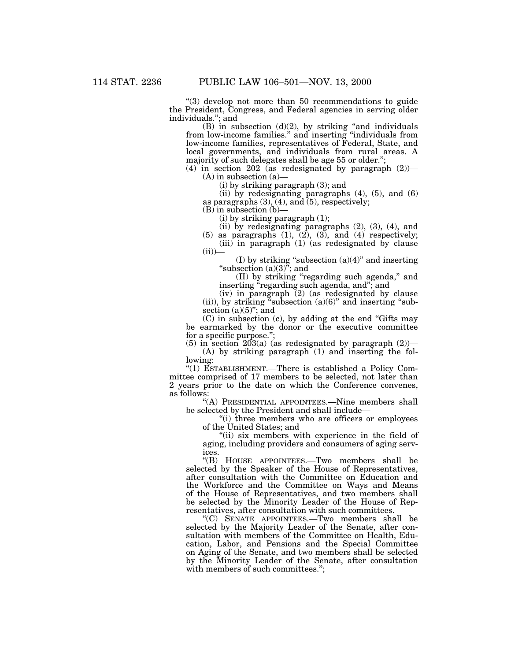''(3) develop not more than 50 recommendations to guide the President, Congress, and Federal agencies in serving older individuals.''; and

 $(B)$  in subsection  $(d)(2)$ , by striking "and individuals from low-income families.'' and inserting ''individuals from low-income families, representatives of Federal, State, and local governments, and individuals from rural areas. A majority of such delegates shall be age 55 or older.'';

(4) in section 202 (as redesignated by paragraph  $(2)$ )—  $(A)$  in subsection  $(a)$ —

(i) by striking paragraph (3); and

(ii) by redesignating paragraphs (4), (5), and (6) as paragraphs  $(3)$ ,  $(4)$ , and  $(5)$ , respectively;

(B) in subsection (b)—

(i) by striking paragraph (1);

(ii) by redesignating paragraphs (2), (3), (4), and

 $(5)$  as paragraphs  $(1)$ ,  $(2)$ ,  $(3)$ , and  $(4)$  respectively;  $(iii)$  in paragraph  $(1)$  (as redesignated by clause

 $(ii)$ )—

(I) by striking "subsection  $(a)(4)$ " and inserting "subsection  $(a)(3)$ "; and

(II) by striking ''regarding such agenda,'' and inserting ''regarding such agenda, and''; and

(iv) in paragraph (2) (as redesignated by clause (ii)), by striking "subsection  $(a)(6)$ " and inserting "subsection  $(a)(5)$ "; and

(C) in subsection (c), by adding at the end ''Gifts may be earmarked by the donor or the executive committee for a specific purpose.'';

(5) in section  $20\overline{3}$ (a) (as redesignated by paragraph (2))— (A) by striking paragraph (1) and inserting the following:

"(1) ESTABLISHMENT.—There is established a Policy Committee comprised of 17 members to be selected, not later than 2 years prior to the date on which the Conference convenes, as follows:

''(A) PRESIDENTIAL APPOINTEES.—Nine members shall be selected by the President and shall include—

''(i) three members who are officers or employees of the United States; and

"(ii) six members with experience in the field of aging, including providers and consumers of aging services.

''(B) HOUSE APPOINTEES.—Two members shall be selected by the Speaker of the House of Representatives, after consultation with the Committee on Education and the Workforce and the Committee on Ways and Means of the House of Representatives, and two members shall be selected by the Minority Leader of the House of Representatives, after consultation with such committees.

''(C) SENATE APPOINTEES.—Two members shall be selected by the Majority Leader of the Senate, after consultation with members of the Committee on Health, Education, Labor, and Pensions and the Special Committee on Aging of the Senate, and two members shall be selected by the Minority Leader of the Senate, after consultation with members of such committees.";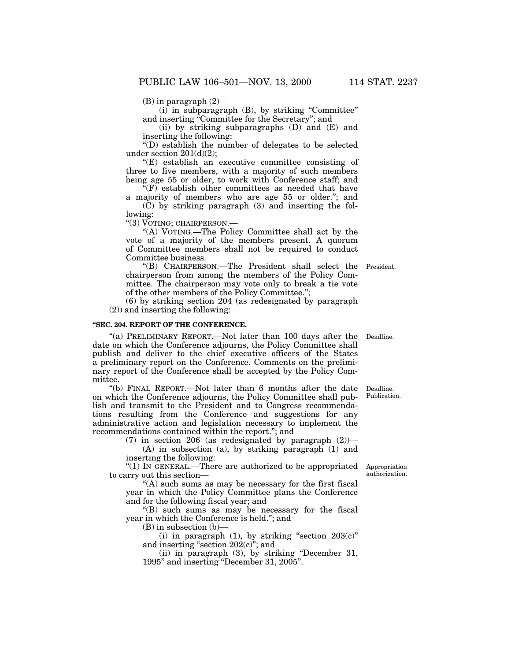(B) in paragraph (2)—

(i) in subparagraph (B), by striking ''Committee'' and inserting ''Committee for the Secretary''; and

(ii) by striking subparagraphs (D) and (E) and inserting the following:

''(D) establish the number of delegates to be selected under section  $201(d)(2)$ ;

''(E) establish an executive committee consisting of three to five members, with a majority of such members being age 55 or older, to work with Conference staff; and

 $\widetilde{f}(F)$  establish other committees as needed that have a majority of members who are age 55 or older.''; and

 $(C)$  by striking paragraph  $(3)$  and inserting the following:

''(3) VOTING; CHAIRPERSON.—

''(A) VOTING.—The Policy Committee shall act by the vote of a majority of the members present. A quorum of Committee members shall not be required to conduct Committee business.

''(B) CHAIRPERSON.—The President shall select the President. chairperson from among the members of the Policy Committee. The chairperson may vote only to break a tie vote of the other members of the Policy Committee.'';

(6) by striking section 204 (as redesignated by paragraph (2)) and inserting the following:

# **''SEC. 204. REPORT OF THE CONFERENCE.**

"(a) PRELIMINARY REPORT.—Not later than 100 days after the Deadline. date on which the Conference adjourns, the Policy Committee shall publish and deliver to the chief executive officers of the States a preliminary report on the Conference. Comments on the preliminary report of the Conference shall be accepted by the Policy Committee.

''(b) FINAL REPORT.—Not later than 6 months after the date on which the Conference adjourns, the Policy Committee shall publish and transmit to the President and to Congress recommendations resulting from the Conference and suggestions for any administrative action and legislation necessary to implement the recommendations contained within the report.''; and Deadline.

(7) in section 206 (as redesignated by paragraph (2))—

(A) in subsection (a), by striking paragraph (1) and inserting the following:

"(1) IN GENERAL.—There are authorized to be appropriated to carry out this section—

"(A) such sums as may be necessary for the first fiscal year in which the Policy Committee plans the Conference and for the following fiscal year; and

"(B) such sums as may be necessary for the fiscal year in which the Conference is held.''; and

 $(B)$  in subsection  $(b)$ –

(i) in paragraph  $(1)$ , by striking "section  $203(c)$ " and inserting "section  $202(c)$ "; and

(ii) in paragraph (3), by striking ''December 31, 1995'' and inserting ''December 31, 2005''.

Appropriation authorization.

Publication.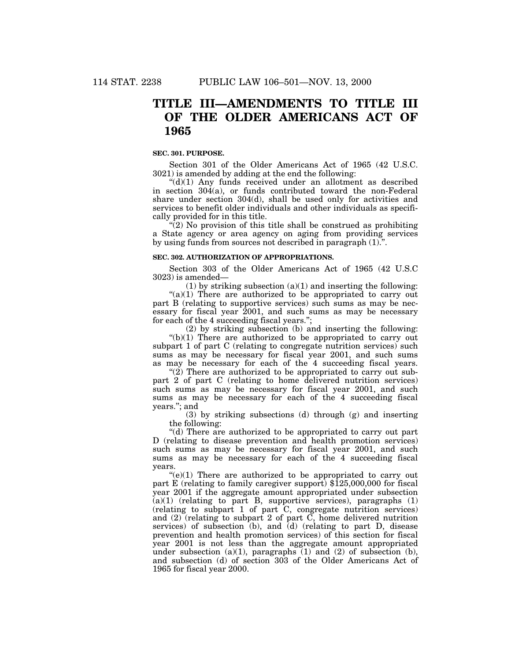# **TITLE III—AMENDMENTS TO TITLE III OF THE OLDER AMERICANS ACT OF 1965**

#### **SEC. 301. PURPOSE.**

Section 301 of the Older Americans Act of 1965 (42 U.S.C. 3021) is amended by adding at the end the following:

 $((d)(1)$  Any funds received under an allotment as described in section 304(a), or funds contributed toward the non-Federal share under section 304(d), shall be used only for activities and services to benefit older individuals and other individuals as specifically provided for in this title.

 $\hat{O}(2)$  No provision of this title shall be construed as prohibiting a State agency or area agency on aging from providing services by using funds from sources not described in paragraph (1).''.

## **SEC. 302. AUTHORIZATION OF APPROPRIATIONS.**

Section 303 of the Older Americans Act of 1965 (42 U.S.C 3023) is amended—

 $(1)$  by striking subsection  $(a)(1)$  and inserting the following:

" $(a)(1)$  There are authorized to be appropriated to carry out part B (relating to supportive services) such sums as may be necessary for fiscal year 2001, and such sums as may be necessary for each of the 4 succeeding fiscal years.'';

(2) by striking subsection (b) and inserting the following:  $"(b)(1)$  There are authorized to be appropriated to carry out subpart 1 of part C (relating to congregate nutrition services) such sums as may be necessary for fiscal year 2001, and such sums as may be necessary for each of the 4 succeeding fiscal years.

"(2) There are authorized to be appropriated to carry out subpart 2 of part C (relating to home delivered nutrition services) such sums as may be necessary for fiscal year 2001, and such sums as may be necessary for each of the 4 succeeding fiscal years.''; and

(3) by striking subsections (d) through (g) and inserting the following:

''(d) There are authorized to be appropriated to carry out part D (relating to disease prevention and health promotion services) such sums as may be necessary for fiscal year 2001, and such sums as may be necessary for each of the 4 succeeding fiscal years.

 $((e)(1)$  There are authorized to be appropriated to carry out part E (relating to family caregiver support) \$125,000,000 for fiscal year 2001 if the aggregate amount appropriated under subsection  $(a)(1)$  (relating to part B, supportive services), paragraphs  $(1)$ (relating to subpart 1 of part C, congregate nutrition services) and  $(2)$  (relating to subpart 2 of part C, home delivered nutrition services) of subsection  $(b)$ , and  $(d)$  (relating to part D, disease prevention and health promotion services) of this section for fiscal year 2001 is not less than the aggregate amount appropriated under subsection (a)(1), paragraphs  $(1)$  and (2) of subsection (b), and subsection (d) of section 303 of the Older Americans Act of 1965 for fiscal year 2000.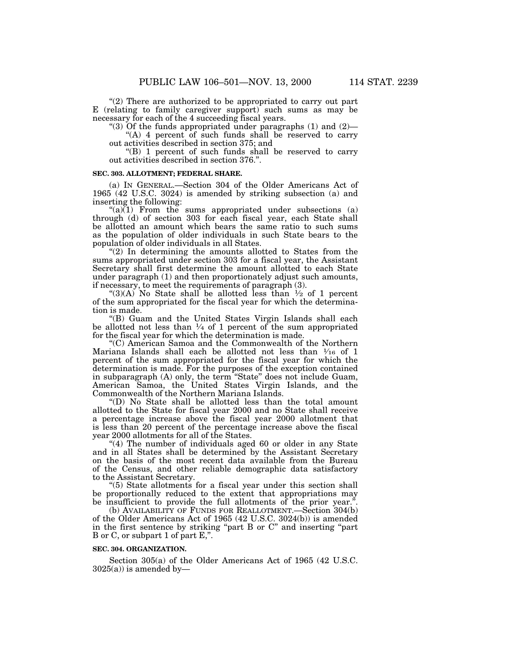"(2) There are authorized to be appropriated to carry out part E (relating to family caregiver support) such sums as may be

"(3) Of the funds appropriated under paragraphs (1) and (2)—

"(A) 4 percent of such funds shall be reserved to carry out activities described in section 375; and

''(B) 1 percent of such funds shall be reserved to carry out activities described in section 376.''.

### **SEC. 303. ALLOTMENT; FEDERAL SHARE.**

(a) IN GENERAL.—Section 304 of the Older Americans Act of 1965 (42 U.S.C. 3024) is amended by striking subsection (a) and

" $(a)(1)$  From the sums appropriated under subsections  $(a)$ through (d) of section 303 for each fiscal year, each State shall be allotted an amount which bears the same ratio to such sums as the population of older individuals in such State bears to the

" $(2)$  In determining the amounts allotted to States from the sums appropriated under section 303 for a fiscal year, the Assistant Secretary shall first determine the amount allotted to each State under paragraph (1) and then proportionately adjust such amounts, if necessary, to meet the requirements of paragraph (3).

" $(3)(A)$  No State shall be allotted less than  $\frac{1}{2}$  of 1 percent of the sum appropriated for the fiscal year for which the determination is made.

''(B) Guam and the United States Virgin Islands shall each be allotted not less than  $\frac{1}{4}$  of 1 percent of the sum appropriated for the fiscal year for which the determination is made.

''(C) American Samoa and the Commonwealth of the Northern Mariana Islands shall each be allotted not less than  $\frac{1}{16}$  of 1 percent of the sum appropriated for the fiscal year for which the determination is made. For the purposes of the exception contained in subparagraph (A) only, the term ''State'' does not include Guam, American Samoa, the United States Virgin Islands, and the Commonwealth of the Northern Mariana Islands.

''(D) No State shall be allotted less than the total amount allotted to the State for fiscal year 2000 and no State shall receive a percentage increase above the fiscal year 2000 allotment that is less than 20 percent of the percentage increase above the fiscal year 2000 allotments for all of the States.

"(4) The number of individuals aged 60 or older in any State and in all States shall be determined by the Assistant Secretary on the basis of the most recent data available from the Bureau of the Census, and other reliable demographic data satisfactory to the Assistant Secretary.

''(5) State allotments for a fiscal year under this section shall be proportionally reduced to the extent that appropriations may be insufficient to provide the full allotments of the prior year.''.

(b) AVAILABILITY OF FUNDS FOR REALLOTMENT.—Section 304(b) of the Older Americans Act of 1965 (42 U.S.C. 3024(b)) is amended in the first sentence by striking ''part B or C'' and inserting ''part B or C, or subpart 1 of part E,''.

### **SEC. 304. ORGANIZATION.**

Section 305(a) of the Older Americans Act of 1965 (42 U.S.C.  $3025(a)$  is amended by-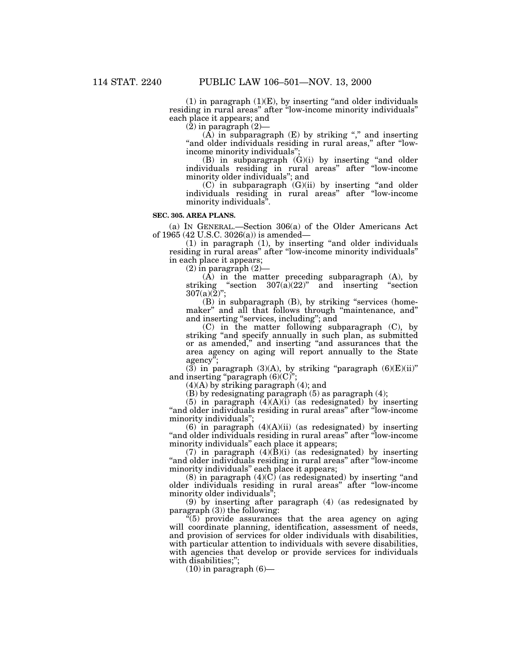$(1)$  in paragraph  $(1)(E)$ , by inserting "and older individuals residing in rural areas" after "low-income minority individuals"<br>each place it appears; and

 $(2)$  in paragraph  $(2)$ —

 $(A)$  in subparagraph  $(E)$  by striking "," and inserting "and older individuals residing in rural areas," after "lowincome minority individuals'';

 $(B)$  in subparagraph  $(G)(i)$  by inserting "and older individuals residing in rural areas'' after ''low-income minority older individuals''; and

(C) in subparagraph (G)(ii) by inserting ''and older individuals residing in rural areas'' after ''low-income minority individuals''.

# **SEC. 305. AREA PLANS.**

(a) IN GENERAL.—Section  $306(a)$  of the Older Americans Act of 1965 (42 U.S.C.  $3026(a)$ ) is amended—

(1) in paragraph (1), by inserting "and older individuals residing in rural areas'' after ''low-income minority individuals'' in each place it appears;

(2) in paragraph (2)—<br>(A) in the matter preceding subparagraph (A), by striking "section 307(a)(22)" and inserting "section  $307(a)(2)$ ";

(B) in subparagraph (B), by striking "services (homemaker" and all that follows through "maintenance, and" and inserting "services, including"; and

(C) in the matter following subparagraph (C), by striking ''and specify annually in such plan, as submitted or as amended,'' and inserting ''and assurances that the area agency on aging will report annually to the State agency'';

(3) in paragraph (3)(A), by striking "paragraph  $(6)(E)(ii)$ " and inserting "paragraph  $(6)(C)$ ";

(4)(A) by striking paragraph (4); and

(B) by redesignating paragraph (5) as paragraph (4);

 $(5)$  in paragraph  $(4)(A)(i)$  (as redesignated) by inserting "and older individuals residing in rural areas" after "low-income" minority individuals'';

 $(6)$  in paragraph  $(4)(A)(ii)$  (as redesignated) by inserting "and older individuals residing in rural areas" after "low-income" minority individuals" each place it appears;

 $(7)$  in paragraph  $(4)(\hat{B})(i)$  (as redesignated) by inserting "and older individuals residing in rural areas" after "low-income minority individuals" each place it appears;

 $(8)$  in paragraph  $(4)(C)$  (as redesignated) by inserting "and older individuals residing in rural areas'' after ''low-income minority older individuals<sup>3</sup>;

(9) by inserting after paragraph (4) (as redesignated by paragraph (3)) the following:

''(5) provide assurances that the area agency on aging will coordinate planning, identification, assessment of needs, and provision of services for older individuals with disabilities, with particular attention to individuals with severe disabilities, with agencies that develop or provide services for individuals with disabilities;'';

 $(10)$  in paragraph  $(6)$ —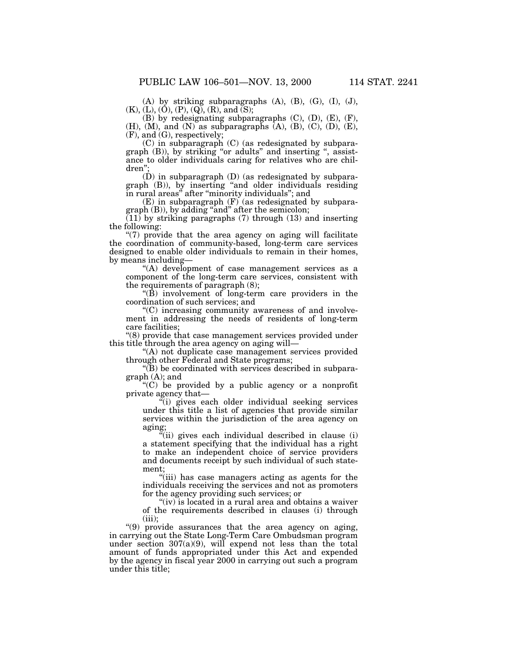(A) by striking subparagraphs (A), (B), (G), (I), (J),  $(K), (L), (O), (P), (Q), (R),$  and  $(S);$ 

(B) by redesignating subparagraphs (C), (D), (E), (F), (H), (M), and (N) as subparagraphs  $(A)$ ,  $(B)$ ,  $(C)$ ,  $(D)$ ,  $(E)$ , (F), and (G), respectively;

(C) in subparagraph (C) (as redesignated by subpara $graph$  (B)), by striking "or adults" and inserting ", assistance to older individuals caring for relatives who are children'';

(D) in subparagraph (D) (as redesignated by subparagraph (B)), by inserting ''and older individuals residing in rural areas'' after ''minority individuals''; and

 $(E)$  in subparagraph  $(F)$  (as redesignated by subparagraph (B)), by adding ''and'' after the semicolon;

 $(11)$  by striking paragraphs (7) through (13) and inserting the following:

" $(7)$  provide that the area agency on aging will facilitate the coordination of community-based, long-term care services designed to enable older individuals to remain in their homes, by means including—

''(A) development of case management services as a component of the long-term care services, consistent with the requirements of paragraph (8);

''(B) involvement of long-term care providers in the coordination of such services; and

''(C) increasing community awareness of and involvement in addressing the needs of residents of long-term care facilities;

''(8) provide that case management services provided under this title through the area agency on aging will—

"(A) not duplicate case management services provided through other Federal and State programs;

''(B) be coordinated with services described in subparagraph (A); and

 $(C)$  be provided by a public agency or a nonprofit private agency that—

''(i) gives each older individual seeking services under this title a list of agencies that provide similar services within the jurisdiction of the area agency on aging;

''(ii) gives each individual described in clause (i) a statement specifying that the individual has a right to make an independent choice of service providers and documents receipt by such individual of such statement;

''(iii) has case managers acting as agents for the individuals receiving the services and not as promoters for the agency providing such services; or

"(iv) is located in a rural area and obtains a waiver of the requirements described in clauses (i) through  $(iii)$ ;

"(9) provide assurances that the area agency on aging, in carrying out the State Long-Term Care Ombudsman program under section  $307(a)(9)$ , will expend not less than the total amount of funds appropriated under this Act and expended by the agency in fiscal year 2000 in carrying out such a program under this title;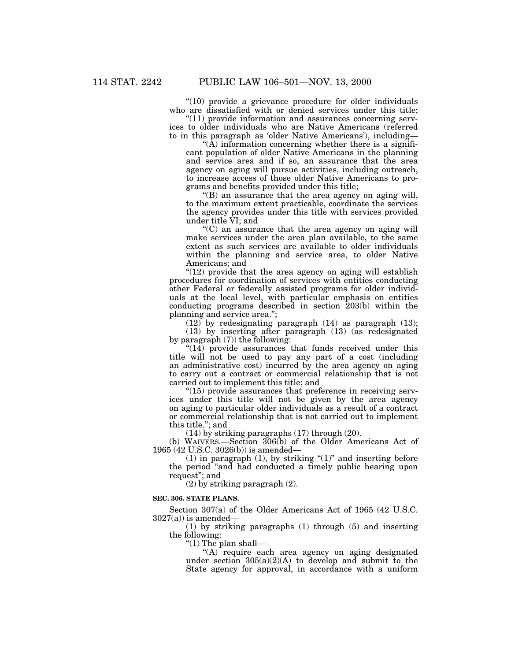''(10) provide a grievance procedure for older individuals who are dissatisfied with or denied services under this title;

 $\degree$ (11) provide information and assurances concerning services to older individuals who are Native Americans (referred to in this paragraph as 'older Native Americans'), including—

"(A) information concerning whether there is a significant population of older Native Americans in the planning and service area and if so, an assurance that the area agency on aging will pursue activities, including outreach, to increase access of those older Native Americans to programs and benefits provided under this title;

''(B) an assurance that the area agency on aging will, to the maximum extent practicable, coordinate the services the agency provides under this title with services provided under title VI; and

''(C) an assurance that the area agency on aging will make services under the area plan available, to the same extent as such services are available to older individuals within the planning and service area, to older Native Americans; and

 $"$ (12) provide that the area agency on aging will establish procedures for coordination of services with entities conducting other Federal or federally assisted programs for older individuals at the local level, with particular emphasis on entities conducting programs described in section 203(b) within the planning and service area.'';

(12) by redesignating paragraph (14) as paragraph (13); (13) by inserting after paragraph (13) (as redesignated by paragraph  $(7)$ ) the following:

 $(14)$  provide assurances that funds received under this title will not be used to pay any part of a cost (including an administrative cost) incurred by the area agency on aging to carry out a contract or commercial relationship that is not carried out to implement this title; and

 $\degree$ (15) provide assurances that preference in receiving services under this title will not be given by the area agency on aging to particular older individuals as a result of a contract or commercial relationship that is not carried out to implement this title.''; and

(14) by striking paragraphs (17) through (20).

(b) WAIVERS.—Section 306(b) of the Older Americans Act of 1965 (42 U.S.C. 3026(b)) is amended—

(1) in paragraph  $(1)$ , by striking " $(1)$ " and inserting before the period ''and had conducted a timely public hearing upon request''; and

(2) by striking paragraph (2).

### **SEC. 306. STATE PLANS.**

Section 307(a) of the Older Americans Act of 1965 (42 U.S.C.  $3027(a)$ ) is amended-

(1) by striking paragraphs (1) through (5) and inserting the following:

" $(1)$  The plan shall—

 $(A)$  require each area agency on aging designated under section  $305(a)(2)(A)$  to develop and submit to the State agency for approval, in accordance with a uniform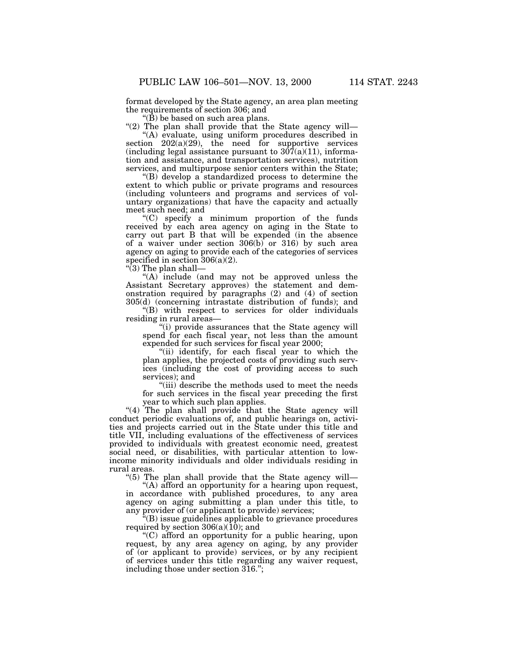format developed by the State agency, an area plan meeting

the requirements of section 306; and<br>"(B) be based on such area plans.<br>"(2) The plan shall provide that the State agency will—

''(A) evaluate, using uniform procedures described in section  $202(a)(29)$ , the need for supportive services (including legal assistance pursuant to  $307(a)(11)$ , information and assistance, and transportation services), nutrition services, and multipurpose senior centers within the State;

''(B) develop a standardized process to determine the extent to which public or private programs and resources (including volunteers and programs and services of voluntary organizations) that have the capacity and actually meet such need; and

''(C) specify a minimum proportion of the funds received by each area agency on aging in the State to carry out part B that will be expended (in the absence of a waiver under section 306(b) or 316) by such area agency on aging to provide each of the categories of services specified in section  $306(a)(2)$ .

" $(3)$  The plan shall—

"(A) include (and may not be approved unless the Assistant Secretary approves) the statement and demonstration required by paragraphs (2) and (4) of section 305(d) (concerning intrastate distribution of funds); and

''(B) with respect to services for older individuals residing in rural areas—

''(i) provide assurances that the State agency will spend for each fiscal year, not less than the amount expended for such services for fiscal year 2000;

''(ii) identify, for each fiscal year to which the plan applies, the projected costs of providing such services (including the cost of providing access to such services); and

''(iii) describe the methods used to meet the needs for such services in the fiscal year preceding the first year to which such plan applies.

"(4) The plan shall provide that the State agency will conduct periodic evaluations of, and public hearings on, activities and projects carried out in the State under this title and title VII, including evaluations of the effectiveness of services provided to individuals with greatest economic need, greatest social need, or disabilities, with particular attention to lowincome minority individuals and older individuals residing in rural areas.

''(5) The plan shall provide that the State agency will—

''(A) afford an opportunity for a hearing upon request, in accordance with published procedures, to any area agency on aging submitting a plan under this title, to any provider of (or applicant to provide) services;

''(B) issue guidelines applicable to grievance procedures required by section  $306(a)(10)$ ; and

''(C) afford an opportunity for a public hearing, upon request, by any area agency on aging, by any provider of (or applicant to provide) services, or by any recipient of services under this title regarding any waiver request, including those under section 316.'';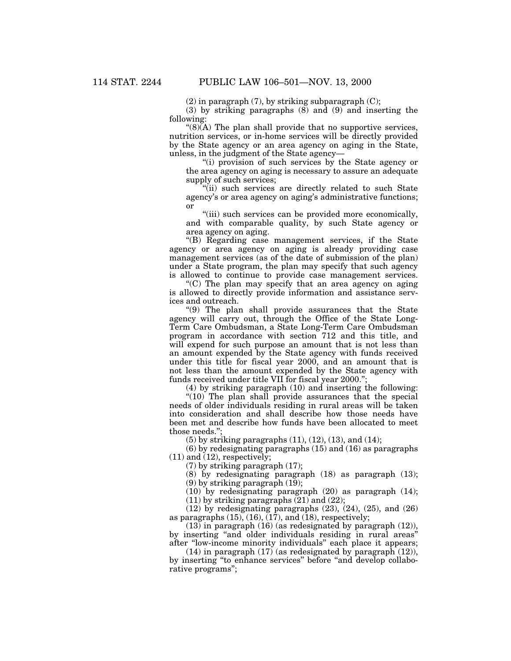(2) in paragraph (7), by striking subparagraph (C);

(3) by striking paragraphs (8) and (9) and inserting the following:

" $(8)(\overline{A})$  The plan shall provide that no supportive services, nutrition services, or in-home services will be directly provided by the State agency or an area agency on aging in the State, unless, in the judgment of the State agency—

''(i) provision of such services by the State agency or the area agency on aging is necessary to assure an adequate supply of such services;

"(ii) such services are directly related to such State agency's or area agency on aging's administrative functions; or

"(iii) such services can be provided more economically, and with comparable quality, by such State agency or area agency on aging.

''(B) Regarding case management services, if the State agency or area agency on aging is already providing case management services (as of the date of submission of the plan) under a State program, the plan may specify that such agency is allowed to continue to provide case management services.

 $(C)$  The plan may specify that an area agency on aging is allowed to directly provide information and assistance services and outreach.

''(9) The plan shall provide assurances that the State agency will carry out, through the Office of the State Long-Term Care Ombudsman, a State Long-Term Care Ombudsman program in accordance with section 712 and this title, and will expend for such purpose an amount that is not less than an amount expended by the State agency with funds received under this title for fiscal year 2000, and an amount that is not less than the amount expended by the State agency with funds received under title VII for fiscal year 2000.'';

(4) by striking paragraph (10) and inserting the following:

 $\degree$ (10) The plan shall provide assurances that the special needs of older individuals residing in rural areas will be taken into consideration and shall describe how those needs have been met and describe how funds have been allocated to meet those needs.'';

(5) by striking paragraphs (11), (12), (13), and (14);

(6) by redesignating paragraphs (15) and (16) as paragraphs  $(11)$  and  $(12)$ , respectively;

(7) by striking paragraph (17);

(8) by redesignating paragraph (18) as paragraph (13);  $(9)$  by striking paragraph  $(19)$ ;

(10) by redesignating paragraph (20) as paragraph (14);

 $(11)$  by striking paragraphs  $(21)$  and  $(22)$ ;

 $(12)$  by redesignating paragraphs  $(23)$ ,  $(24)$ ,  $(25)$ , and  $(26)$ as paragraphs  $(15)$ ,  $(16)$ ,  $(17)$ , and  $(18)$ , respectively;

 $(13)$  in paragraph  $(16)$  (as redesignated by paragraph  $(12)$ ), by inserting "and older individuals residing in rural areas" after "low-income minority individuals" each place it appears;

(14) in paragraph  $(17)$  (as redesignated by paragraph  $(12)$ ), by inserting ''to enhance services'' before ''and develop collaborative programs'';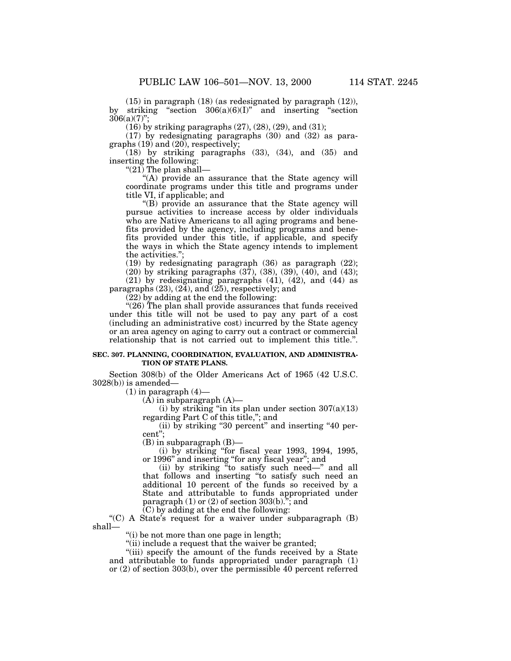(15) in paragraph (18) (as redesignated by paragraph (12)), by striking "section  $306(a)(6)(1)$ " and inserting "section  $306(a)(7)$ ";

 $(16)$  by striking paragraphs  $(27)$ ,  $(28)$ ,  $(29)$ , and  $(31)$ ;

(17) by redesignating paragraphs (30) and (32) as paragraphs (19) and (20), respectively;

(18) by striking paragraphs (33), (34), and (35) and inserting the following:

" $(21)$  The plan shall—

''(A) provide an assurance that the State agency will coordinate programs under this title and programs under title VI, if applicable; and

''(B) provide an assurance that the State agency will pursue activities to increase access by older individuals who are Native Americans to all aging programs and benefits provided by the agency, including programs and benefits provided under this title, if applicable, and specify the ways in which the State agency intends to implement the activities."

(19) by redesignating paragraph (36) as paragraph (22);

 $(20)$  by striking paragraphs  $(37)$ ,  $(38)$ ,  $(39)$ ,  $(40)$ , and  $(43)$ ; (21) by redesignating paragraphs (41), (42), and (44) as paragraphs  $(23)$ ,  $(24)$ , and  $(25)$ , respectively; and

 $(22)$  by adding at the end the following:

"(26) The plan shall provide assurances that funds received under this title will not be used to pay any part of a cost (including an administrative cost) incurred by the State agency or an area agency on aging to carry out a contract or commercial relationship that is not carried out to implement this title.''.

## **SEC. 307. PLANNING, COORDINATION, EVALUATION, AND ADMINISTRA-TION OF STATE PLANS.**

Section 308(b) of the Older Americans Act of 1965 (42 U.S.C.  $3028(b)$ ) is amended—

 $(1)$  in paragraph  $(4)$ —

 $(A)$  in subparagraph  $(A)$ —

(i) by striking "in its plan under section  $307(a)(13)$ regarding Part C of this title,''; and

(ii) by striking "30 percent" and inserting "40 percent'';

(B) in subparagraph (B)—

(i) by striking ''for fiscal year 1993, 1994, 1995, or 1996'' and inserting ''for any fiscal year''; and

(ii) by striking "to satisfy such need—" and all that follows and inserting ''to satisfy such need an additional 10 percent of the funds so received by a State and attributable to funds appropriated under paragraph  $(1)$  or  $(2)$  of section 303(b)."; and

 $(C)$  by adding at the end the following:

"(C) A State's request for a waiver under subparagraph (B) shall—

''(i) be not more than one page in length;

"(ii) include a request that the waiver be granted;

"(iii) specify the amount of the funds received by a State and attributable to funds appropriated under paragraph (1) or (2) of section 303(b), over the permissible 40 percent referred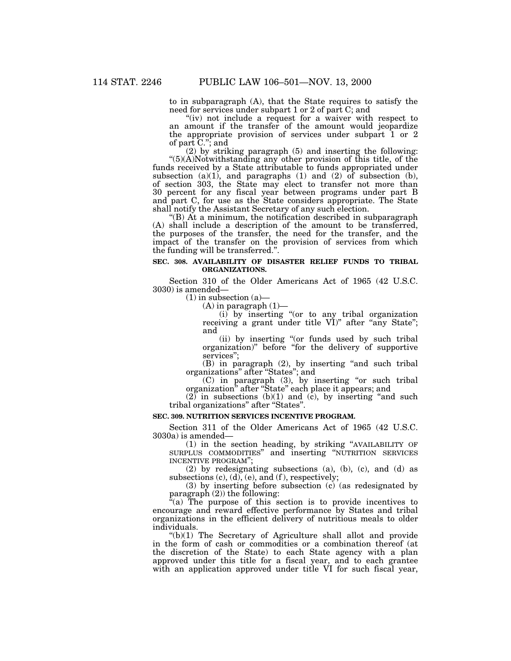to in subparagraph  $(A)$ , that the State requires to satisfy the need for services under subpart 1 or 2 of part C; and

"(iv) not include a request for a waiver with respect to an amount if the transfer of the amount would jeopardize the appropriate provision of services under subpart 1 or 2 of part  $\tilde{C}$ ."; and<br>
(2) by striking paragraph (5) and inserting the following:

"(5)(A)Notwithstanding any other provision of this title, of the funds received by a State attributable to funds appropriated under subsection  $(a)(1)$ , and paragraphs  $(1)$  and  $(2)$  of subsection  $(b)$ , of section 303, the State may elect to transfer not more than 30 percent for any fiscal year between programs under part B and part C, for use as the State considers appropriate. The State shall notify the Assistant Secretary of any such election.

" $(B)$  At a minimum, the notification described in subparagraph (A) shall include a description of the amount to be transferred, the purposes of the transfer, the need for the transfer, and the impact of the transfer on the provision of services from which the funding will be transferred.''.

### **SEC. 308. AVAILABILITY OF DISASTER RELIEF FUNDS TO TRIBAL ORGANIZATIONS.**

Section 310 of the Older Americans Act of 1965 (42 U.S.C. 3030) is amended—

(1) in subsection (a)—<br>(3) in paragraph (1)—<br>(i) by inserting "(or to any tribal organization receiving a grant under title VI)" after "any State"; and

(ii) by inserting ''(or funds used by such tribal organization)'' before ''for the delivery of supportive services'';

(B) in paragraph (2), by inserting ''and such tribal organizations'' after ''States''; and

(C) in paragraph (3), by inserting ''or such tribal organization'' after ''State'' each place it appears; and

 $(2)$  in subsections  $(b)(1)$  and  $(c)$ , by inserting "and such tribal organizations'' after ''States''.

### **SEC. 309. NUTRITION SERVICES INCENTIVE PROGRAM.**

Section 311 of the Older Americans Act of 1965 (42 U.S.C. 3030a) is amended—

(1) in the section heading, by striking "AVAILABILITY OF SURPLUS COMMODITIES'' and inserting ''NUTRITION SERVICES INCENTIVE PROGRAM'';

(2) by redesignating subsections (a), (b), (c), and (d) as subsections  $(c)$ ,  $(d)$ ,  $(e)$ , and  $(f)$ , respectively;

(3) by inserting before subsection (c) (as redesignated by paragraph (2)) the following:

''(a) The purpose of this section is to provide incentives to encourage and reward effective performance by States and tribal organizations in the efficient delivery of nutritious meals to older individuals.

 $'(b)(1)$  The Secretary of Agriculture shall allot and provide in the form of cash or commodities or a combination thereof (at the discretion of the State) to each State agency with a plan approved under this title for a fiscal year, and to each grantee with an application approved under title VI for such fiscal year,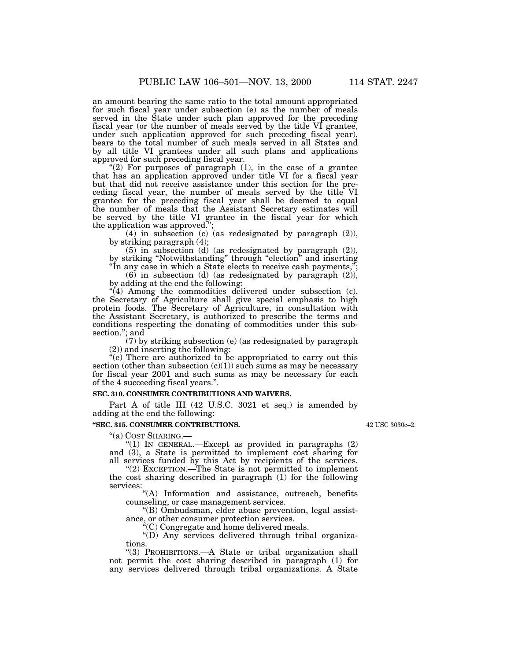an amount bearing the same ratio to the total amount appropriated for such fiscal year under subsection (e) as the number of meals served in the State under such plan approved for the preceding fiscal year (or the number of meals served by the title VI grantee, under such application approved for such preceding fiscal year), bears to the total number of such meals served in all States and by all title VI grantees under all such plans and applications

"(2) For purposes of paragraph (1), in the case of a grantee that has an application approved under title VI for a fiscal year but that did not receive assistance under this section for the preceding fiscal year, the number of meals served by the title VI grantee for the preceding fiscal year shall be deemed to equal the number of meals that the Assistant Secretary estimates will be served by the title VI grantee in the fiscal year for which the application was approved.'';

(4) in subsection (c) (as redesignated by paragraph (2)), by striking paragraph (4);

(5) in subsection (d) (as redesignated by paragraph (2)), by striking "Notwithstanding" through "election" and inserting ''In any case in which a State elects to receive cash payments,";

(6) in subsection (d) (as redesignated by paragraph (2)), by adding at the end the following:

 $\sqrt{(4)}$  Among the commodities delivered under subsection (c), the Secretary of Agriculture shall give special emphasis to high protein foods. The Secretary of Agriculture, in consultation with the Assistant Secretary, is authorized to prescribe the terms and conditions respecting the donating of commodities under this subsection.''; and

(7) by striking subsection (e) (as redesignated by paragraph (2)) and inserting the following:

''(e) There are authorized to be appropriated to carry out this section (other than subsection  $(c)(1)$ ) such sums as may be necessary for fiscal year 2001 and such sums as may be necessary for each of the 4 succeeding fiscal years.''.

#### **SEC. 310. CONSUMER CONTRIBUTIONS AND WAIVERS.**

Part A of title III (42 U.S.C. 3021 et seq.) is amended by adding at the end the following:

### **''SEC. 315. CONSUMER CONTRIBUTIONS.**

"(a) COST SHARING.—<br>"(1) IN GENERAL.—Except as provided in paragraphs (2) and (3), a State is permitted to implement cost sharing for all services funded by this Act by recipients of the services.

"(2) EXCEPTION.—The State is not permitted to implement the cost sharing described in paragraph (1) for the following services:<br>"(A) Information and assistance, outreach, benefits

counseling, or case management services.

''(B) Ombudsman, elder abuse prevention, legal assistance, or other consumer protection services.

''(C) Congregate and home delivered meals.

''(D) Any services delivered through tribal organizations.

''(3) PROHIBITIONS.—A State or tribal organization shall not permit the cost sharing described in paragraph (1) for any services delivered through tribal organizations. A State

42 USC 3030c–2.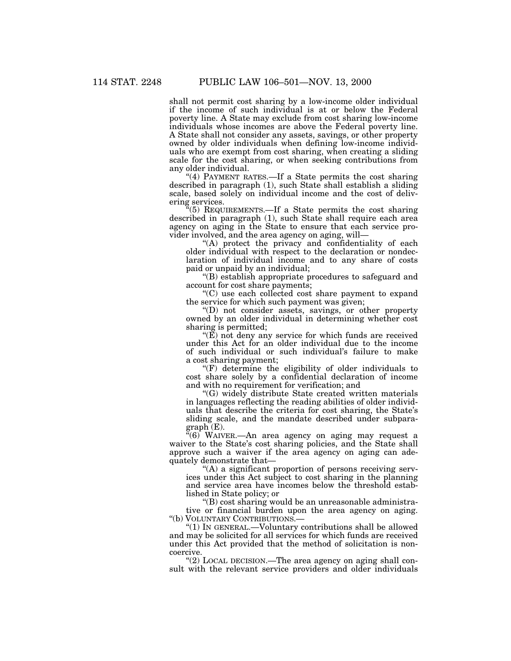shall not permit cost sharing by a low-income older individual if the income of such individual is at or below the Federal poverty line. A State may exclude from cost sharing low-income individuals whose incomes are above the Federal poverty line. A State shall not consider any assets, savings, or other property owned by older individuals when defining low-income individuals who are exempt from cost sharing, when creating a sliding scale for the cost sharing, or when seeking contributions from any older individual.

"(4) PAYMENT RATES.—If a State permits the cost sharing described in paragraph (1), such State shall establish a sliding scale, based solely on individual income and the cost of deliv-

 $E(5)$  REQUIREMENTS.—If a State permits the cost sharing described in paragraph (1), such State shall require each area agency on aging in the State to ensure that each service provider involved, and the area agency on aging, will—

"(A) protect the privacy and confidentiality of each older individual with respect to the declaration or nondeclaration of individual income and to any share of costs

paid or unpaid by an individual;<br>
"(B) establish appropriate procedures to safeguard and account for cost share payments;

 $C$  use each collected cost share payment to expand the service for which such payment was given;

"(D) not consider assets, savings, or other property owned by an older individual in determining whether cost sharing is permitted;

" $(E)$  not deny any service for which funds are received under this Act for an older individual due to the income of such individual or such individual's failure to make a cost sharing payment;

''(F) determine the eligibility of older individuals to cost share solely by a confidential declaration of income and with no requirement for verification; and

''(G) widely distribute State created written materials in languages reflecting the reading abilities of older individuals that describe the criteria for cost sharing, the State's sliding scale, and the mandate described under subparagraph (E).

''(6) WAIVER.—An area agency on aging may request a waiver to the State's cost sharing policies, and the State shall approve such a waiver if the area agency on aging can adequately demonstrate that—

 $H(A)$  a significant proportion of persons receiving services under this Act subject to cost sharing in the planning and service area have incomes below the threshold established in State policy; or

''(B) cost sharing would be an unreasonable administrative or financial burden upon the area agency on aging.<br>"(b) VOLUNTARY CONTRIBUTIONS.—

"(1) IN GENERAL.—Voluntary contributions shall be allowed and may be solicited for all services for which funds are received under this Act provided that the method of solicitation is noncoercive.

"(2) LOCAL DECISION.—The area agency on aging shall consult with the relevant service providers and older individuals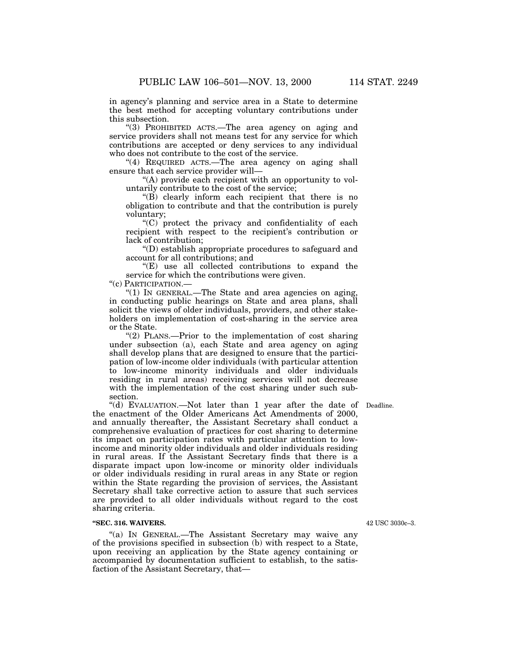in agency's planning and service area in a State to determine the best method for accepting voluntary contributions under this subsection.

''(3) PROHIBITED ACTS.—The area agency on aging and service providers shall not means test for any service for which contributions are accepted or deny services to any individual who does not contribute to the cost of the service.

"(4) REQUIRED ACTS.—The area agency on aging shall ensure that each service provider will—

''(A) provide each recipient with an opportunity to voluntarily contribute to the cost of the service;

" $(B)$  clearly inform each recipient that there is no obligation to contribute and that the contribution is purely voluntary;

 $(C)$  protect the privacy and confidentiality of each recipient with respect to the recipient's contribution or lack of contribution;

''(D) establish appropriate procedures to safeguard and account for all contributions; and

 $E$ ) use all collected contributions to expand the service for which the contributions were given.

''(c) PARTICIPATION.—

''(1) IN GENERAL.—The State and area agencies on aging, in conducting public hearings on State and area plans, shall solicit the views of older individuals, providers, and other stakeholders on implementation of cost-sharing in the service area or the State.

''(2) PLANS.—Prior to the implementation of cost sharing under subsection (a), each State and area agency on aging shall develop plans that are designed to ensure that the participation of low-income older individuals (with particular attention to low-income minority individuals and older individuals residing in rural areas) receiving services will not decrease with the implementation of the cost sharing under such subsection.

"(d) EVALUATION.—Not later than 1 year after the date of Deadline. the enactment of the Older Americans Act Amendments of 2000, and annually thereafter, the Assistant Secretary shall conduct a comprehensive evaluation of practices for cost sharing to determine its impact on participation rates with particular attention to lowincome and minority older individuals and older individuals residing in rural areas. If the Assistant Secretary finds that there is a disparate impact upon low-income or minority older individuals or older individuals residing in rural areas in any State or region within the State regarding the provision of services, the Assistant Secretary shall take corrective action to assure that such services are provided to all older individuals without regard to the cost sharing criteria.

# **''SEC. 316. WAIVERS.**

''(a) IN GENERAL.—The Assistant Secretary may waive any of the provisions specified in subsection (b) with respect to a State, upon receiving an application by the State agency containing or accompanied by documentation sufficient to establish, to the satisfaction of the Assistant Secretary, that—

42 USC 3030c–3.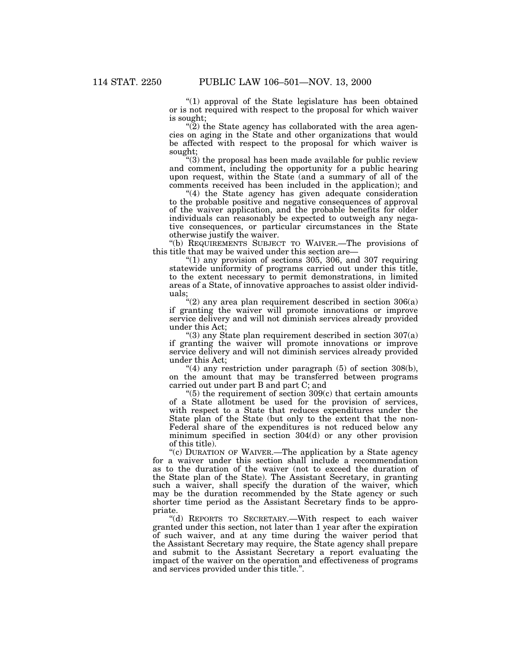''(1) approval of the State legislature has been obtained or is not required with respect to the proposal for which waiver is sought;<br>" $(2)$  the State agency has collaborated with the area agen-

cies on aging in the State and other organizations that would be affected with respect to the proposal for which waiver is sought;

''(3) the proposal has been made available for public review and comment, including the opportunity for a public hearing upon request, within the State (and a summary of all of the comments received has been included in the application); and

"(4) the State agency has given adequate consideration to the probable positive and negative consequences of approval of the waiver application, and the probable benefits for older individuals can reasonably be expected to outweigh any negative consequences, or particular circumstances in the State otherwise justify the waiver.

''(b) REQUIREMENTS SUBJECT TO WAIVER.—The provisions of this title that may be waived under this section are—

" $(1)$  any provision of sections 305, 306, and 307 requiring statewide uniformity of programs carried out under this title, to the extent necessary to permit demonstrations, in limited areas of a State, of innovative approaches to assist older individuals;

 $(2)$  any area plan requirement described in section 306(a) if granting the waiver will promote innovations or improve service delivery and will not diminish services already provided under this Act;

" $(3)$  any State plan requirement described in section  $307(a)$ if granting the waiver will promote innovations or improve service delivery and will not diminish services already provided under this Act;

" $(4)$  any restriction under paragraph  $(5)$  of section 308 $(b)$ , on the amount that may be transferred between programs carried out under part B and part C; and

"(5) the requirement of section  $309(c)$  that certain amounts of a State allotment be used for the provision of services, with respect to a State that reduces expenditures under the State plan of the State (but only to the extent that the non-Federal share of the expenditures is not reduced below any minimum specified in section 304(d) or any other provision of this title).

''(c) DURATION OF WAIVER.—The application by a State agency for a waiver under this section shall include a recommendation as to the duration of the waiver (not to exceed the duration of the State plan of the State). The Assistant Secretary, in granting such a waiver, shall specify the duration of the waiver, which may be the duration recommended by the State agency or such shorter time period as the Assistant Secretary finds to be appropriate.

''(d) REPORTS TO SECRETARY.—With respect to each waiver granted under this section, not later than 1 year after the expiration of such waiver, and at any time during the waiver period that the Assistant Secretary may require, the State agency shall prepare and submit to the Assistant Secretary a report evaluating the impact of the waiver on the operation and effectiveness of programs and services provided under this title.''.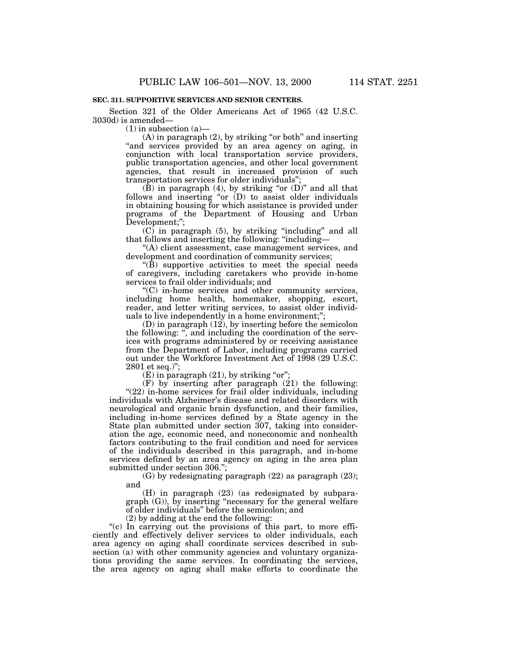Section 321 of the Older Americans Act of 1965 (42 U.S.C. 3030d) is amended—

 $(1)$  in subsection  $(a)$ —

 $(A)$  in paragraph  $(2)$ , by striking "or both" and inserting "and services provided by an area agency on aging, in conjunction with local transportation service providers, public transportation agencies, and other local government agencies, that result in increased provision of such transportation services for older individuals'';

 $(\hat{B})$  in paragraph (4), by striking "or  $(D)$ " and all that follows and inserting "or (D) to assist older individuals in obtaining housing for which assistance is provided under programs of the Department of Housing and Urban Development;'';

 $(C)$  in paragraph (5), by striking "including" and all that follows and inserting the following: ''including—

''(A) client assessment, case management services, and development and coordination of community services;

''(B) supportive activities to meet the special needs of caregivers, including caretakers who provide in-home services to frail older individuals; and

''(C) in-home services and other community services, including home health, homemaker, shopping, escort, reader, and letter writing services, to assist older individuals to live independently in a home environment;'';

(D) in paragraph (12), by inserting before the semicolon the following: ", and including the coordination of the services with programs administered by or receiving assistance from the Department of Labor, including programs carried out under the Workforce Investment Act of 1998 (29 U.S.C. 2801 et seq.)'';

 $(E)$  in paragraph  $(21)$ , by striking "or";

(F) by inserting after paragraph (21) the following: "(22) in-home services for frail older individuals, including individuals with Alzheimer's disease and related disorders with neurological and organic brain dysfunction, and their families, including in-home services defined by a State agency in the State plan submitted under section 307, taking into consideration the age, economic need, and noneconomic and nonhealth factors contributing to the frail condition and need for services of the individuals described in this paragraph, and in-home services defined by an area agency on aging in the area plan submitted under section 306.'';

(G) by redesignating paragraph (22) as paragraph (23); and

(H) in paragraph (23) (as redesignated by subparagraph (G)), by inserting ''necessary for the general welfare of older individuals'' before the semicolon; and

(2) by adding at the end the following:

"(c) In carrying out the provisions of this part, to more efficiently and effectively deliver services to older individuals, each area agency on aging shall coordinate services described in subsection (a) with other community agencies and voluntary organizations providing the same services. In coordinating the services, the area agency on aging shall make efforts to coordinate the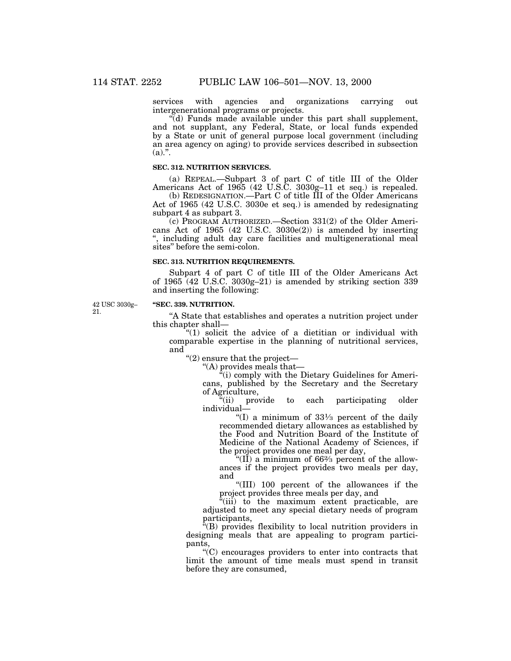services with agencies and organizations carrying out intergenerational programs or projects.

''(d) Funds made available under this part shall supplement, and not supplant, any Federal, State, or local funds expended by a State or unit of general purpose local government (including an area agency on aging) to provide services described in subsection  $(a)$ .".

### **SEC. 312. NUTRITION SERVICES.**

(a) REPEAL.—Subpart 3 of part C of title III of the Older Americans Act of 1965 (42 U.S.C. 3030g–11 et seq.) is repealed.

(b) REDESIGNATION.—Part C of title III of the Older Americans Act of 1965 (42 U.S.C. 3030e et seq.) is amended by redesignating subpart 4 as subpart 3.

(c) PROGRAM AUTHORIZED.—Section 331(2) of the Older Americans Act of 1965 (42 U.S.C. 3030e(2)) is amended by inserting , including adult day care facilities and multigenerational meal sites'' before the semi-colon.

## **SEC. 313. NUTRITION REQUIREMENTS.**

Subpart 4 of part C of title III of the Older Americans Act of 1965 (42 U.S.C. 3030g–21) is amended by striking section 339 and inserting the following:

42 USC 3030g–  $21.7$ 

## **''SEC. 339. NUTRITION.**

''A State that establishes and operates a nutrition project under this chapter shall—

" $(1)$  solicit the advice of a dietitian or individual with comparable expertise in the planning of nutritional services, and

''(2) ensure that the project—

''(A) provides meals that—

 $\tilde{f}(i)$  comply with the Dietary Guidelines for Americans, published by the Secretary and the Secretary of Agriculture,<br>
"(ii) provide to

each participating older individual—

"(I) a minimum of  $33\frac{1}{3}$  percent of the daily recommended dietary allowances as established by the Food and Nutrition Board of the Institute of Medicine of the National Academy of Sciences, if the project provides one meal per day,

"(II) a minimum of  $66\frac{2}{3}$  percent of the allowances if the project provides two meals per day, and

''(III) 100 percent of the allowances if the project provides three meals per day, and

 $i$ <sup>\*</sup>(iii) to the maximum extent practicable, are adjusted to meet any special dietary needs of program participants,

''(B) provides flexibility to local nutrition providers in designing meals that are appealing to program participants,

 $C'$ (C) encourages providers to enter into contracts that limit the amount of time meals must spend in transit before they are consumed,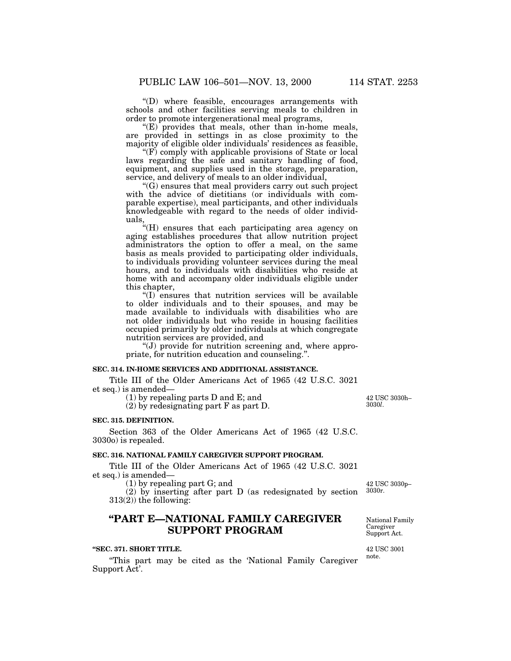''(D) where feasible, encourages arrangements with schools and other facilities serving meals to children in order to promote intergenerational meal programs,

 $E(F)$  provides that meals, other than in-home meals, are provided in settings in as close proximity to the majority of eligible older individuals' residences as feasible,

 $\mathcal{F}(F)$  comply with applicable provisions of State or local laws regarding the safe and sanitary handling of food, equipment, and supplies used in the storage, preparation, service, and delivery of meals to an older individual,

 $(C)$  ensures that meal providers carry out such project with the advice of dietitians (or individuals with comparable expertise), meal participants, and other individuals knowledgeable with regard to the needs of older individuals,

''(H) ensures that each participating area agency on aging establishes procedures that allow nutrition project administrators the option to offer a meal, on the same basis as meals provided to participating older individuals, to individuals providing volunteer services during the meal hours, and to individuals with disabilities who reside at home with and accompany older individuals eligible under this chapter,

''(I) ensures that nutrition services will be available to older individuals and to their spouses, and may be made available to individuals with disabilities who are not older individuals but who reside in housing facilities occupied primarily by older individuals at which congregate nutrition services are provided, and

''(J) provide for nutrition screening and, where appropriate, for nutrition education and counseling.''.

### **SEC. 314. IN-HOME SERVICES AND ADDITIONAL ASSISTANCE.**

Title III of the Older Americans Act of 1965 (42 U.S.C. 3021 et seq.) is amended—

(1) by repealing parts D and E; and

(2) by redesignating part F as part D.

## **SEC. 315. DEFINITION.**

Section 363 of the Older Americans Act of 1965 (42 U.S.C. 3030o) is repealed.

# **SEC. 316. NATIONAL FAMILY CAREGIVER SUPPORT PROGRAM.**

Title III of the Older Americans Act of 1965 (42 U.S.C. 3021 et seq.) is amended—

(1) by repealing part G; and

(2) by inserting after part D (as redesignated by section 313(2)) the following:

# **''PART E—NATIONAL FAMILY CAREGIVER SUPPORT PROGRAM**

## **''SEC. 371. SHORT TITLE.**

''This part may be cited as the 'National Family Caregiver Support Act'.

42 USC 3030h– 3030*l*.

42 USC 3030p– 3030r.

National Family Caregiver Support Act.

42 USC 3001 note.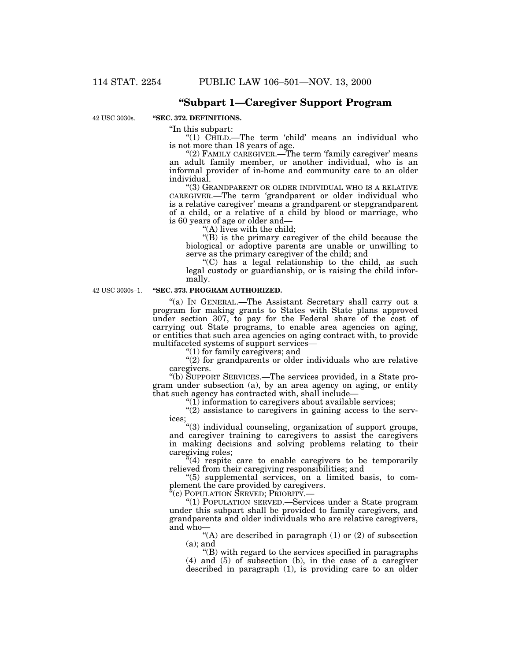# **''Subpart 1—Caregiver Support Program**

42 USC 3030s.

# **''SEC. 372. DEFINITIONS.**

''In this subpart: ''(1) CHILD.—The term 'child' means an individual who is not more than 18 years of age.<br>"(2) FAMILY CAREGIVER.—The term 'family caregiver' means

an adult family member, or another individual, who is an informal provider of in-home and community care to an older individual.

''(3) GRANDPARENT OR OLDER INDIVIDUAL WHO IS A RELATIVE CAREGIVER.—The term 'grandparent or older individual who is a relative caregiver' means a grandparent or stepgrandparent of a child, or a relative of a child by blood or marriage, who is 60 years of age or older and—

"(A) lives with the child;

 $f(B)$  is the primary caregiver of the child because the biological or adoptive parents are unable or unwilling to serve as the primary caregiver of the child; and

''(C) has a legal relationship to the child, as such legal custody or guardianship, or is raising the child informally.

42 USC 3030s–1.

# **''SEC. 373. PROGRAM AUTHORIZED.**

''(a) IN GENERAL.—The Assistant Secretary shall carry out a program for making grants to States with State plans approved under section 307, to pay for the Federal share of the cost of carrying out State programs, to enable area agencies on aging, or entities that such area agencies on aging contract with, to provide multifaceted systems of support services—

''(1) for family caregivers; and

 $''(2)$  for grandparents or older individuals who are relative caregivers.

''(b) SUPPORT SERVICES.—The services provided, in a State program under subsection (a), by an area agency on aging, or entity that such agency has contracted with, shall include—

''(1) information to caregivers about available services;

 $''(2)$  assistance to caregivers in gaining access to the services;

''(3) individual counseling, organization of support groups, and caregiver training to caregivers to assist the caregivers in making decisions and solving problems relating to their caregiving roles;

 $f''(4)$  respite care to enable caregivers to be temporarily relieved from their caregiving responsibilities; and

''(5) supplemental services, on a limited basis, to complement the care provided by caregivers.

'(c) POPULATION SERVED; PRIORITY.—

''(1) POPULATION SERVED.—Services under a State program under this subpart shall be provided to family caregivers, and grandparents and older individuals who are relative caregivers, and who—

"(A) are described in paragraph  $(1)$  or  $(2)$  of subsection  $(a)$ ; and

''(B) with regard to the services specified in paragraphs (4) and (5) of subsection (b), in the case of a caregiver described in paragraph (1), is providing care to an older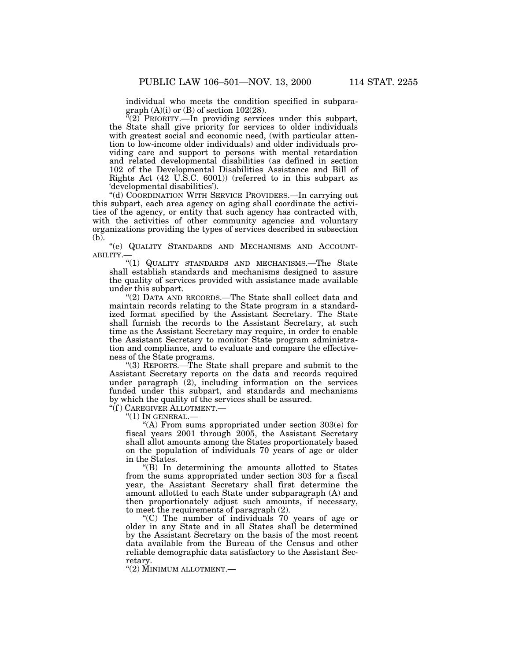individual who meets the condition specified in subparagraph  $(A)(i)$  or  $(B)$  of section 102(28).

 $\sqrt{2}$  PRIORITY.—In providing services under this subpart, the State shall give priority for services to older individuals with greatest social and economic need, (with particular attention to low-income older individuals) and older individuals providing care and support to persons with mental retardation and related developmental disabilities (as defined in section 102 of the Developmental Disabilities Assistance and Bill of Rights Act (42 U.S.C. 6001)) (referred to in this subpart as 'developmental disabilities').

"(d) COORDINATION WITH SERVICE PROVIDERS.—In carrying out this subpart, each area agency on aging shall coordinate the activities of the agency, or entity that such agency has contracted with, with the activities of other community agencies and voluntary organizations providing the types of services described in subsection (b).

''(e) QUALITY STANDARDS AND MECHANISMS AND ACCOUNT-ABILITY.—

"(1) QUALITY STANDARDS AND MECHANISMS.—The State shall establish standards and mechanisms designed to assure the quality of services provided with assistance made available under this subpart.

''(2) DATA AND RECORDS.—The State shall collect data and maintain records relating to the State program in a standardized format specified by the Assistant Secretary. The State shall furnish the records to the Assistant Secretary, at such time as the Assistant Secretary may require, in order to enable the Assistant Secretary to monitor State program administration and compliance, and to evaluate and compare the effectiveness of the State programs.

''(3) REPORTS.—The State shall prepare and submit to the Assistant Secretary reports on the data and records required under paragraph (2), including information on the services funded under this subpart, and standards and mechanisms by which the quality of the services shall be assured.

''(f ) CAREGIVER ALLOTMENT.—

 $"(1)$  In GENERAL. $-$ 

"(A) From sums appropriated under section  $303(e)$  for fiscal years 2001 through 2005, the Assistant Secretary shall allot amounts among the States proportionately based on the population of individuals 70 years of age or older in the States.

''(B) In determining the amounts allotted to States from the sums appropriated under section 303 for a fiscal year, the Assistant Secretary shall first determine the amount allotted to each State under subparagraph (A) and then proportionately adjust such amounts, if necessary, to meet the requirements of paragraph (2).

''(C) The number of individuals 70 years of age or older in any State and in all States shall be determined by the Assistant Secretary on the basis of the most recent data available from the Bureau of the Census and other reliable demographic data satisfactory to the Assistant Secretary.

''(2) MINIMUM ALLOTMENT.—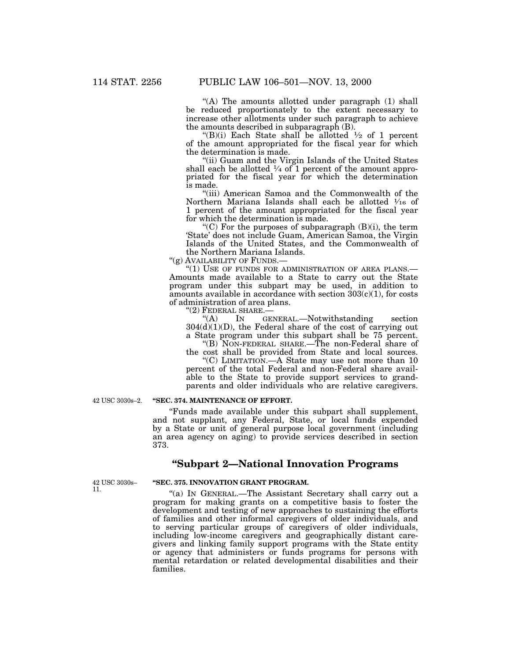"(A) The amounts allotted under paragraph (1) shall be reduced proportionately to the extent necessary to increase other allotments under such paragraph to achieve the amounts described in subparagraph (B).

"(B)(i) Each State shall be allotted  $\frac{1}{2}$  of 1 percent of the amount appropriated for the fiscal year for which the determination is made.

"(ii) Guam and the Virgin Islands of the United States shall each be allotted  $\frac{1}{4}$  of 1 percent of the amount appropriated for the fiscal year for which the determination is made.

"(iii) American Samoa and the Commonwealth of the Northern Mariana Islands shall each be allotted 1⁄16 of 1 percent of the amount appropriated for the fiscal year for which the determination is made.

" $(C)$  For the purposes of subparagraph  $(B)(i)$ , the term 'State' does not include Guam, American Samoa, the Virgin Islands of the United States, and the Commonwealth of the Northern Mariana Islands.

"(g) AVAILABILITY OF FUNDS.-

"(1) USE OF FUNDS FOR ADMINISTRATION OF AREA PLANS.— Amounts made available to a State to carry out the State program under this subpart may be used, in addition to amounts available in accordance with section  $303(c)(1)$ , for costs of administration of area plans.

"(2) FEDERAL SHARE.-<br>"(A) IN G

IN GENERAL.—Notwithstanding section  $304(d)(1)(D)$ , the Federal share of the cost of carrying out a State program under this subpart shall be 75 percent. ''(B) NON-FEDERAL SHARE.—The non-Federal share of

the cost shall be provided from State and local sources. ''(C) LIMITATION.—A State may use not more than 10

percent of the total Federal and non-Federal share available to the State to provide support services to grandparents and older individuals who are relative caregivers.

42 USC 3030s–2.

# **''SEC. 374. MAINTENANCE OF EFFORT.**

''Funds made available under this subpart shall supplement, and not supplant, any Federal, State, or local funds expended by a State or unit of general purpose local government (including an area agency on aging) to provide services described in section 373.

# **''Subpart 2—National Innovation Programs**

42 USC 3030s– 11.

# **''SEC. 375. INNOVATION GRANT PROGRAM.**

''(a) IN GENERAL.—The Assistant Secretary shall carry out a program for making grants on a competitive basis to foster the development and testing of new approaches to sustaining the efforts of families and other informal caregivers of older individuals, and to serving particular groups of caregivers of older individuals, including low-income caregivers and geographically distant caregivers and linking family support programs with the State entity or agency that administers or funds programs for persons with mental retardation or related developmental disabilities and their families.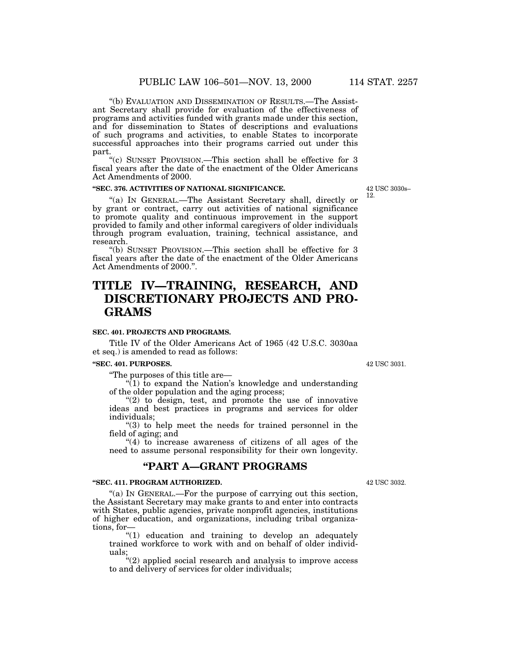''(b) EVALUATION AND DISSEMINATION OF RESULTS.—The Assistant Secretary shall provide for evaluation of the effectiveness of programs and activities funded with grants made under this section, and for dissemination to States of descriptions and evaluations of such programs and activities, to enable States to incorporate successful approaches into their programs carried out under this part.

''(c) SUNSET PROVISION.—This section shall be effective for 3 fiscal years after the date of the enactment of the Older Americans Act Amendments of 2000.

# **''SEC. 376. ACTIVITIES OF NATIONAL SIGNIFICANCE.**

''(a) IN GENERAL.—The Assistant Secretary shall, directly or by grant or contract, carry out activities of national significance to promote quality and continuous improvement in the support provided to family and other informal caregivers of older individuals through program evaluation, training, technical assistance, and

"(b) SUNSET PROVISION.—This section shall be effective for 3 fiscal years after the date of the enactment of the Older Americans Act Amendments of 2000.''.

# **TITLE IV—TRAINING, RESEARCH, AND DISCRETIONARY PROJECTS AND PRO-GRAMS**

### **SEC. 401. PROJECTS AND PROGRAMS.**

Title IV of the Older Americans Act of 1965 (42 U.S.C. 3030aa et seq.) is amended to read as follows:

# **''SEC. 401. PURPOSES.**

''The purposes of this title are—

 $\sqrt[n]{(1)}$  to expand the Nation's knowledge and understanding of the older population and the aging process;

 $''(2)$  to design, test, and promote the use of innovative ideas and best practices in programs and services for older individuals;

''(3) to help meet the needs for trained personnel in the field of aging; and

''(4) to increase awareness of citizens of all ages of the need to assume personal responsibility for their own longevity.

# **''PART A—GRANT PROGRAMS**

# **''SEC. 411. PROGRAM AUTHORIZED.**

"(a) IN GENERAL.—For the purpose of carrying out this section, the Assistant Secretary may make grants to and enter into contracts with States, public agencies, private nonprofit agencies, institutions of higher education, and organizations, including tribal organizations, for—

''(1) education and training to develop an adequately trained workforce to work with and on behalf of older individuals;

"(2) applied social research and analysis to improve access to and delivery of services for older individuals;

42 USC 3032.

42 USC 3031.

42 USC 3030s– 12.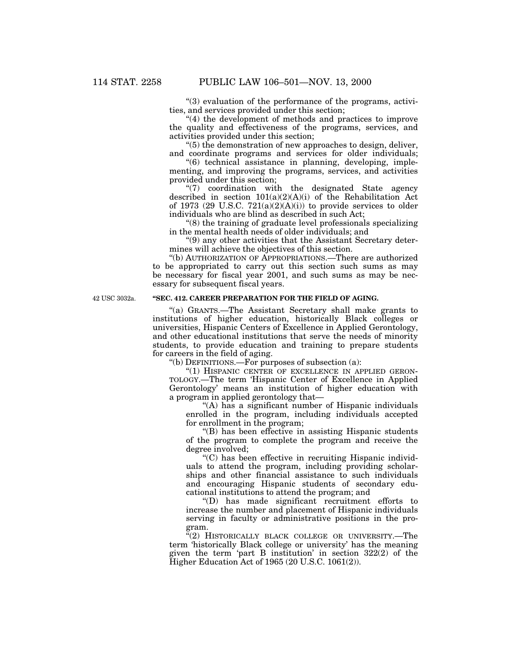$\degree$ (3) evaluation of the performance of the programs, activities, and services provided under this section;

''(4) the development of methods and practices to improve the quality and effectiveness of the programs, services, and activities provided under this section;

''(5) the demonstration of new approaches to design, deliver, and coordinate programs and services for older individuals;

''(6) technical assistance in planning, developing, implementing, and improving the programs, services, and activities provided under this section;

 $\degree$ (7) coordination with the designated State agency described in section  $101(a)(2)(A)(i)$  of the Rehabilitation Act of 1973 (29 U.S.C.  $721(a)(2)(A)(i)$ ) to provide services to older individuals who are blind as described in such Act;

''(8) the training of graduate level professionals specializing in the mental health needs of older individuals; and

''(9) any other activities that the Assistant Secretary determines will achieve the objectives of this section.

''(b) AUTHORIZATION OF APPROPRIATIONS.—There are authorized to be appropriated to carry out this section such sums as may be necessary for fiscal year 2001, and such sums as may be necessary for subsequent fiscal years.

42 USC 3032a.

# **''SEC. 412. CAREER PREPARATION FOR THE FIELD OF AGING.**

''(a) GRANTS.—The Assistant Secretary shall make grants to institutions of higher education, historically Black colleges or universities, Hispanic Centers of Excellence in Applied Gerontology, and other educational institutions that serve the needs of minority students, to provide education and training to prepare students for careers in the field of aging.

"(b) DEFINITIONS.—For purposes of subsection (a):

"(1) HISPANIC CENTER OF EXCELLENCE IN APPLIED GERON-TOLOGY.—The term 'Hispanic Center of Excellence in Applied Gerontology' means an institution of higher education with a program in applied gerontology that—

''(A) has a significant number of Hispanic individuals enrolled in the program, including individuals accepted for enrollment in the program;

''(B) has been effective in assisting Hispanic students of the program to complete the program and receive the degree involved;

''(C) has been effective in recruiting Hispanic individuals to attend the program, including providing scholarships and other financial assistance to such individuals and encouraging Hispanic students of secondary educational institutions to attend the program; and

''(D) has made significant recruitment efforts to increase the number and placement of Hispanic individuals serving in faculty or administrative positions in the program.

"(2) HISTORICALLY BLACK COLLEGE OR UNIVERSITY.—The term 'historically Black college or university' has the meaning given the term 'part B institution' in section 322(2) of the Higher Education Act of 1965 (20 U.S.C. 1061(2)).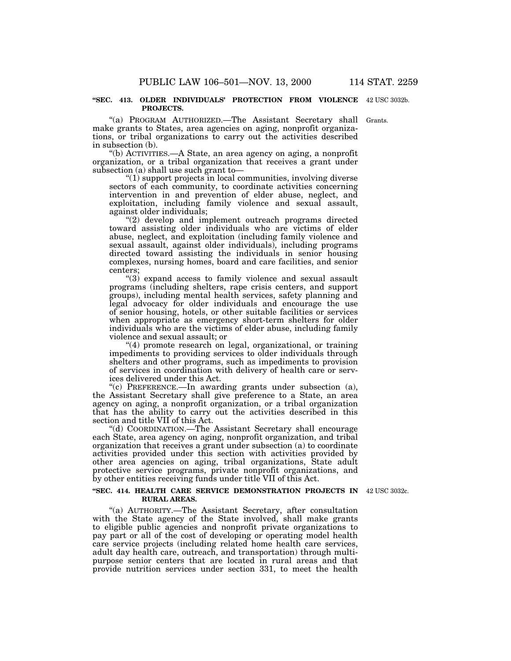#### **''SEC. 413. OLDER INDIVIDUALS' PROTECTION FROM VIOLENCE** 42 USC 3032b. **PROJECTS.**

"(a) PROGRAM AUTHORIZED.—The Assistant Secretary shall Grants. make grants to States, area agencies on aging, nonprofit organizations, or tribal organizations to carry out the activities described in subsection (b).

''(b) ACTIVITIES.—A State, an area agency on aging, a nonprofit organization, or a tribal organization that receives a grant under subsection  $(a)$  shall use such grant to-

''(1) support projects in local communities, involving diverse sectors of each community, to coordinate activities concerning intervention in and prevention of elder abuse, neglect, and exploitation, including family violence and sexual assault, against older individuals;

"(2) develop and implement outreach programs directed toward assisting older individuals who are victims of elder abuse, neglect, and exploitation (including family violence and sexual assault, against older individuals), including programs directed toward assisting the individuals in senior housing complexes, nursing homes, board and care facilities, and senior centers;

" $(3)$  expand access to family violence and sexual assault programs (including shelters, rape crisis centers, and support groups), including mental health services, safety planning and legal advocacy for older individuals and encourage the use of senior housing, hotels, or other suitable facilities or services when appropriate as emergency short-term shelters for older individuals who are the victims of elder abuse, including family violence and sexual assault; or

''(4) promote research on legal, organizational, or training impediments to providing services to older individuals through shelters and other programs, such as impediments to provision of services in coordination with delivery of health care or services delivered under this Act.

''(c) PREFERENCE.—In awarding grants under subsection (a), the Assistant Secretary shall give preference to a State, an area agency on aging, a nonprofit organization, or a tribal organization that has the ability to carry out the activities described in this section and title VII of this Act.

''(d) COORDINATION.—The Assistant Secretary shall encourage each State, area agency on aging, nonprofit organization, and tribal organization that receives a grant under subsection (a) to coordinate activities provided under this section with activities provided by other area agencies on aging, tribal organizations, State adult protective service programs, private nonprofit organizations, and by other entities receiving funds under title VII of this Act.

### **''SEC. 414. HEALTH CARE SERVICE DEMONSTRATION PROJECTS IN** 42 USC 3032c. **RURAL AREAS.**

''(a) AUTHORITY.—The Assistant Secretary, after consultation with the State agency of the State involved, shall make grants to eligible public agencies and nonprofit private organizations to pay part or all of the cost of developing or operating model health care service projects (including related home health care services, adult day health care, outreach, and transportation) through multipurpose senior centers that are located in rural areas and that provide nutrition services under section 331, to meet the health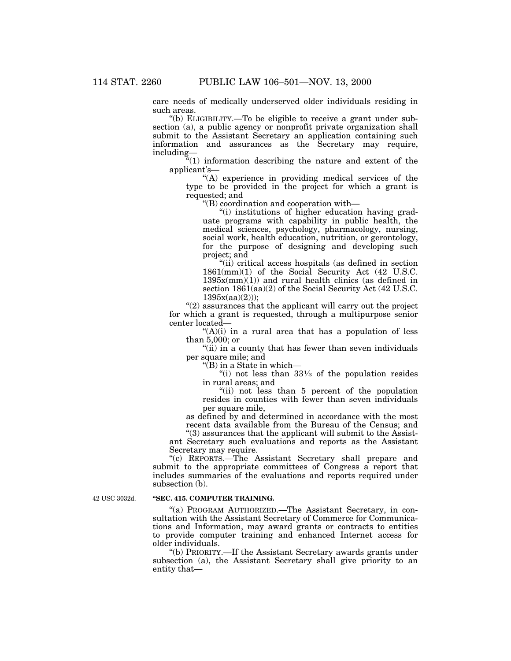care needs of medically underserved older individuals residing in such areas.

''(b) ELIGIBILITY.—To be eligible to receive a grant under subsection (a), a public agency or nonprofit private organization shall submit to the Assistant Secretary an application containing such information and assurances as the Secretary may require, including—

 $f''(1)$  information describing the nature and extent of the applicant's—

''(A) experience in providing medical services of the type to be provided in the project for which a grant is requested; and

''(B) coordination and cooperation with—

''(i) institutions of higher education having graduate programs with capability in public health, the medical sciences, psychology, pharmacology, nursing, social work, health education, nutrition, or gerontology, for the purpose of designing and developing such project; and

"(ii) critical access hospitals (as defined in section 1861(mm)(1) of the Social Security Act (42 U.S.C.  $1395x(mm)(1)$  and rural health clinics (as defined in section 1861(aa)(2) of the Social Security Act (42 U.S.C. 1395x(aa)(2)));

 $''(2)$  assurances that the applicant will carry out the project for which a grant is requested, through a multipurpose senior center located—

 $(A)(i)$  in a rural area that has a population of less than 5,000; or

"(ii) in a county that has fewer than seven individuals per square mile; and

''(B) in a State in which—

"(i) not less than  $33\frac{1}{3}$  of the population resides in rural areas; and

"(ii) not less than 5 percent of the population resides in counties with fewer than seven individuals per square mile,

as defined by and determined in accordance with the most recent data available from the Bureau of the Census; and

 $\degree$ (3) assurances that the applicant will submit to the Assistant Secretary such evaluations and reports as the Assistant Secretary may require.

''(c) REPORTS.—The Assistant Secretary shall prepare and submit to the appropriate committees of Congress a report that includes summaries of the evaluations and reports required under subsection (b).

42 USC 3032d.

## **''SEC. 415. COMPUTER TRAINING.**

''(a) PROGRAM AUTHORIZED.—The Assistant Secretary, in consultation with the Assistant Secretary of Commerce for Communications and Information, may award grants or contracts to entities to provide computer training and enhanced Internet access for older individuals.

''(b) PRIORITY.—If the Assistant Secretary awards grants under subsection (a), the Assistant Secretary shall give priority to an entity that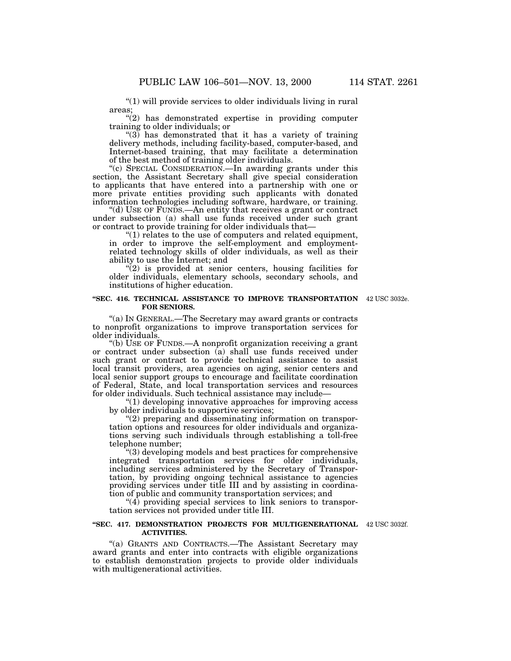''(1) will provide services to older individuals living in rural

areas;<br>"(2) has demonstrated expertise in providing computer training to older individuals; or

"(3) has demonstrated that it has a variety of training delivery methods, including facility-based, computer-based, and Internet-based training, that may facilitate a determination of the best method of training older individuals.

''(c) SPECIAL CONSIDERATION.—In awarding grants under this section, the Assistant Secretary shall give special consideration to applicants that have entered into a partnership with one or more private entities providing such applicants with donated information technologies including software, hardware, or training. ''(d) USE OF FUNDS.—An entity that receives a grant or contract

under subsection (a) shall use funds received under such grant or contract to provide training for older individuals that—

"(1) relates to the use of computers and related equipment, in order to improve the self-employment and employmentrelated technology skills of older individuals, as well as their

 $\sqrt{\hat{a}}$  is provided at senior centers, housing facilities for older individuals, elementary schools, secondary schools, and institutions of higher education.

#### **''SEC. 416. TECHNICAL ASSISTANCE TO IMPROVE TRANSPORTATION** 42 USC 3032e. **FOR SENIORS.**

''(a) IN GENERAL.—The Secretary may award grants or contracts to nonprofit organizations to improve transportation services for older individuals.

''(b) USE OF FUNDS.—A nonprofit organization receiving a grant or contract under subsection (a) shall use funds received under such grant or contract to provide technical assistance to assist local transit providers, area agencies on aging, senior centers and local senior support groups to encourage and facilitate coordination of Federal, State, and local transportation services and resources for older individuals. Such technical assistance may include—

''(1) developing innovative approaches for improving access by older individuals to supportive services;

 $(2)$  preparing and disseminating information on transportation options and resources for older individuals and organizations serving such individuals through establishing a toll-free telephone number;

''(3) developing models and best practices for comprehensive integrated transportation services for older individuals, including services administered by the Secretary of Transportation, by providing ongoing technical assistance to agencies providing services under title III and by assisting in coordination of public and community transportation services; and

''(4) providing special services to link seniors to transportation services not provided under title III.

### **''SEC. 417. DEMONSTRATION PROJECTS FOR MULTIGENERATIONAL** 42 USC 3032f. **ACTIVITIES.**

''(a) GRANTS AND CONTRACTS.—The Assistant Secretary may award grants and enter into contracts with eligible organizations to establish demonstration projects to provide older individuals with multigenerational activities.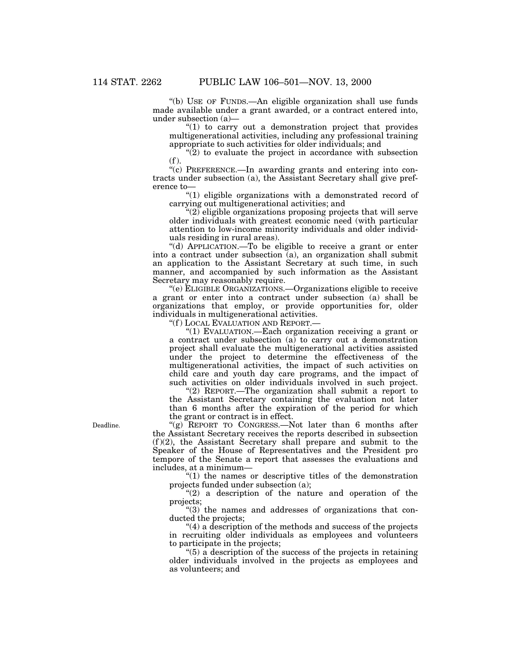''(b) USE OF FUNDS.—An eligible organization shall use funds made available under a grant awarded, or a contract entered into, under subsection (a)—

" $(1)$  to carry out a demonstration project that provides multigenerational activities, including any professional training appropriate to such activities for older individuals; and

 $\sqrt{\left(2\right)}$  to evaluate the project in accordance with subsection  $(f)$ .

''(c) PREFERENCE.—In awarding grants and entering into contracts under subsection (a), the Assistant Secretary shall give preference to—

''(1) eligible organizations with a demonstrated record of carrying out multigenerational activities; and

''(2) eligible organizations proposing projects that will serve older individuals with greatest economic need (with particular attention to low-income minority individuals and older individuals residing in rural areas).

''(d) APPLICATION.—To be eligible to receive a grant or enter into a contract under subsection (a), an organization shall submit an application to the Assistant Secretary at such time, in such manner, and accompanied by such information as the Assistant Secretary may reasonably require.

''(e) ELIGIBLE ORGANIZATIONS.—Organizations eligible to receive a grant or enter into a contract under subsection (a) shall be organizations that employ, or provide opportunities for, older individuals in multigenerational activities.

''(f ) LOCAL EVALUATION AND REPORT.—

''(1) EVALUATION.—Each organization receiving a grant or a contract under subsection  $(a)$  to carry out a demonstration project shall evaluate the multigenerational activities assisted under the project to determine the effectiveness of the multigenerational activities, the impact of such activities on child care and youth day care programs, and the impact of such activities on older individuals involved in such project.

''(2) REPORT.—The organization shall submit a report to the Assistant Secretary containing the evaluation not later than 6 months after the expiration of the period for which the grant or contract is in effect.

" $(g)$  REPORT TO CONGRESS.—Not later than 6 months after the Assistant Secretary receives the reports described in subsection  $(f)(2)$ , the Assistant Secretary shall prepare and submit to the Speaker of the House of Representatives and the President pro tempore of the Senate a report that assesses the evaluations and includes, at a minimum—

''(1) the names or descriptive titles of the demonstration projects funded under subsection (a);

"(2) a description of the nature and operation of the projects;

" $(3)$  the names and addresses of organizations that conducted the projects;

''(4) a description of the methods and success of the projects in recruiting older individuals as employees and volunteers to participate in the projects;

 $(5)$  a description of the success of the projects in retaining older individuals involved in the projects as employees and as volunteers; and

Deadline.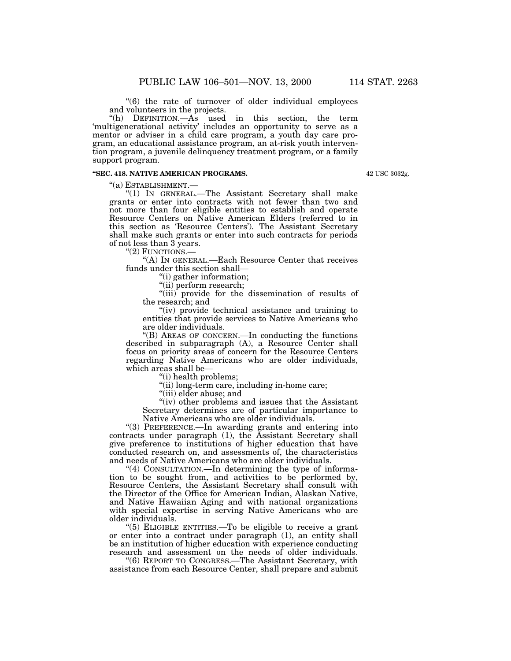"(6) the rate of turnover of older individual employees and volunteers in the projects.

''(h) DEFINITION.—As used in this section, the term 'multigenerational activity' includes an opportunity to serve as a mentor or adviser in a child care program, a youth day care program, an educational assistance program, an at-risk youth intervention program, a juvenile delinquency treatment program, or a family support program.

### **''SEC. 418. NATIVE AMERICAN PROGRAMS.**

42 USC 3032g.

''(a) ESTABLISHMENT.— ''(1) IN GENERAL.—The Assistant Secretary shall make grants or enter into contracts with not fewer than two and not more than four eligible entities to establish and operate Resource Centers on Native American Elders (referred to in this section as 'Resource Centers'). The Assistant Secretary shall make such grants or enter into such contracts for periods of not less than 3 years.<br>"(2) FUNCTIONS.—

''(A) IN GENERAL.—Each Resource Center that receives funds under this section shall—

''(i) gather information;

"(ii) perform research;

"(iii) provide for the dissemination of results of the research; and

"(iv) provide technical assistance and training to entities that provide services to Native Americans who are older individuals.

''(B) AREAS OF CONCERN.—In conducting the functions described in subparagraph (A), a Resource Center shall focus on priority areas of concern for the Resource Centers regarding Native Americans who are older individuals, which areas shall be—

''(i) health problems;

"(ii) long-term care, including in-home care;

''(iii) elder abuse; and

"(iv) other problems and issues that the Assistant Secretary determines are of particular importance to Native Americans who are older individuals.

''(3) PREFERENCE.—In awarding grants and entering into contracts under paragraph (1), the Assistant Secretary shall give preference to institutions of higher education that have conducted research on, and assessments of, the characteristics and needs of Native Americans who are older individuals.

''(4) CONSULTATION.—In determining the type of information to be sought from, and activities to be performed by, Resource Centers, the Assistant Secretary shall consult with the Director of the Office for American Indian, Alaskan Native, and Native Hawaiian Aging and with national organizations with special expertise in serving Native Americans who are

"(5) ELIGIBLE ENTITIES.—To be eligible to receive a grant or enter into a contract under paragraph (1), an entity shall be an institution of higher education with experience conducting research and assessment on the needs of older individuals.

''(6) REPORT TO CONGRESS.—The Assistant Secretary, with assistance from each Resource Center, shall prepare and submit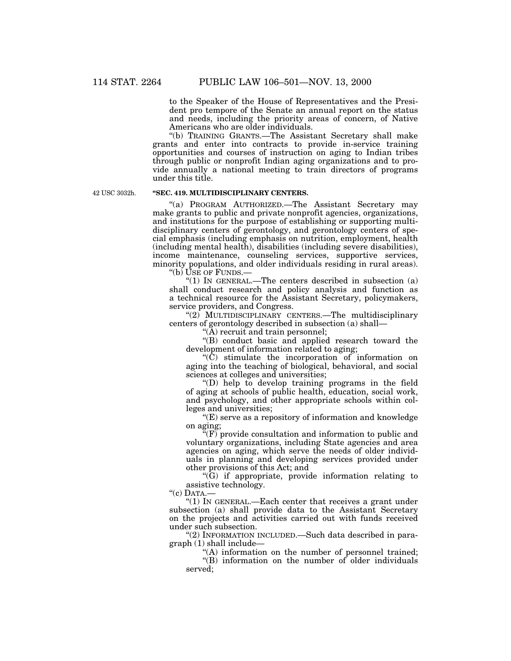to the Speaker of the House of Representatives and the President pro tempore of the Senate an annual report on the status and needs, including the priority areas of concern, of Native Americans who are older individuals.

''(b) TRAINING GRANTS.—The Assistant Secretary shall make grants and enter into contracts to provide in-service training opportunities and courses of instruction on aging to Indian tribes through public or nonprofit Indian aging organizations and to provide annually a national meeting to train directors of programs under this title.

42 USC 3032h.

### **''SEC. 419. MULTIDISCIPLINARY CENTERS.**

''(a) PROGRAM AUTHORIZED.—The Assistant Secretary may make grants to public and private nonprofit agencies, organizations, and institutions for the purpose of establishing or supporting multidisciplinary centers of gerontology, and gerontology centers of special emphasis (including emphasis on nutrition, employment, health (including mental health), disabilities (including severe disabilities), income maintenance, counseling services, supportive services, minority populations, and older individuals residing in rural areas).

''(b) USE OF FUNDS.—

" $(1)$  In GENERAL.—The centers described in subsection  $(a)$ shall conduct research and policy analysis and function as a technical resource for the Assistant Secretary, policymakers, service providers, and Congress.

"(2) MULTIDISCIPLINARY CENTERS.—The multidisciplinary centers of gerontology described in subsection (a) shall—

''(A) recruit and train personnel;

''(B) conduct basic and applied research toward the development of information related to aging;

 $\mathrm{``}(\mathrm{C})$  stimulate the incorporation of information on aging into the teaching of biological, behavioral, and social sciences at colleges and universities;

''(D) help to develop training programs in the field of aging at schools of public health, education, social work, and psychology, and other appropriate schools within colleges and universities;

''(E) serve as a repository of information and knowledge on aging;

 $\sqrt[\alpha]{F}$  provide consultation and information to public and voluntary organizations, including State agencies and area agencies on aging, which serve the needs of older individuals in planning and developing services provided under other provisions of this Act; and

 $(C)$  if appropriate, provide information relating to assistive technology.

" $(c)$  DATA. $\cdot$ 

''(1) IN GENERAL.—Each center that receives a grant under subsection (a) shall provide data to the Assistant Secretary on the projects and activities carried out with funds received under such subsection.

''(2) INFORMATION INCLUDED.—Such data described in paragraph (1) shall include—

 $f(A)$  information on the number of personnel trained;

''(B) information on the number of older individuals served;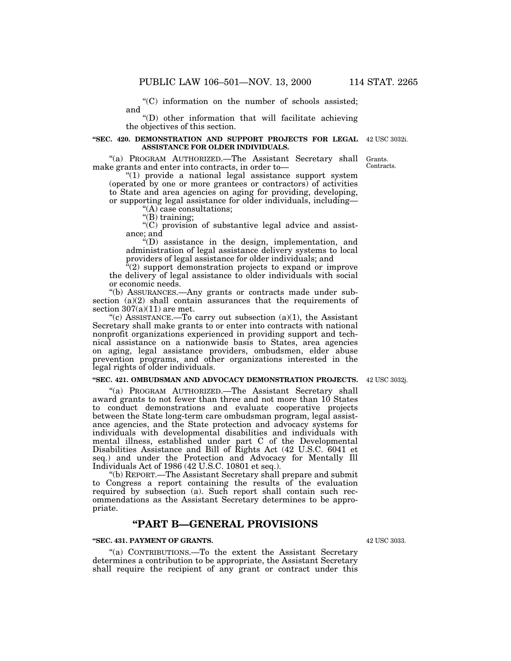$C$ ) information on the number of schools assisted;

and "(D) other information that will facilitate achieving the objectives of this section.

#### **''SEC. 420. DEMONSTRATION AND SUPPORT PROJECTS FOR LEGAL** 42 USC 3032i. **ASSISTANCE FOR OLDER INDIVIDUALS.**

''(a) PROGRAM AUTHORIZED.—The Assistant Secretary shall make grants and enter into contracts, in order to—<br>"(1) provide a national legal assistance support system

(operated by one or more grantees or contractors) of activities to State and area agencies on aging for providing, developing, or supporting legal assistance for older individuals, including— ''(A) case consultations;

"(B) training;

''(C) provision of substantive legal advice and assistance; and<br>
"(D) assistance in the design, implementation, and

administration of legal assistance delivery systems to local providers of legal assistance for older individuals; and

"(2) support demonstration projects to expand or improve the delivery of legal assistance to older individuals with social or economic needs.

''(b) ASSURANCES.—Any grants or contracts made under subsection (a)(2) shall contain assurances that the requirements of section  $307(a)(11)$  are met.

"(c) ASSISTANCE.—To carry out subsection  $(a)(1)$ , the Assistant Secretary shall make grants to or enter into contracts with national nonprofit organizations experienced in providing support and technical assistance on a nationwide basis to States, area agencies on aging, legal assistance providers, ombudsmen, elder abuse prevention programs, and other organizations interested in the legal rights of older individuals.

#### **''SEC. 421. OMBUDSMAN AND ADVOCACY DEMONSTRATION PROJECTS.** 42 USC 3032j.

''(a) PROGRAM AUTHORIZED.—The Assistant Secretary shall award grants to not fewer than three and not more than 10 States to conduct demonstrations and evaluate cooperative projects between the State long-term care ombudsman program, legal assistance agencies, and the State protection and advocacy systems for individuals with developmental disabilities and individuals with mental illness, established under part C of the Developmental Disabilities Assistance and Bill of Rights Act (42 U.S.C. 6041 et seq.) and under the Protection and Advocacy for Mentally Ill Individuals Act of 1986 (42 U.S.C. 10801 et seq.).

''(b) REPORT.—The Assistant Secretary shall prepare and submit to Congress a report containing the results of the evaluation required by subsection (a). Such report shall contain such recommendations as the Assistant Secretary determines to be appropriate.

# **''PART B—GENERAL PROVISIONS**

## **''SEC. 431. PAYMENT OF GRANTS.**

''(a) CONTRIBUTIONS.—To the extent the Assistant Secretary determines a contribution to be appropriate, the Assistant Secretary shall require the recipient of any grant or contract under this

42 USC 3033.

Grants. Contracts.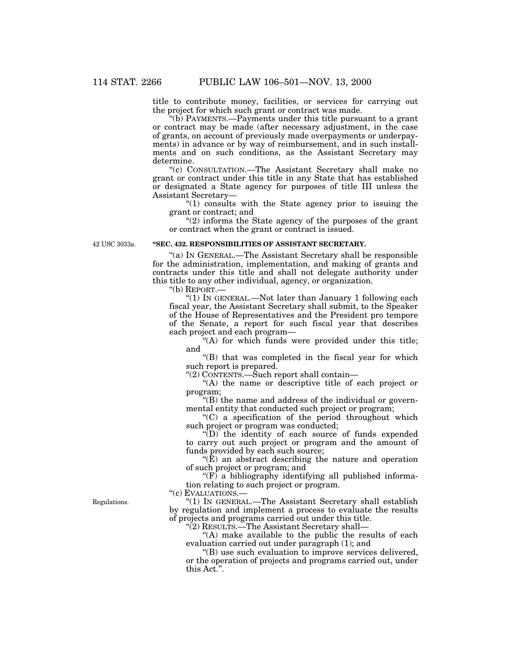title to contribute money, facilities, or services for carrying out the project for which such grant or contract was made.

''(b) PAYMENTS.—Payments under this title pursuant to a grant or contract may be made (after necessary adjustment, in the case of grants, on account of previously made overpayments or underpayments) in advance or by way of reimbursement, and in such installments and on such conditions, as the Assistant Secretary may determine.

''(c) CONSULTATION.—The Assistant Secretary shall make no grant or contract under this title in any State that has established or designated a State agency for purposes of title III unless the Assistant Secretary—

''(1) consults with the State agency prior to issuing the grant or contract; and

''(2) informs the State agency of the purposes of the grant or contract when the grant or contract is issued.

42 USC 3033a.

# **''SEC. 432. RESPONSIBILITIES OF ASSISTANT SECRETARY.**

''(a) IN GENERAL.—The Assistant Secretary shall be responsible for the administration, implementation, and making of grants and contracts under this title and shall not delegate authority under this title to any other individual, agency, or organization.

''(b) REPORT.—

"(1) IN GENERAL.—Not later than January 1 following each fiscal year, the Assistant Secretary shall submit, to the Speaker of the House of Representatives and the President pro tempore of the Senate, a report for such fiscal year that describes each project and each program—

 $(A)$  for which funds were provided under this title; and

"(B) that was completed in the fiscal year for which such report is prepared.

''(2) CONTENTS.—Such report shall contain—

''(A) the name or descriptive title of each project or program;

''(B) the name and address of the individual or governmental entity that conducted such project or program;

''(C) a specification of the period throughout which such project or program was conducted;

 $\sqrt[m]{(D)}$  the identity of each source of funds expended to carry out such project or program and the amount of funds provided by each such source;

" $(\dot{E})$  an abstract describing the nature and operation of such project or program; and

" $(F)$  a bibliography identifying all published information relating to such project or program.

"(c) EVALUATIONS.-

''(1) IN GENERAL.—The Assistant Secretary shall establish by regulation and implement a process to evaluate the results of projects and programs carried out under this title.

''(2) RESULTS.—The Assistant Secretary shall—

''(A) make available to the public the results of each evaluation carried out under paragraph (1); and

"(B) use such evaluation to improve services delivered,

or the operation of projects and programs carried out, under this Act.''.

Regulations.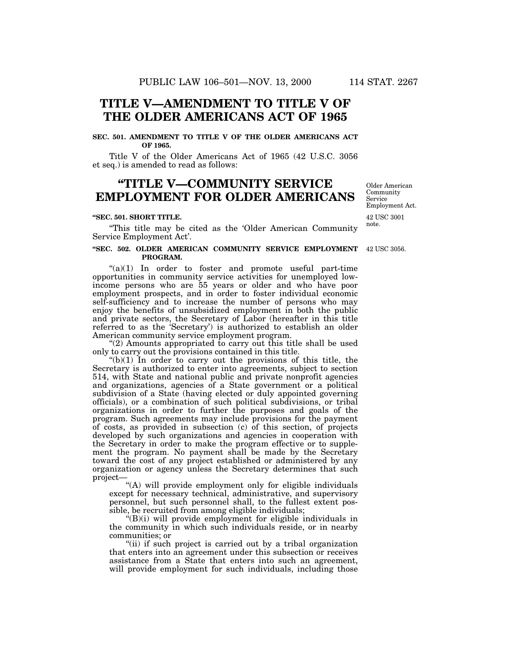# **TITLE V—AMENDMENT TO TITLE V OF THE OLDER AMERICANS ACT OF 1965**

# **SEC. 501. AMENDMENT TO TITLE V OF THE OLDER AMERICANS ACT OF 1965.**

Title V of the Older Americans Act of 1965 (42 U.S.C. 3056 et seq.) is amended to read as follows:

# **''TITLE V—COMMUNITY SERVICE EMPLOYMENT FOR OLDER AMERICANS**

### **''SEC. 501. SHORT TITLE.**

''This title may be cited as the 'Older American Community Service Employment Act'.

### **''SEC. 502. OLDER AMERICAN COMMUNITY SERVICE EMPLOYMENT** 42 USC 3056. **PROGRAM.**

 $((a)(1)$  In order to foster and promote useful part-time opportunities in community service activities for unemployed lowincome persons who are 55 years or older and who have poor employment prospects, and in order to foster individual economic self-sufficiency and to increase the number of persons who may enjoy the benefits of unsubsidized employment in both the public and private sectors, the Secretary of Labor (hereafter in this title referred to as the 'Secretary') is authorized to establish an older American community service employment program.

"(2) Amounts appropriated to carry out this title shall be used only to carry out the provisions contained in this title.

" $(b)(1)$  In order to carry out the provisions of this title, the Secretary is authorized to enter into agreements, subject to section 514, with State and national public and private nonprofit agencies and organizations, agencies of a State government or a political subdivision of a State (having elected or duly appointed governing officials), or a combination of such political subdivisions, or tribal organizations in order to further the purposes and goals of the program. Such agreements may include provisions for the payment of costs, as provided in subsection (c) of this section, of projects developed by such organizations and agencies in cooperation with the Secretary in order to make the program effective or to supplement the program. No payment shall be made by the Secretary toward the cost of any project established or administered by any organization or agency unless the Secretary determines that such project—

"(A) will provide employment only for eligible individuals except for necessary technical, administrative, and supervisory personnel, but such personnel shall, to the fullest extent possible, be recruited from among eligible individuals;

 $H(x)$ <sup>"</sup>(B)(i) will provide employment for eligible individuals in the community in which such individuals reside, or in nearby communities; or

"(ii) if such project is carried out by a tribal organization" that enters into an agreement under this subsection or receives assistance from a State that enters into such an agreement, will provide employment for such individuals, including those

42 USC 3001 note. Older American Community Service Employment Act.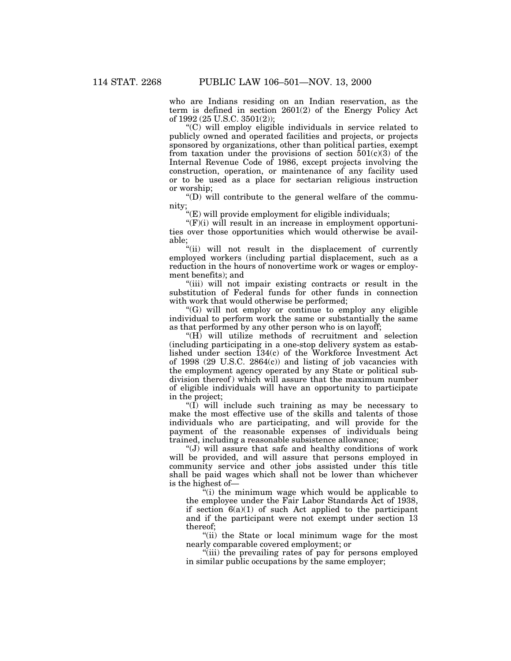who are Indians residing on an Indian reservation, as the term is defined in section 2601(2) of the Energy Policy Act of 1992 (25 U.S.C. 3501(2));

''(C) will employ eligible individuals in service related to publicly owned and operated facilities and projects, or projects sponsored by organizations, other than political parties, exempt from taxation under the provisions of section  $501(c)(3)$  of the Internal Revenue Code of 1986, except projects involving the construction, operation, or maintenance of any facility used or to be used as a place for sectarian religious instruction or worship;

''(D) will contribute to the general welfare of the community;

''(E) will provide employment for eligible individuals;

 $f(F)(i)$  will result in an increase in employment opportunities over those opportunities which would otherwise be available;

"(ii) will not result in the displacement of currently employed workers (including partial displacement, such as a reduction in the hours of nonovertime work or wages or employment benefits); and

''(iii) will not impair existing contracts or result in the substitution of Federal funds for other funds in connection with work that would otherwise be performed;

''(G) will not employ or continue to employ any eligible individual to perform work the same or substantially the same as that performed by any other person who is on layoff;

"(H) will utilize methods of recruitment and selection (including participating in a one-stop delivery system as established under section 134(c) of the Workforce Investment Act of 1998 (29 U.S.C. 2864(c)) and listing of job vacancies with the employment agency operated by any State or political subdivision thereof) which will assure that the maximum number of eligible individuals will have an opportunity to participate in the project;

''(I) will include such training as may be necessary to make the most effective use of the skills and talents of those individuals who are participating, and will provide for the payment of the reasonable expenses of individuals being trained, including a reasonable subsistence allowance;

''(J) will assure that safe and healthy conditions of work will be provided, and will assure that persons employed in community service and other jobs assisted under this title shall be paid wages which shall not be lower than whichever is the highest of—

 $\tilde{f}(i)$  the minimum wage which would be applicable to the employee under the Fair Labor Standards Act of 1938, if section  $6(a)(1)$  of such Act applied to the participant and if the participant were not exempt under section 13 thereof;

''(ii) the State or local minimum wage for the most nearly comparable covered employment; or

''(iii) the prevailing rates of pay for persons employed in similar public occupations by the same employer;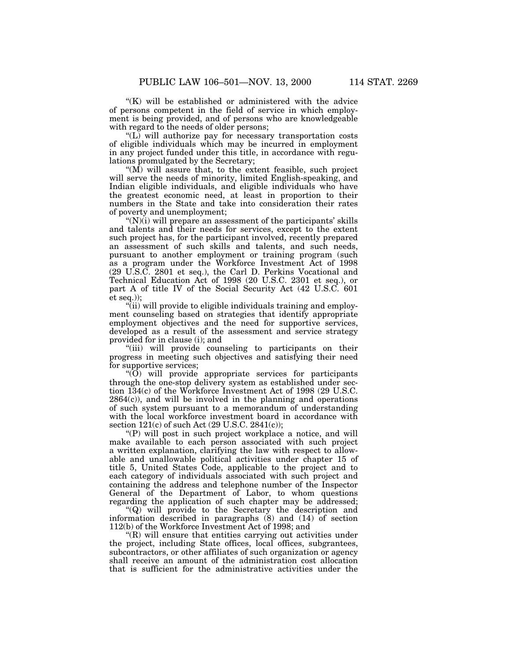"(K) will be established or administered with the advice of persons competent in the field of service in which employment is being provided, and of persons who are knowledgeable with regard to the needs of older persons;

''(L) will authorize pay for necessary transportation costs of eligible individuals which may be incurred in employment in any project funded under this title, in accordance with regulations promulgated by the Secretary;

" $(M)$  will assure that, to the extent feasible, such project will serve the needs of minority, limited English-speaking, and Indian eligible individuals, and eligible individuals who have the greatest economic need, at least in proportion to their numbers in the State and take into consideration their rates of poverty and unemployment;

 $(N)(i)$  will prepare an assessment of the participants' skills and talents and their needs for services, except to the extent such project has, for the participant involved, recently prepared an assessment of such skills and talents, and such needs, pursuant to another employment or training program (such as a program under the Workforce Investment Act of 1998 (29 U.S.C. 2801 et seq.), the Carl D. Perkins Vocational and Technical Education Act of 1998 (20 U.S.C. 2301 et seq.), or part A of title IV of the Social Security Act (42 U.S.C. 601 et seq.));

"(ii) will provide to eligible individuals training and employment counseling based on strategies that identify appropriate employment objectives and the need for supportive services, developed as a result of the assessment and service strategy provided for in clause (i); and

"(iii) will provide counseling to participants on their progress in meeting such objectives and satisfying their need for supportive services;

 $\angle$ <sup>"(O)</sup> will provide appropriate services for participants through the one-stop delivery system as established under section 134(c) of the Workforce Investment Act of 1998 (29 U.S.C. 2864(c)), and will be involved in the planning and operations of such system pursuant to a memorandum of understanding with the local workforce investment board in accordance with section  $121(c)$  of such Act (29 U.S.C. 2841(c));

''(P) will post in such project workplace a notice, and will make available to each person associated with such project a written explanation, clarifying the law with respect to allowable and unallowable political activities under chapter 15 of title 5, United States Code, applicable to the project and to each category of individuals associated with such project and containing the address and telephone number of the Inspector General of the Department of Labor, to whom questions regarding the application of such chapter may be addressed;

''(Q) will provide to the Secretary the description and information described in paragraphs  $(8)$  and  $(14)$  of section 112(b) of the Workforce Investment Act of 1998; and

''(R) will ensure that entities carrying out activities under the project, including State offices, local offices, subgrantees, subcontractors, or other affiliates of such organization or agency shall receive an amount of the administration cost allocation that is sufficient for the administrative activities under the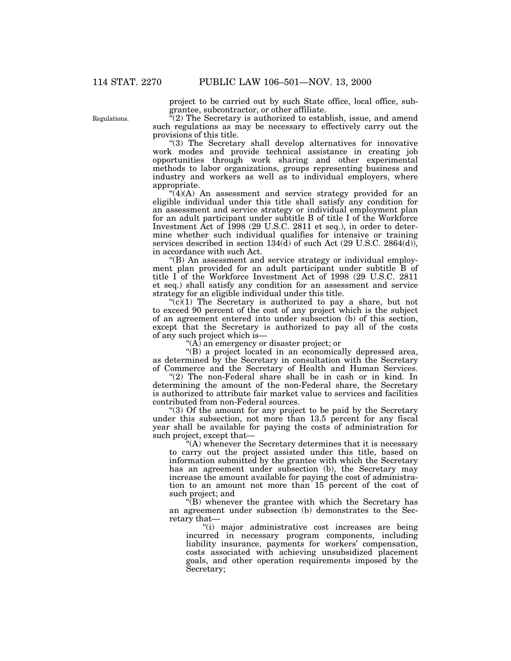project to be carried out by such State office, local office, subgrantee, subcontractor, or other affiliate.

 $\sqrt{2}$ ) The Secretary is authorized to establish, issue, and amend such regulations as may be necessary to effectively carry out the provisions of this title.

''(3) The Secretary shall develop alternatives for innovative work modes and provide technical assistance in creating job opportunities through work sharing and other experimental methods to labor organizations, groups representing business and industry and workers as well as to individual employers, where appropriate.

 $\mathcal{A}(A)$  An assessment and service strategy provided for an eligible individual under this title shall satisfy any condition for an assessment and service strategy or individual employment plan for an adult participant under subtitle B of title I of the Workforce Investment Act of 1998 (29 U.S.C. 2811 et seq.), in order to determine whether such individual qualifies for intensive or training services described in section  $134(d)$  of such Act (29 U.S.C. 2864(d)), in accordance with such Act.

''(B) An assessment and service strategy or individual employment plan provided for an adult participant under subtitle B of title I of the Workforce Investment Act of 1998 (29 U.S.C. 2811) et seq.) shall satisfy any condition for an assessment and service strategy for an eligible individual under this title.

" $(c)(1)$  The Secretary is authorized to pay a share, but not to exceed 90 percent of the cost of any project which is the subject of an agreement entered into under subsection (b) of this section, except that the Secretary is authorized to pay all of the costs of any such project which is—

" $(A)$  an emergency or disaster project; or

''(B) a project located in an economically depressed area, as determined by the Secretary in consultation with the Secretary of Commerce and the Secretary of Health and Human Services.

"(2) The non-Federal share shall be in cash or in kind. In determining the amount of the non-Federal share, the Secretary is authorized to attribute fair market value to services and facilities contributed from non-Federal sources.

''(3) Of the amount for any project to be paid by the Secretary under this subsection, not more than 13.5 percent for any fiscal year shall be available for paying the costs of administration for such project, except that—

''(A) whenever the Secretary determines that it is necessary to carry out the project assisted under this title, based on information submitted by the grantee with which the Secretary has an agreement under subsection (b), the Secretary may increase the amount available for paying the cost of administration to an amount not more than 15 percent of the cost of such project; and

 $\sqrt{\text{B}}$  whenever the grantee with which the Secretary has an agreement under subsection (b) demonstrates to the Secretary that—

''(i) major administrative cost increases are being incurred in necessary program components, including liability insurance, payments for workers' compensation, costs associated with achieving unsubsidized placement goals, and other operation requirements imposed by the Secretary;

Regulations.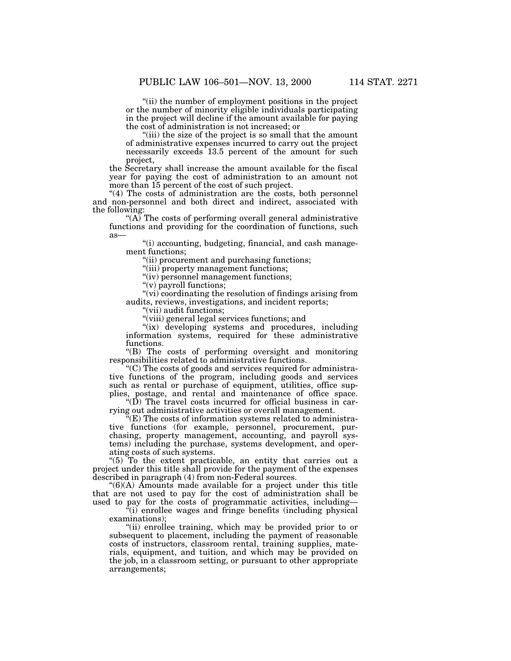"(ii) the number of employment positions in the project or the number of minority eligible individuals participating in the project will decline if the amount available for paying the cost of administration is not increased; or

"(iii) the size of the project is so small that the amount of administrative expenses incurred to carry out the project necessarily exceeds 13.5 percent of the amount for such project,

the Secretary shall increase the amount available for the fiscal year for paying the cost of administration to an amount not more than 15 percent of the cost of such project.

"(4) The costs of administration are the costs, both personnel and non-personnel and both direct and indirect, associated with the following:

" $(A)$ ) The costs of performing overall general administrative functions and providing for the coordination of functions, such as—

''(i) accounting, budgeting, financial, and cash management functions;

''(ii) procurement and purchasing functions;

''(iii) property management functions;

"(iv) personnel management functions;

"(v) payroll functions;

"(vi) coordinating the resolution of findings arising from audits, reviews, investigations, and incident reports;

''(vii) audit functions;

''(viii) general legal services functions; and

"(ix) developing systems and procedures, including information systems, required for these administrative functions.

''(B) The costs of performing oversight and monitoring responsibilities related to administrative functions.

 $C$ ) The costs of goods and services required for administrative functions of the program, including goods and services such as rental or purchase of equipment, utilities, office supplies, postage, and rental and maintenance of office space.

" $(D)$  The travel costs incurred for official business in carrying out administrative activities or overall management.

 $\sqrt{F(E)}$  The costs of information systems related to administrative functions (for example, personnel, procurement, purchasing, property management, accounting, and payroll systems) including the purchase, systems development, and operating costs of such systems.

" $(5)$  To the extent practicable, an entity that carries out a project under this title shall provide for the payment of the expenses described in paragraph (4) from non-Federal sources.

 $!(6)(A)$  Amounts made available for a project under this title that are not used to pay for the cost of administration shall be used to pay for the costs of programmatic activities, including—

''(i) enrollee wages and fringe benefits (including physical examinations);

"(ii) enrollee training, which may be provided prior to or subsequent to placement, including the payment of reasonable costs of instructors, classroom rental, training supplies, materials, equipment, and tuition, and which may be provided on the job, in a classroom setting, or pursuant to other appropriate arrangements;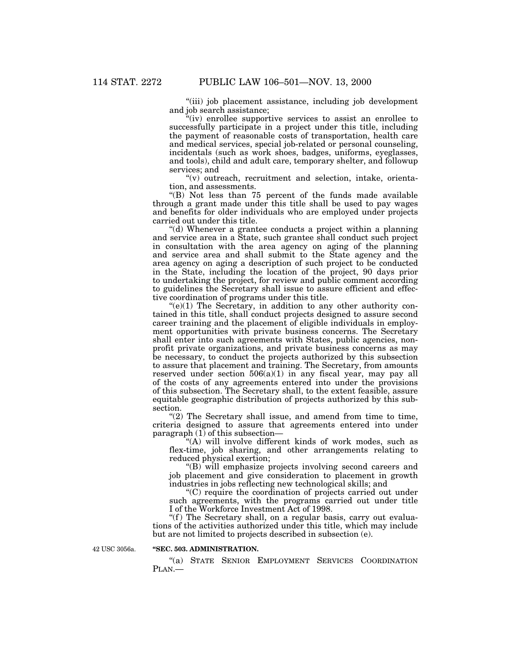''(iii) job placement assistance, including job development and job search assistance;

 $f'(iv)$  enrollee supportive services to assist an enrollee to successfully participate in a project under this title, including the payment of reasonable costs of transportation, health care and medical services, special job-related or personal counseling, incidentals (such as work shoes, badges, uniforms, eyeglasses, and tools), child and adult care, temporary shelter, and followup services; and

''(v) outreach, recruitment and selection, intake, orientation, and assessments.

''(B) Not less than 75 percent of the funds made available through a grant made under this title shall be used to pay wages and benefits for older individuals who are employed under projects carried out under this title.

''(d) Whenever a grantee conducts a project within a planning and service area in a State, such grantee shall conduct such project in consultation with the area agency on aging of the planning and service area and shall submit to the State agency and the area agency on aging a description of such project to be conducted in the State, including the location of the project, 90 days prior to undertaking the project, for review and public comment according to guidelines the Secretary shall issue to assure efficient and effective coordination of programs under this title.

 $((e)(1)$  The Secretary, in addition to any other authority contained in this title, shall conduct projects designed to assure second career training and the placement of eligible individuals in employment opportunities with private business concerns. The Secretary shall enter into such agreements with States, public agencies, nonprofit private organizations, and private business concerns as may be necessary, to conduct the projects authorized by this subsection to assure that placement and training. The Secretary, from amounts reserved under section 506(a)(1) in any fiscal year, may pay all of the costs of any agreements entered into under the provisions of this subsection. The Secretary shall, to the extent feasible, assure equitable geographic distribution of projects authorized by this subsection.

" $(2)$  The Secretary shall issue, and amend from time to time, criteria designed to assure that agreements entered into under paragraph (1) of this subsection—

''(A) will involve different kinds of work modes, such as flex-time, job sharing, and other arrangements relating to reduced physical exertion;

 $E(B)$  will emphasize projects involving second careers and job placement and give consideration to placement in growth industries in jobs reflecting new technological skills; and

''(C) require the coordination of projects carried out under such agreements, with the programs carried out under title I of the Workforce Investment Act of 1998.

"(f) The Secretary shall, on a regular basis, carry out evaluations of the activities authorized under this title, which may include but are not limited to projects described in subsection (e).

42 USC 3056a.

# **''SEC. 503. ADMINISTRATION.**

''(a) STATE SENIOR EMPLOYMENT SERVICES COORDINATION PLAN.—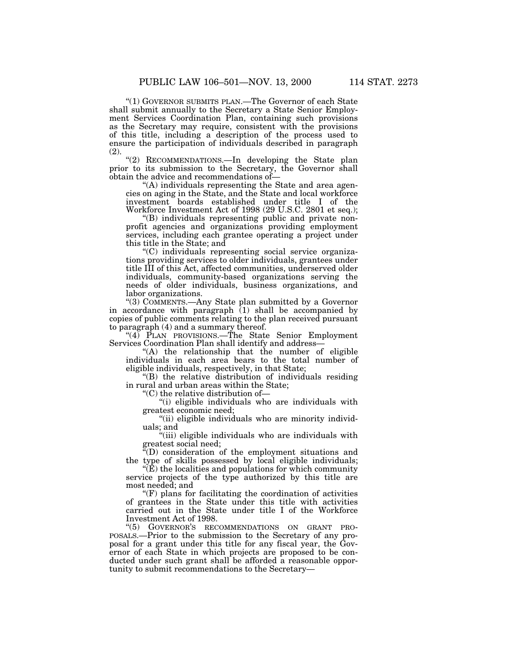''(1) GOVERNOR SUBMITS PLAN.—The Governor of each State shall submit annually to the Secretary a State Senior Employment Services Coordination Plan, containing such provisions as the Secretary may require, consistent with the provisions of this title, including a description of the process used to ensure the participation of individuals described in paragraph (2).

"(2) RECOMMENDATIONS.—In developing the State plan prior to its submission to the Secretary, the Governor shall obtain the advice and recommendations of—

 $\hat{P}(A)$  individuals representing the State and area agencies on aging in the State, and the State and local workforce investment boards established under title I of the

Workforce Investment Act of 1998 (29 U.S.C. 2801 et seq.); ''(B) individuals representing public and private nonprofit agencies and organizations providing employment services, including each grantee operating a project under

"(C) individuals representing social service organizations providing services to older individuals, grantees under title III of this Act, affected communities, underserved older individuals, community-based organizations serving the needs of older individuals, business organizations, and labor organizations.

''(3) COMMENTS.—Any State plan submitted by a Governor in accordance with paragraph (1) shall be accompanied by copies of public comments relating to the plan received pursuant to paragraph (4) and a summary thereof.

"(4) PLAN PROVISIONS.—The State Senior Employment Services Coordination Plan shall identify and address—

''(A) the relationship that the number of eligible individuals in each area bears to the total number of eligible individuals, respectively, in that State;

''(B) the relative distribution of individuals residing in rural and urban areas within the State;  $"({\rm C})$  the relative distribution of—

''(i) eligible individuals who are individuals with greatest economic need;

''(ii) eligible individuals who are minority individuals; and

''(iii) eligible individuals who are individuals with greatest social need;

''(D) consideration of the employment situations and the type of skills possessed by local eligible individuals;

 $\mathcal{L}(\mathbf{\tilde{E}})$  the localities and populations for which community service projects of the type authorized by this title are most needed; and

''(F) plans for facilitating the coordination of activities of grantees in the State under this title with activities carried out in the State under title I of the Workforce Investment Act of 1998.

''(5) GOVERNOR'S RECOMMENDATIONS ON GRANT PRO-POSALS.—Prior to the submission to the Secretary of any proposal for a grant under this title for any fiscal year, the Governor of each State in which projects are proposed to be conducted under such grant shall be afforded a reasonable opportunity to submit recommendations to the Secretary—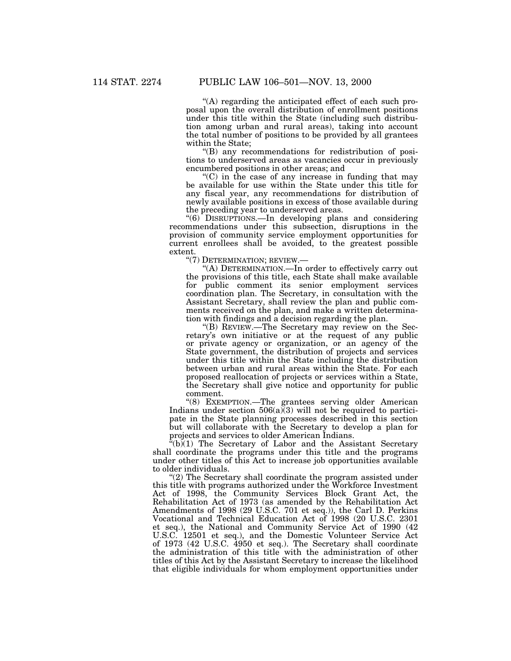''(A) regarding the anticipated effect of each such proposal upon the overall distribution of enrollment positions under this title within the State (including such distribution among urban and rural areas), taking into account the total number of positions to be provided by all grantees within the State;

''(B) any recommendations for redistribution of positions to underserved areas as vacancies occur in previously encumbered positions in other areas; and

''(C) in the case of any increase in funding that may be available for use within the State under this title for any fiscal year, any recommendations for distribution of newly available positions in excess of those available during the preceding year to underserved areas.

''(6) DISRUPTIONS.—In developing plans and considering recommendations under this subsection, disruptions in the provision of community service employment opportunities for current enrollees shall be avoided, to the greatest possible

"(7) DETERMINATION; REVIEW.—

''(A) DETERMINATION.—In order to effectively carry out the provisions of this title, each State shall make available for public comment its senior employment services coordination plan. The Secretary, in consultation with the Assistant Secretary, shall review the plan and public comments received on the plan, and make a written determination with findings and a decision regarding the plan.

''(B) REVIEW.—The Secretary may review on the Secretary's own initiative or at the request of any public or private agency or organization, or an agency of the State government, the distribution of projects and services under this title within the State including the distribution between urban and rural areas within the State. For each proposed reallocation of projects or services within a State, the Secretary shall give notice and opportunity for public comment.

''(8) EXEMPTION.—The grantees serving older American Indians under section 506(a)(3) will not be required to participate in the State planning processes described in this section but will collaborate with the Secretary to develop a plan for projects and services to older American Indians.

 $F(b)(1)$  The Secretary of Labor and the Assistant Secretary shall coordinate the programs under this title and the programs under other titles of this Act to increase job opportunities available to older individuals.

"(2) The Secretary shall coordinate the program assisted under this title with programs authorized under the Workforce Investment Act of 1998, the Community Services Block Grant Act, the Rehabilitation Act of 1973 (as amended by the Rehabilitation Act Amendments of 1998 (29 U.S.C. 701 et seq.)), the Carl D. Perkins Vocational and Technical Education Act of 1998 (20 U.S.C. 2301 et seq.), the National and Community Service Act of 1990 (42 U.S.C. 12501 et seq.), and the Domestic Volunteer Service Act of 1973 (42 U.S.C. 4950 et seq.). The Secretary shall coordinate the administration of this title with the administration of other titles of this Act by the Assistant Secretary to increase the likelihood that eligible individuals for whom employment opportunities under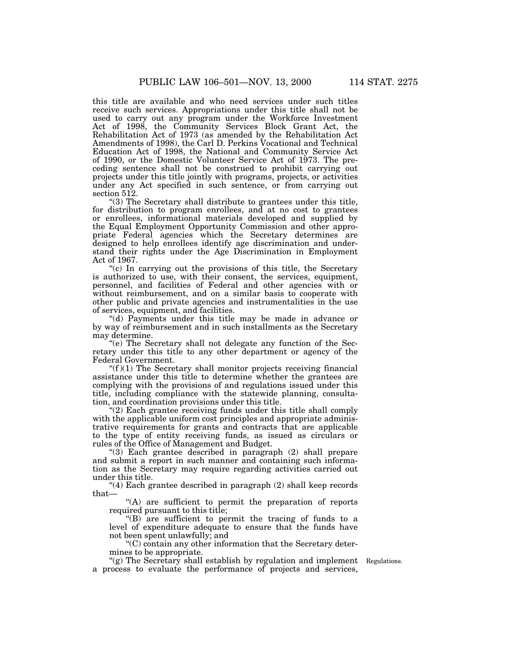this title are available and who need services under such titles receive such services. Appropriations under this title shall not be used to carry out any program under the Workforce Investment Act of 1998, the Community Services Block Grant Act, the Rehabilitation Act of 1973 (as amended by the Rehabilitation Act Amendments of 1998), the Carl D. Perkins Vocational and Technical Education Act of 1998, the National and Community Service Act of 1990, or the Domestic Volunteer Service Act of 1973. The preceding sentence shall not be construed to prohibit carrying out projects under this title jointly with programs, projects, or activities under any Act specified in such sentence, or from carrying out section 512.

''(3) The Secretary shall distribute to grantees under this title, for distribution to program enrollees, and at no cost to grantees or enrollees, informational materials developed and supplied by the Equal Employment Opportunity Commission and other appropriate Federal agencies which the Secretary determines are designed to help enrollees identify age discrimination and understand their rights under the Age Discrimination in Employment Act of 1967.

''(c) In carrying out the provisions of this title, the Secretary is authorized to use, with their consent, the services, equipment, personnel, and facilities of Federal and other agencies with or without reimbursement, and on a similar basis to cooperate with other public and private agencies and instrumentalities in the use of services, equipment, and facilities.

''(d) Payments under this title may be made in advance or by way of reimbursement and in such installments as the Secretary may determine.

''(e) The Secretary shall not delegate any function of the Secretary under this title to any other department or agency of the Federal Government.

 $f(f)(1)$  The Secretary shall monitor projects receiving financial assistance under this title to determine whether the grantees are complying with the provisions of and regulations issued under this title, including compliance with the statewide planning, consultation, and coordination provisions under this title.

''(2) Each grantee receiving funds under this title shall comply with the applicable uniform cost principles and appropriate administrative requirements for grants and contracts that are applicable to the type of entity receiving funds, as issued as circulars or rules of the Office of Management and Budget.

''(3) Each grantee described in paragraph (2) shall prepare and submit a report in such manner and containing such information as the Secretary may require regarding activities carried out under this title.

''(4) Each grantee described in paragraph (2) shall keep records that—

''(A) are sufficient to permit the preparation of reports required pursuant to this title;

 $'(B)$  are sufficient to permit the tracing of funds to a level of expenditure adequate to ensure that the funds have not been spent unlawfully; and

''(C) contain any other information that the Secretary determines to be appropriate.

''(g) The Secretary shall establish by regulation and implement Regulations. a process to evaluate the performance of projects and services,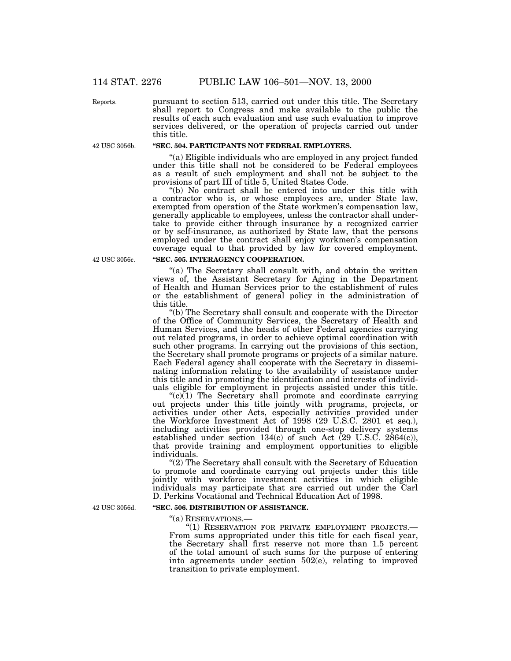Reports.

pursuant to section 513, carried out under this title. The Secretary shall report to Congress and make available to the public the results of each such evaluation and use such evaluation to improve services delivered, or the operation of projects carried out under this title.

42 USC 3056b.

# **''SEC. 504. PARTICIPANTS NOT FEDERAL EMPLOYEES.**

''(a) Eligible individuals who are employed in any project funded under this title shall not be considered to be Federal employees as a result of such employment and shall not be subject to the provisions of part III of title 5, United States Code. ''(b) No contract shall be entered into under this title with

a contractor who is, or whose employees are, under State law, exempted from operation of the State workmen's compensation law, generally applicable to employees, unless the contractor shall undertake to provide either through insurance by a recognized carrier or by self-insurance, as authorized by State law, that the persons employed under the contract shall enjoy workmen's compensation coverage equal to that provided by law for covered employment.

# **''SEC. 505. INTERAGENCY COOPERATION.**

"(a) The Secretary shall consult with, and obtain the written views of, the Assistant Secretary for Aging in the Department of Health and Human Services prior to the establishment of rules or the establishment of general policy in the administration of this title.

''(b) The Secretary shall consult and cooperate with the Director of the Office of Community Services, the Secretary of Health and Human Services, and the heads of other Federal agencies carrying out related programs, in order to achieve optimal coordination with such other programs. In carrying out the provisions of this section, the Secretary shall promote programs or projects of a similar nature. Each Federal agency shall cooperate with the Secretary in disseminating information relating to the availability of assistance under this title and in promoting the identification and interests of individuals eligible for employment in projects assisted under this title.  $"({\rm c})(1)$  The Secretary shall promote and coordinate carrying

out projects under this title jointly with programs, projects, or activities under other Acts, especially activities provided under the Workforce Investment Act of 1998 (29 U.S.C. 2801 et seq.), including activities provided through one-stop delivery systems established under section 134(c) of such Act (29 U.S.C. 2864(c)), that provide training and employment opportunities to eligible

 $f(2)$  The Secretary shall consult with the Secretary of Education to promote and coordinate carrying out projects under this title jointly with workforce investment activities in which eligible individuals may participate that are carried out under the Carl D. Perkins Vocational and Technical Education Act of 1998.

42 USC 3056d.

### **''SEC. 506. DISTRIBUTION OF ASSISTANCE.**

"(a) RESERVATIONS.—<br>"(1) RESERVATION FOR PRIVATE EMPLOYMENT PROJECTS.— From sums appropriated under this title for each fiscal year, the Secretary shall first reserve not more than 1.5 percent of the total amount of such sums for the purpose of entering into agreements under section 502(e), relating to improved transition to private employment.

42 USC 3056c.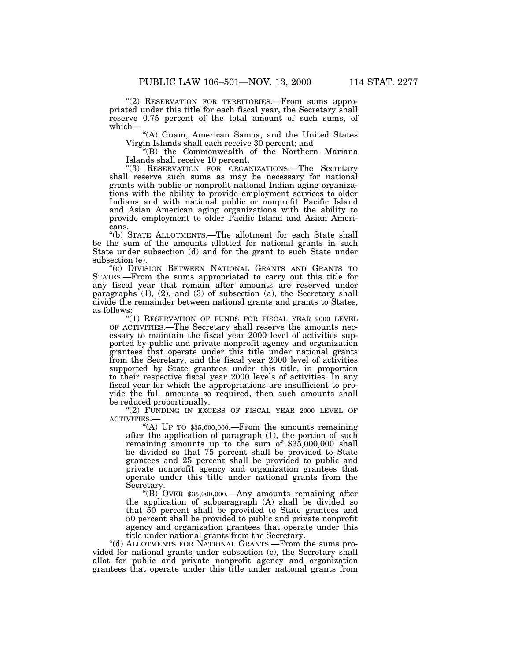"(2) RESERVATION FOR TERRITORIES.—From sums appropriated under this title for each fiscal year, the Secretary shall reserve 0.75 percent of the total amount of such sums, of which—

''(A) Guam, American Samoa, and the United States Virgin Islands shall each receive 30 percent; and

''(B) the Commonwealth of the Northern Mariana Islands shall receive 10 percent.

''(3) RESERVATION FOR ORGANIZATIONS.—The Secretary shall reserve such sums as may be necessary for national grants with public or nonprofit national Indian aging organizations with the ability to provide employment services to older Indians and with national public or nonprofit Pacific Island and Asian American aging organizations with the ability to provide employment to older Pacific Island and Asian Americans.

''(b) STATE ALLOTMENTS.—The allotment for each State shall be the sum of the amounts allotted for national grants in such State under subsection (d) and for the grant to such State under subsection (e).

''(c) DIVISION BETWEEN NATIONAL GRANTS AND GRANTS TO STATES.—From the sums appropriated to carry out this title for any fiscal year that remain after amounts are reserved under paragraphs  $(1)$ ,  $(2)$ , and  $(3)$  of subsection  $(a)$ , the Secretary shall divide the remainder between national grants and grants to States, as follows:

''(1) RESERVATION OF FUNDS FOR FISCAL YEAR 2000 LEVEL OF ACTIVITIES.—The Secretary shall reserve the amounts necessary to maintain the fiscal year 2000 level of activities supported by public and private nonprofit agency and organization grantees that operate under this title under national grants from the Secretary, and the fiscal year 2000 level of activities supported by State grantees under this title, in proportion to their respective fiscal year 2000 levels of activities. In any fiscal year for which the appropriations are insufficient to provide the full amounts so required, then such amounts shall be reduced proportionally.

''(2) FUNDING IN EXCESS OF FISCAL YEAR 2000 LEVEL OF ACTIVITIES.—

''(A) UP TO \$35,000,000.—From the amounts remaining after the application of paragraph (1), the portion of such remaining amounts up to the sum of \$35,000,000 shall be divided so that 75 percent shall be provided to State grantees and 25 percent shall be provided to public and private nonprofit agency and organization grantees that operate under this title under national grants from the Secretary.

''(B) OVER \$35,000,000.—Any amounts remaining after the application of subparagraph (A) shall be divided so that 50 percent shall be provided to State grantees and 50 percent shall be provided to public and private nonprofit agency and organization grantees that operate under this title under national grants from the Secretary.

''(d) ALLOTMENTS FOR NATIONAL GRANTS.—From the sums provided for national grants under subsection (c), the Secretary shall allot for public and private nonprofit agency and organization grantees that operate under this title under national grants from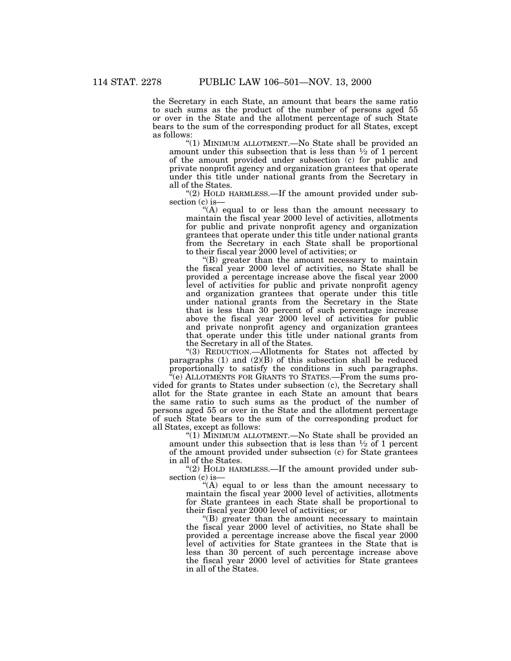the Secretary in each State, an amount that bears the same ratio to such sums as the product of the number of persons aged 55 or over in the State and the allotment percentage of such State bears to the sum of the corresponding product for all States, except as follows:

''(1) MINIMUM ALLOTMENT.—No State shall be provided an amount under this subsection that is less than  $\frac{1}{2}$  of 1 percent of the amount provided under subsection (c) for public and private nonprofit agency and organization grantees that operate under this title under national grants from the Secretary in

"(2) HOLD HARMLESS.—If the amount provided under subsection (c) is—

"(A) equal to or less than the amount necessary to maintain the fiscal year 2000 level of activities, allotments for public and private nonprofit agency and organization grantees that operate under this title under national grants from the Secretary in each State shall be proportional to their fiscal year  $\tilde{2}000$  level of activities; or  $\tilde{B}$  "(B) greater than the amount necessary to maintain

the fiscal year 2000 level of activities, no State shall be provided a percentage increase above the fiscal year 2000 level of activities for public and private nonprofit agency and organization grantees that operate under this title under national grants from the Secretary in the State that is less than 30 percent of such percentage increase above the fiscal year 2000 level of activities for public and private nonprofit agency and organization grantees that operate under this title under national grants from the Secretary in all of the States.

"(3) REDUCTION.--Allotments for States not affected by paragraphs (1) and (2)(B) of this subsection shall be reduced proportionally to satisfy the conditions in such paragraphs.

 $e^{i\phi}$ (e) ALLOTMENTS FOR GRANTS TO STATES.—From the sums provided for grants to States under subsection (c), the Secretary shall allot for the State grantee in each State an amount that bears the same ratio to such sums as the product of the number of persons aged 55 or over in the State and the allotment percentage of such State bears to the sum of the corresponding product for all States, except as follows:

 $''(1)$  MINIMUM ALLOTMENT.—No State shall be provided an amount under this subsection that is less than  $\frac{1}{2}$  of 1 percent of the amount provided under subsection (c) for State grantees in all of the States.

"(2) HOLD HARMLESS.—If the amount provided under subsection (c) is—

''(A) equal to or less than the amount necessary to maintain the fiscal year 2000 level of activities, allotments for State grantees in each State shall be proportional to their fiscal year 2000 level of activities; or

''(B) greater than the amount necessary to maintain the fiscal year 2000 level of activities, no State shall be provided a percentage increase above the fiscal year 2000 level of activities for State grantees in the State that is less than 30 percent of such percentage increase above the fiscal year 2000 level of activities for State grantees in all of the States.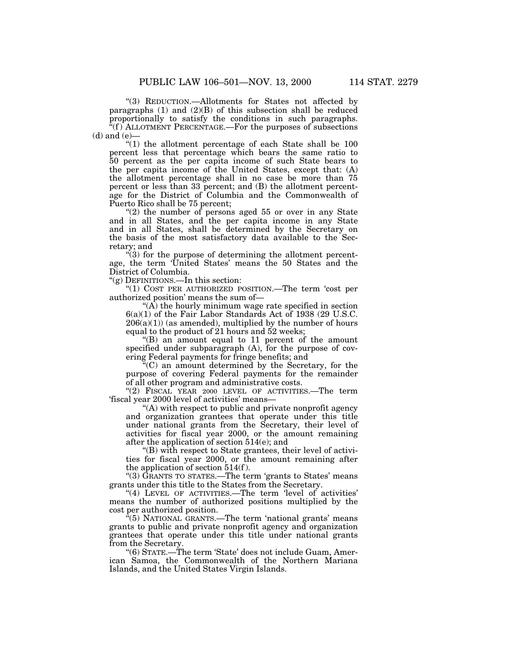''(3) REDUCTION.—Allotments for States not affected by paragraphs  $(1)$  and  $(2)(B)$  of this subsection shall be reduced proportionally to satisfy the conditions in such paragraphs. "(f) ALLOTMENT PERCENTAGE.—For the purposes of subsections  $(d)$  and  $(e)$ —

 $(1)$  the allotment percentage of each State shall be 100 percent less that percentage which bears the same ratio to 50 percent as the per capita income of such State bears to the per capita income of the United States, except that: (A) the allotment percentage shall in no case be more than 75 percent or less than 33 percent; and (B) the allotment percentage for the District of Columbia and the Commonwealth of Puerto Rico shall be 75 percent;

" $(2)$  the number of persons aged 55 or over in any State and in all States, and the per capita income in any State and in all States, shall be determined by the Secretary on the basis of the most satisfactory data available to the Secretary; and

 $\ddot{G}$ ) for the purpose of determining the allotment percentage, the term 'United States' means the 50 States and the District of Columbia.

''(g) DEFINITIONS.—In this section:

''(1) COST PER AUTHORIZED POSITION.—The term 'cost per authorized position' means the sum of—

 $f(A)$  the hourly minimum wage rate specified in section 6(a)(1) of the Fair Labor Standards Act of 1938 (29 U.S.C.  $206(a)(1)$  (as amended), multiplied by the number of hours equal to the product of 21 hours and 52 weeks;

''(B) an amount equal to 11 percent of the amount specified under subparagraph (A), for the purpose of covering Federal payments for fringe benefits; and

''(C) an amount determined by the Secretary, for the purpose of covering Federal payments for the remainder of all other program and administrative costs.

''(2) FISCAL YEAR 2000 LEVEL OF ACTIVITIES.—The term 'fiscal year 2000 level of activities' means—

''(A) with respect to public and private nonprofit agency and organization grantees that operate under this title under national grants from the Secretary, their level of activities for fiscal year 2000, or the amount remaining after the application of section 514(e); and

''(B) with respect to State grantees, their level of activities for fiscal year 2000, or the amount remaining after the application of section 514(f ).

''(3) GRANTS TO STATES.—The term 'grants to States' means grants under this title to the States from the Secretary.

"(4) LEVEL OF ACTIVITIES.—The term 'level of activities' means the number of authorized positions multiplied by the cost per authorized position.

 $^{a}(5)$  NATIONAL GRANTS.—The term 'national grants' means grants to public and private nonprofit agency and organization grantees that operate under this title under national grants from the Secretary.

''(6) STATE.—The term 'State' does not include Guam, American Samoa, the Commonwealth of the Northern Mariana Islands, and the United States Virgin Islands.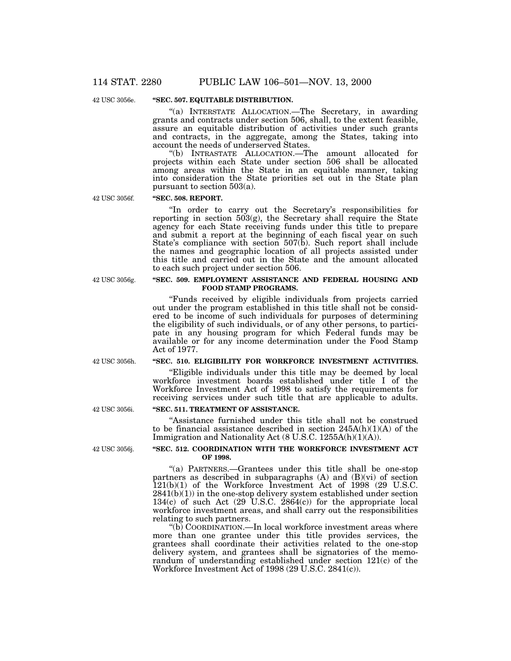42 USC 3056e.

## **''SEC. 507. EQUITABLE DISTRIBUTION.**

''(a) INTERSTATE ALLOCATION.—The Secretary, in awarding grants and contracts under section 506, shall, to the extent feasible, assure an equitable distribution of activities under such grants and contracts, in the aggregate, among the States, taking into account the needs of underserved States.

''(b) INTRASTATE ALLOCATION.—The amount allocated for projects within each State under section 506 shall be allocated among areas within the State in an equitable manner, taking into consideration the State priorities set out in the State plan pursuant to section 503(a).

42 USC 3056f.

### **''SEC. 508. REPORT.**

''In order to carry out the Secretary's responsibilities for reporting in section  $503(g)$ , the Secretary shall require the State agency for each State receiving funds under this title to prepare and submit a report at the beginning of each fiscal year on such State's compliance with section 507(b). Such report shall include the names and geographic location of all projects assisted under this title and carried out in the State and the amount allocated to each such project under section 506.

## **''SEC. 509. EMPLOYMENT ASSISTANCE AND FEDERAL HOUSING AND FOOD STAMP PROGRAMS.**

''Funds received by eligible individuals from projects carried out under the program established in this title shall not be considered to be income of such individuals for purposes of determining the eligibility of such individuals, or of any other persons, to participate in any housing program for which Federal funds may be available or for any income determination under the Food Stamp Act of 1977.

### **''SEC. 510. ELIGIBILITY FOR WORKFORCE INVESTMENT ACTIVITIES.**

''Eligible individuals under this title may be deemed by local workforce investment boards established under title I of the Workforce Investment Act of 1998 to satisfy the requirements for receiving services under such title that are applicable to adults.

### **''SEC. 511. TREATMENT OF ASSISTANCE.**

''Assistance furnished under this title shall not be construed to be financial assistance described in section  $245A(h)(1)(A)$  of the Immigration and Nationality Act (8 U.S.C. 1255A(h)(1)(A)).

### **''SEC. 512. COORDINATION WITH THE WORKFORCE INVESTMENT ACT OF 1998.**

''(a) PARTNERS.—Grantees under this title shall be one-stop partners as described in subparagraphs  $(A)$  and  $(B)(vi)$  of section 121(b)(1) of the Workforce Investment Act of 1998 (29 U.S.C.  $2841(b)(1)$ ) in the one-stop delivery system established under section  $134(c)$  of such Act  $(29 \text{ U.S.C. } 2864(c))$  for the appropriate local workforce investment areas, and shall carry out the responsibilities relating to such partners.

''(b) COORDINATION.—In local workforce investment areas where more than one grantee under this title provides services, the grantees shall coordinate their activities related to the one-stop delivery system, and grantees shall be signatories of the memorandum of understanding established under section 121(c) of the Workforce Investment Act of 1998 (29 U.S.C. 2841(c)).

42 USC 3056g.

42 USC 3056h.

42 USC 3056i.

42 USC 3056j.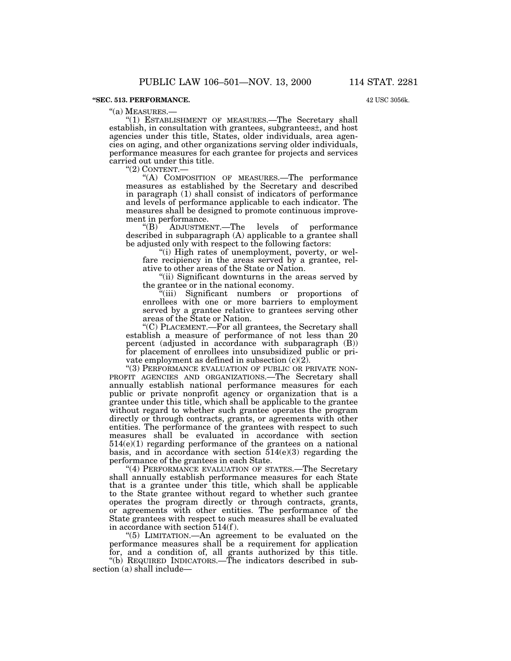''(a) MEASURES.— ''(1) ESTABLISHMENT OF MEASURES.—The Secretary shall establish, in consultation with grantees, subgrantees±, and host agencies under this title, States, older individuals, area agencies on aging, and other organizations serving older individuals, performance measures for each grantee for projects and services

"(2) CONTENT.—<br>"(A) COMPOSITION OF MEASURES.—The performance measures as established by the Secretary and described in paragraph (1) shall consist of indicators of performance and levels of performance applicable to each indicator. The measures shall be designed to promote continuous improve-

"(B) ADJUSTMENT.—The levels of performance described in subparagraph (A) applicable to a grantee shall be adjusted only with respect to the following factors:

"(i) High rates of unemployment, poverty, or welfare recipiency in the areas served by a grantee, relative to other areas of the State or Nation.

"(ii) Significant downturns in the areas served by the grantee or in the national economy.

''(iii) Significant numbers or proportions of enrollees with one or more barriers to employment served by a grantee relative to grantees serving other areas of the State or Nation.

''(C) PLACEMENT.—For all grantees, the Secretary shall establish a measure of performance of not less than 20 percent (adjusted in accordance with subparagraph (B)) for placement of enrollees into unsubsidized public or private employment as defined in subsection  $(c)(2)$ .

''(3) PERFORMANCE EVALUATION OF PUBLIC OR PRIVATE NON-PROFIT AGENCIES AND ORGANIZATIONS.—The Secretary shall annually establish national performance measures for each public or private nonprofit agency or organization that is a grantee under this title, which shall be applicable to the grantee without regard to whether such grantee operates the program directly or through contracts, grants, or agreements with other entities. The performance of the grantees with respect to such measures shall be evaluated in accordance with section  $514(e)(1)$  regarding performance of the grantees on a national basis, and in accordance with section  $514(e)(3)$  regarding the performance of the grantees in each State.

''(4) PERFORMANCE EVALUATION OF STATES.—The Secretary shall annually establish performance measures for each State that is a grantee under this title, which shall be applicable to the State grantee without regard to whether such grantee operates the program directly or through contracts, grants, or agreements with other entities. The performance of the State grantees with respect to such measures shall be evaluated in accordance with section 514(f ).

''(5) LIMITATION.—An agreement to be evaluated on the performance measures shall be a requirement for application for, and a condition of, all grants authorized by this title.

''(b) REQUIRED INDICATORS.—The indicators described in subsection (a) shall include—

42 USC 3056k.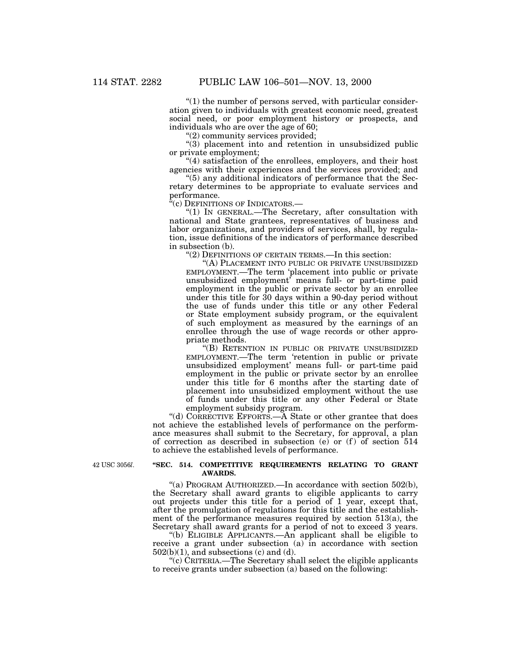$(1)$  the number of persons served, with particular consideration given to individuals with greatest economic need, greatest social need, or poor employment history or prospects, and individuals who are over the age of 60;

''(2) community services provided;

''(3) placement into and retention in unsubsidized public or private employment;

"(4) satisfaction of the enrollees, employers, and their host agencies with their experiences and the services provided; and

''(5) any additional indicators of performance that the Secretary determines to be appropriate to evaluate services and performance.

''(c) DEFINITIONS OF INDICATORS.—

" $(1)$  In GENERAL.—The Secretary, after consultation with national and State grantees, representatives of business and labor organizations, and providers of services, shall, by regulation, issue definitions of the indicators of performance described in subsection (b).

''(2) DEFINITIONS OF CERTAIN TERMS.—In this section:

''(A) PLACEMENT INTO PUBLIC OR PRIVATE UNSUBSIDIZED EMPLOYMENT.—The term 'placement into public or private unsubsidized employment' means full- or part-time paid employment in the public or private sector by an enrollee under this title for 30 days within a 90-day period without the use of funds under this title or any other Federal or State employment subsidy program, or the equivalent of such employment as measured by the earnings of an enrollee through the use of wage records or other appropriate methods.

''(B) RETENTION IN PUBLIC OR PRIVATE UNSUBSIDIZED EMPLOYMENT.—The term 'retention in public or private unsubsidized employment' means full- or part-time paid employment in the public or private sector by an enrollee under this title for 6 months after the starting date of placement into unsubsidized employment without the use of funds under this title or any other Federal or State employment subsidy program.

''(d) CORRECTIVE EFFORTS.—A State or other grantee that does not achieve the established levels of performance on the performance measures shall submit to the Secretary, for approval, a plan of correction as described in subsection (e) or  $(f)$  of section 514 to achieve the established levels of performance.

42 USC 3056*l*.

### **''SEC. 514. COMPETITIVE REQUIREMENTS RELATING TO GRANT AWARDS.**

''(a) PROGRAM AUTHORIZED.—In accordance with section 502(b), the Secretary shall award grants to eligible applicants to carry out projects under this title for a period of 1 year, except that, after the promulgation of regulations for this title and the establishment of the performance measures required by section 513(a), the Secretary shall award grants for a period of not to exceed 3 years.

''(b) ELIGIBLE APPLICANTS.—An applicant shall be eligible to receive a grant under subsection (a) in accordance with section  $502(b)(1)$ , and subsections (c) and (d).

''(c) CRITERIA.—The Secretary shall select the eligible applicants to receive grants under subsection (a) based on the following: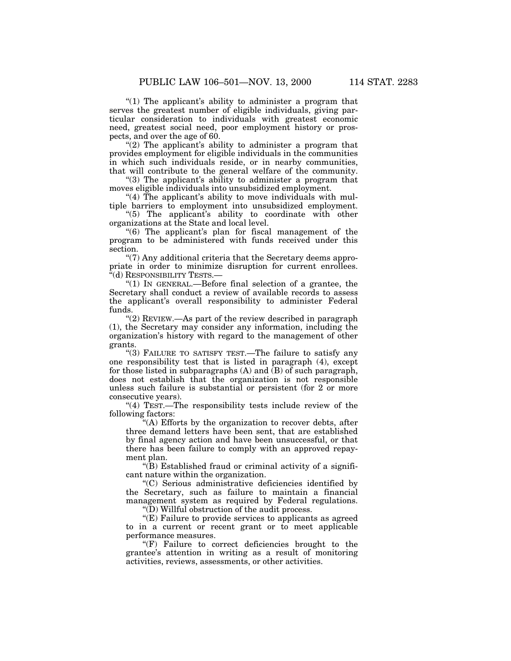" $(1)$  The applicant's ability to administer a program that serves the greatest number of eligible individuals, giving particular consideration to individuals with greatest economic need, greatest social need, poor employment history or prospects, and over the age of 60.

" $(2)$  The applicant's ability to administer a program that provides employment for eligible individuals in the communities in which such individuals reside, or in nearby communities, that will contribute to the general welfare of the community.

" $(3)$  The applicant's ability to administer a program that moves eligible individuals into unsubsidized employment.

" $(4)$  The applicant's ability to move individuals with multiple barriers to employment into unsubsidized employment.

''(5) The applicant's ability to coordinate with other organizations at the State and local level.

''(6) The applicant's plan for fiscal management of the program to be administered with funds received under this section.

''(7) Any additional criteria that the Secretary deems appropriate in order to minimize disruption for current enrollees. ''(d) RESPONSIBILITY TESTS.—

''(1) IN GENERAL.—Before final selection of a grantee, the Secretary shall conduct a review of available records to assess the applicant's overall responsibility to administer Federal funds.

" $(2)$  REVIEW.—As part of the review described in paragraph (1), the Secretary may consider any information, including the organization's history with regard to the management of other grants.

"(3) FAILURE TO SATISFY TEST.—The failure to satisfy any one responsibility test that is listed in paragraph (4), except for those listed in subparagraphs  $(A)$  and  $(B)$  of such paragraph, does not establish that the organization is not responsible unless such failure is substantial or persistent (for 2 or more consecutive years).

''(4) TEST.—The responsibility tests include review of the following factors:

''(A) Efforts by the organization to recover debts, after three demand letters have been sent, that are established by final agency action and have been unsuccessful, or that there has been failure to comply with an approved repayment plan.

''(B) Established fraud or criminal activity of a significant nature within the organization.

''(C) Serious administrative deficiencies identified by the Secretary, such as failure to maintain a financial management system as required by Federal regulations.

''(D) Willful obstruction of the audit process.

''(E) Failure to provide services to applicants as agreed to in a current or recent grant or to meet applicable performance measures.

 $(F)$  Failure to correct deficiencies brought to the grantee's attention in writing as a result of monitoring activities, reviews, assessments, or other activities.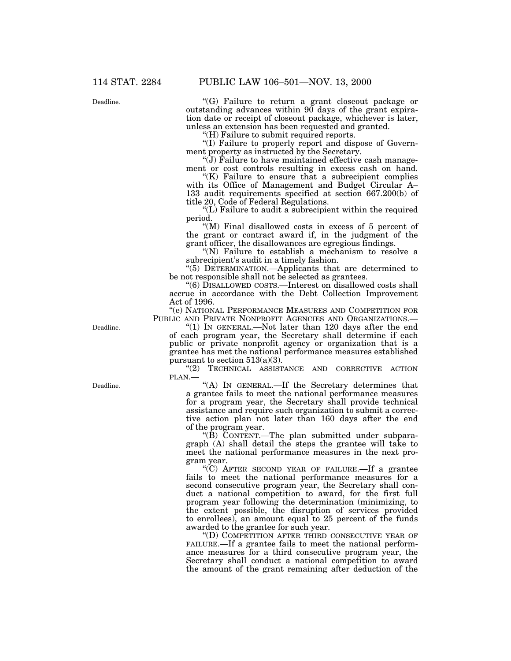Deadline.

''(G) Failure to return a grant closeout package or outstanding advances within  $90$  days of the grant expiration date or receipt of closeout package, whichever is later, unless an extension has been requested and granted.

''(H) Failure to submit required reports.

"(I) Failure to properly report and dispose of Government property as instructed by the Secretary.

''(J) Failure to have maintained effective cash management or cost controls resulting in excess cash on hand.

" $(K)$  Failure to ensure that a subrecipient complies with its Office of Management and Budget Circular A– 133 audit requirements specified at section 667.200(b) of title 20, Code of Federal Regulations.

''(L) Failure to audit a subrecipient within the required period.

''(M) Final disallowed costs in excess of 5 percent of the grant or contract award if, in the judgment of the grant officer, the disallowances are egregious findings.

"(N) Failure to establish a mechanism to resolve a subrecipient's audit in a timely fashion.

''(5) DETERMINATION.—Applicants that are determined to be not responsible shall not be selected as grantees.

''(6) DISALLOWED COSTS.—Interest on disallowed costs shall accrue in accordance with the Debt Collection Improvement Act of 1996.

''(e) NATIONAL PERFORMANCE MEASURES AND COMPETITION FOR PUBLIC AND PRIVATE NONPROFIT AGENCIES AND ORGANIZATIONS.—

"(1) In GENERAL.—Not later than 120 days after the end of each program year, the Secretary shall determine if each public or private nonprofit agency or organization that is a grantee has met the national performance measures established pursuant to section  $513(a)(3)$ .

''(2) TECHNICAL ASSISTANCE AND CORRECTIVE ACTION PLAN.—

"(A) In GENERAL.—If the Secretary determines that a grantee fails to meet the national performance measures for a program year, the Secretary shall provide technical assistance and require such organization to submit a corrective action plan not later than 160 days after the end of the program year.

" $(\dot{B})$  CONTENT.—The plan submitted under subparagraph (A) shall detail the steps the grantee will take to meet the national performance measures in the next program year.

''(C) AFTER SECOND YEAR OF FAILURE.—If a grantee fails to meet the national performance measures for a second consecutive program year, the Secretary shall conduct a national competition to award, for the first full program year following the determination (minimizing, to the extent possible, the disruption of services provided to enrollees), an amount equal to 25 percent of the funds awarded to the grantee for such year.

''(D) COMPETITION AFTER THIRD CONSECUTIVE YEAR OF FAILURE.—If a grantee fails to meet the national performance measures for a third consecutive program year, the Secretary shall conduct a national competition to award the amount of the grant remaining after deduction of the

Deadline.

Deadline.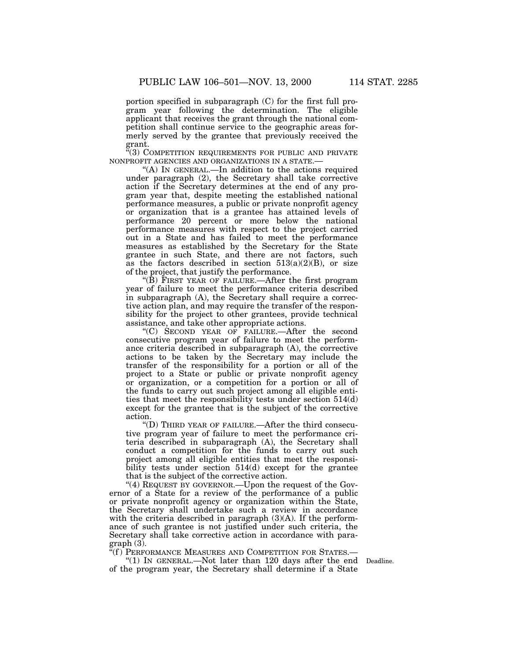portion specified in subparagraph (C) for the first full program year following the determination. The eligible applicant that receives the grant through the national competition shall continue service to the geographic areas formerly served by the grantee that previously received the grant.

''(3) COMPETITION REQUIREMENTS FOR PUBLIC AND PRIVATE NONPROFIT AGENCIES AND ORGANIZATIONS IN A STATE.—

''(A) IN GENERAL.—In addition to the actions required under paragraph (2), the Secretary shall take corrective action if the Secretary determines at the end of any program year that, despite meeting the established national performance measures, a public or private nonprofit agency or organization that is a grantee has attained levels of performance 20 percent or more below the national performance measures with respect to the project carried out in a State and has failed to meet the performance measures as established by the Secretary for the State grantee in such State, and there are not factors, such as the factors described in section  $513(a)(2)(B)$ , or size of the project, that justify the performance.

" $(\hat{B})$  FIRST YEAR OF FAILURE.—After the first program year of failure to meet the performance criteria described in subparagraph (A), the Secretary shall require a corrective action plan, and may require the transfer of the responsibility for the project to other grantees, provide technical assistance, and take other appropriate actions.

''(C) SECOND YEAR OF FAILURE.—After the second consecutive program year of failure to meet the performance criteria described in subparagraph (A), the corrective actions to be taken by the Secretary may include the transfer of the responsibility for a portion or all of the project to a State or public or private nonprofit agency or organization, or a competition for a portion or all of the funds to carry out such project among all eligible entities that meet the responsibility tests under section 514(d) except for the grantee that is the subject of the corrective action.

''(D) THIRD YEAR OF FAILURE.—After the third consecutive program year of failure to meet the performance criteria described in subparagraph (A), the Secretary shall conduct a competition for the funds to carry out such project among all eligible entities that meet the responsibility tests under section 514(d) except for the grantee that is the subject of the corrective action.

"(4) REQUEST BY GOVERNOR.—Upon the request of the Governor of a State for a review of the performance of a public or private nonprofit agency or organization within the State, the Secretary shall undertake such a review in accordance with the criteria described in paragraph (3)(A). If the performance of such grantee is not justified under such criteria, the Secretary shall take corrective action in accordance with para $graph (3)$ .

 $f(f)$  PERFORMANCE MEASURES AND COMPETITION FOR STATES.—

"(1) In GENERAL.—Not later than 120 days after the end Deadline. of the program year, the Secretary shall determine if a State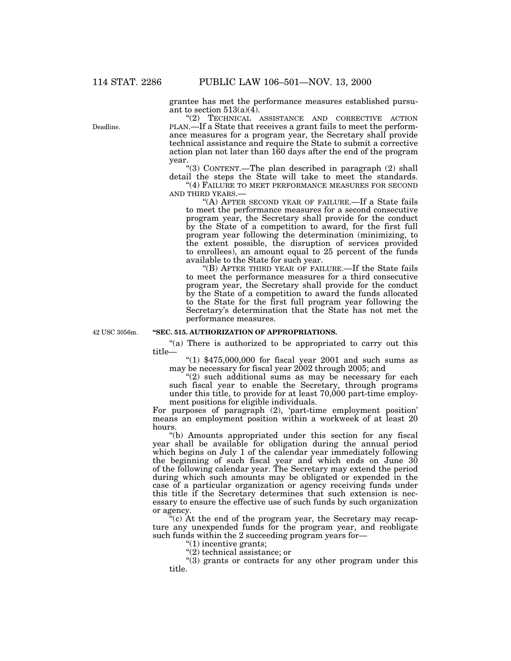grantee has met the performance measures established pursu-<br>ant to section  $513(a)(4)$ .

"(2) TECHNICAL ASSISTANCE AND CORRECTIVE ACTION PLAN.—If a State that receives a grant fails to meet the performance measures for a program year, the Secretary shall provide technical assistance and require the State to submit a corrective action plan not later than 160 days after the end of the program

year.<br>"(3) CONTENT.—The plan described in paragraph (2) shall detail the steps the State will take to meet the standards. "(4) FAILURE TO MEET PERFORMANCE MEASURES FOR SECOND

AND THIRD YEARS.—<br>"(A) AFTER SECOND YEAR OF FAILURE.—If a State fails

to meet the performance measures for a second consecutive program year, the Secretary shall provide for the conduct by the State of a competition to award, for the first full program year following the determination (minimizing, to the extent possible, the disruption of services provided to enrollees), an amount equal to 25 percent of the funds

"(B) AFTER THIRD YEAR OF FAILURE.—If the State fails to meet the performance measures for a third consecutive program year, the Secretary shall provide for the conduct by the State of a competition to award the funds allocated to the State for the first full program year following the Secretary's determination that the State has not met the performance measures.

#### **''SEC. 515. AUTHORIZATION OF APPROPRIATIONS.**

''(a) There is authorized to be appropriated to carry out this title—

" $(1)$  \$475,000,000 for fiscal year 2001 and such sums as may be necessary for fiscal year 2002 through 2005; and

"(2) such additional sums as may be necessary for each such fiscal year to enable the Secretary, through programs under this title, to provide for at least  $70,000$  part-time employment positions for eligible individuals.

For purposes of paragraph (2), 'part-time employment position' means an employment position within a workweek of at least 20 hours.

''(b) Amounts appropriated under this section for any fiscal year shall be available for obligation during the annual period which begins on July 1 of the calendar year immediately following the beginning of such fiscal year and which ends on June 30 of the following calendar year. The Secretary may extend the period during which such amounts may be obligated or expended in the case of a particular organization or agency receiving funds under this title if the Secretary determines that such extension is necessary to ensure the effective use of such funds by such organization or agency.

''(c) At the end of the program year, the Secretary may recapture any unexpended funds for the program year, and reobligate such funds within the 2 succeeding program years for—

''(1) incentive grants;

''(2) technical assistance; or

"(3) grants or contracts for any other program under this title.

42 USC 3056m.

Deadline.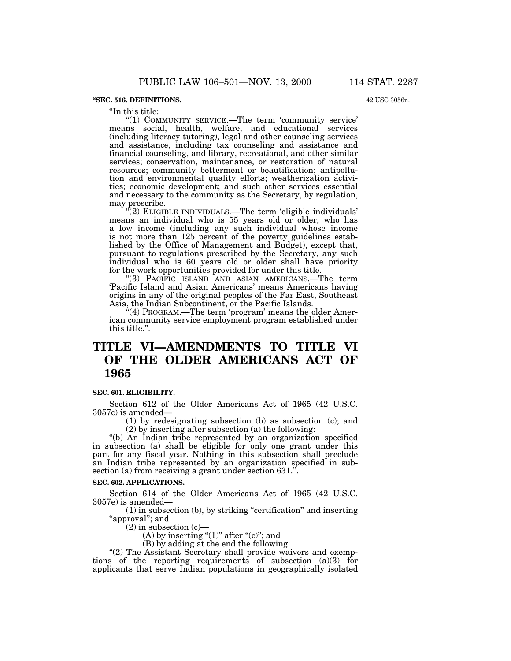### **''SEC. 516. DEFINITIONS.**

"In this title:<br>"(1) COMMUNITY SERVICE.—The term 'community service' means social, health, welfare, and educational services (including literacy tutoring), legal and other counseling services and assistance, including tax counseling and assistance and financial counseling, and library, recreational, and other similar services; conservation, maintenance, or restoration of natural resources; community betterment or beautification; antipollution and environmental quality efforts; weatherization activities; economic development; and such other services essential and necessary to the community as the Secretary, by regulation, may prescribe.

''(2) ELIGIBLE INDIVIDUALS.—The term 'eligible individuals' means an individual who is 55 years old or older, who has a low income (including any such individual whose income is not more than 125 percent of the poverty guidelines established by the Office of Management and Budget), except that, pursuant to regulations prescribed by the Secretary, any such individual who is 60 years old or older shall have priority for the work opportunities provided for under this title.

''(3) PACIFIC ISLAND AND ASIAN AMERICANS.—The term 'Pacific Island and Asian Americans' means Americans having origins in any of the original peoples of the Far East, Southeast Asia, the Indian Subcontinent, or the Pacific Islands.

 $H^4(4)$  PROGRAM.—The term 'program' means the older American community service employment program established under this title.''.

# **TITLE VI—AMENDMENTS TO TITLE VI OF THE OLDER AMERICANS ACT OF 1965**

#### **SEC. 601. ELIGIBILITY.**

Section 612 of the Older Americans Act of 1965 (42 U.S.C. 3057c) is amended—

(1) by redesignating subsection (b) as subsection (c); and (2) by inserting after subsection (a) the following:

''(b) An Indian tribe represented by an organization specified in subsection (a) shall be eligible for only one grant under this part for any fiscal year. Nothing in this subsection shall preclude an Indian tribe represented by an organization specified in subsection (a) from receiving a grant under section 631.''.

# **SEC. 602. APPLICATIONS.**

Section 614 of the Older Americans Act of 1965 (42 U.S.C. 3057e) is amended—

(1) in subsection (b), by striking ''certification'' and inserting "approval"; and

 $(2)$  in subsection  $(c)$ —

(A) by inserting " $(1)$ " after " $(c)$ "; and

(B) by adding at the end the following:

"(2) The Assistant Secretary shall provide waivers and exemptions of the reporting requirements of subsection (a)(3) for applicants that serve Indian populations in geographically isolated

42 USC 3056n.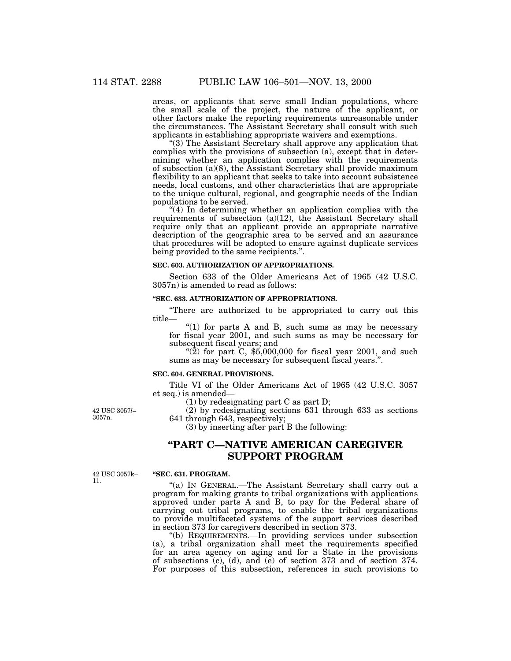areas, or applicants that serve small Indian populations, where the small scale of the project, the nature of the applicant, or other factors make the reporting requirements unreasonable under the circumstances. The Assistant Secretary shall consult with such applicants in establishing appropriate waivers and exemptions.

''(3) The Assistant Secretary shall approve any application that complies with the provisions of subsection (a), except that in determining whether an application complies with the requirements of subsection (a)(8), the Assistant Secretary shall provide maximum flexibility to an applicant that seeks to take into account subsistence needs, local customs, and other characteristics that are appropriate to the unique cultural, regional, and geographic needs of the Indian populations to be served.

"(4) In determining whether an application complies with the requirements of subsection (a)(12), the Assistant Secretary shall require only that an applicant provide an appropriate narrative description of the geographic area to be served and an assurance that procedures will be adopted to ensure against duplicate services being provided to the same recipients.''.

### **SEC. 603. AUTHORIZATION OF APPROPRIATIONS.**

Section 633 of the Older Americans Act of 1965 (42 U.S.C. 3057n) is amended to read as follows:

### **''SEC. 633. AUTHORIZATION OF APPROPRIATIONS.**

''There are authorized to be appropriated to carry out this title—

" $(1)$  for parts A and B, such sums as may be necessary for fiscal year 2001, and such sums as may be necessary for subsequent fiscal years; and

" $(2)$  for part C, \$5,000,000 for fiscal year 2001, and such sums as may be necessary for subsequent fiscal years.''.

#### **SEC. 604. GENERAL PROVISIONS.**

Title VI of the Older Americans Act of 1965 (42 U.S.C. 3057 et seq.) is amended—

(1) by redesignating part C as part D;

(2) by redesignating sections 631 through 633 as sections 641 through 643, respectively;

(3) by inserting after part B the following:

# **''PART C—NATIVE AMERICAN CAREGIVER SUPPORT PROGRAM**

42 USC 3057k– 11.

42 USC 3057*l*– 3057n.

# **''SEC. 631. PROGRAM.**

''(a) IN GENERAL.—The Assistant Secretary shall carry out a program for making grants to tribal organizations with applications approved under parts A and B, to pay for the Federal share of carrying out tribal programs, to enable the tribal organizations to provide multifaceted systems of the support services described in section 373 for caregivers described in section 373.

''(b) REQUIREMENTS.—In providing services under subsection (a), a tribal organization shall meet the requirements specified for an area agency on aging and for a State in the provisions of subsections (c), (d), and (e) of section 373 and of section 374. For purposes of this subsection, references in such provisions to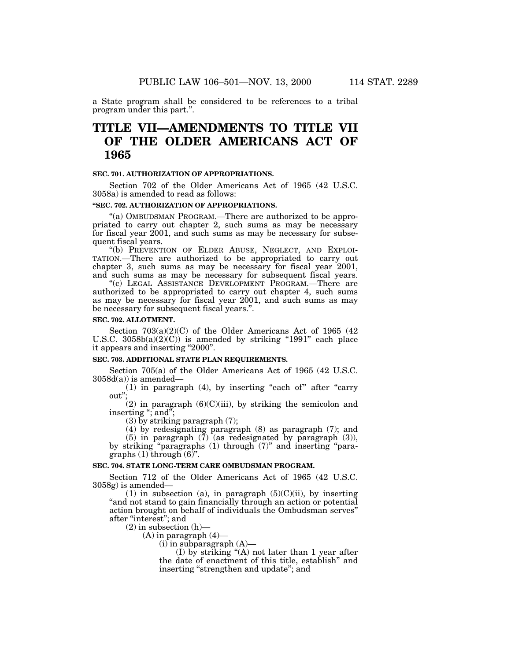a State program shall be considered to be references to a tribal program under this part.''.

# **TITLE VII—AMENDMENTS TO TITLE VII OF THE OLDER AMERICANS ACT OF 1965**

## **SEC. 701. AUTHORIZATION OF APPROPRIATIONS.**

Section 702 of the Older Americans Act of 1965 (42 U.S.C. 3058a) is amended to read as follows:

# **''SEC. 702. AUTHORIZATION OF APPROPRIATIONS.**

"(a) OMBUDSMAN PROGRAM.—There are authorized to be appropriated to carry out chapter 2, such sums as may be necessary for fiscal year 2001, and such sums as may be necessary for subsequent fiscal years.

''(b) PREVENTION OF ELDER ABUSE, NEGLECT, AND EXPLOI-TATION.—There are authorized to be appropriated to carry out chapter 3, such sums as may be necessary for fiscal year 2001, and such sums as may be necessary for subsequent fiscal years.

"(c) LEGAL ASSISTANCE DEVELOPMENT PROGRAM.—There are authorized to be appropriated to carry out chapter 4, such sums as may be necessary for fiscal year 2001, and such sums as may be necessary for subsequent fiscal years.''.

### **SEC. 702. ALLOTMENT.**

Section 703(a)(2)(C) of the Older Americans Act of 1965 (42 U.S.C.  $3058b(a)(2)(C)$  is amended by striking "1991" each place it appears and inserting ''2000''.

### **SEC. 703. ADDITIONAL STATE PLAN REQUIREMENTS.**

Section 705(a) of the Older Americans Act of 1965 (42 U.S.C.  $3058d(a)$  is amended–

 $(1)$  in paragraph (4), by inserting "each of" after "carry out'';

 $(2)$  in paragraph  $(6)(C)(iii)$ , by striking the semicolon and inserting "; and";

(3) by striking paragraph (7);

(4) by redesignating paragraph (8) as paragraph (7); and

(5) in paragraph (7) (as redesignated by paragraph (3)), by striking ''paragraphs (1) through (7)'' and inserting ''para $graphs(1)$  through  $(6)$ ".

### **SEC. 704. STATE LONG-TERM CARE OMBUDSMAN PROGRAM.**

Section 712 of the Older Americans Act of 1965 (42 U.S.C. 3058g) is amended—

 $(1)$  in subsection (a), in paragraph  $(5)(C)(ii)$ , by inserting "and not stand to gain financially through an action or potential action brought on behalf of individuals the Ombudsman serves'' after ''interest''; and

 $(2)$  in subsection  $(h)$ —

(A) in paragraph (4)—

 $(i)$  in subparagraph  $(A)$ —

(I) by striking " $(A)$  not later than 1 year after the date of enactment of this title, establish'' and inserting ''strengthen and update''; and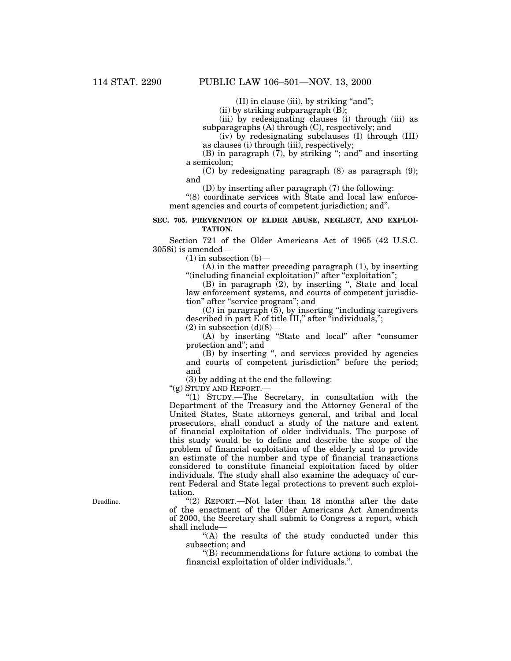$(II)$  in clause (iii), by striking "and";

(ii) by striking subparagraph (B);

(iii) by redesignating clauses (i) through (iii) as subparagraphs (A) through (C), respectively; and

(iv) by redesignating subclauses (I) through (III) as clauses (i) through (iii), respectively;

(B) in paragraph (7), by striking ''; and'' and inserting a semicolon;

(C) by redesignating paragraph (8) as paragraph (9); and

(D) by inserting after paragraph (7) the following:

''(8) coordinate services with State and local law enforcement agencies and courts of competent jurisdiction; and''.

## **SEC. 705. PREVENTION OF ELDER ABUSE, NEGLECT, AND EXPLOI-TATION.**

Section 721 of the Older Americans Act of 1965 (42 U.S.C. 3058i) is amended—

 $(1)$  in subsection  $(b)$ —

(A) in the matter preceding paragraph (1), by inserting "(including financial exploitation)" after "exploitation";

 $(B)$  in paragraph  $(2)$ , by inserting ", State and local law enforcement systems, and courts of competent jurisdiction'' after ''service program''; and

(C) in paragraph (5), by inserting ''including caregivers described in part E of title III," after "individuals,";

 $(2)$  in subsection  $(d)(8)$ —

(A) by inserting ''State and local'' after ''consumer protection and''; and

(B) by inserting '', and services provided by agencies and courts of competent jurisdiction'' before the period; and

(3) by adding at the end the following:

''(g) STUDY AND REPORT.—

''(1) STUDY.—The Secretary, in consultation with the Department of the Treasury and the Attorney General of the United States, State attorneys general, and tribal and local prosecutors, shall conduct a study of the nature and extent of financial exploitation of older individuals. The purpose of this study would be to define and describe the scope of the problem of financial exploitation of the elderly and to provide an estimate of the number and type of financial transactions considered to constitute financial exploitation faced by older individuals. The study shall also examine the adequacy of current Federal and State legal protections to prevent such exploitation.

''(2) REPORT.—Not later than 18 months after the date of the enactment of the Older Americans Act Amendments of 2000, the Secretary shall submit to Congress a report, which shall include—

"(A) the results of the study conducted under this subsection; and

''(B) recommendations for future actions to combat the financial exploitation of older individuals.''.

Deadline.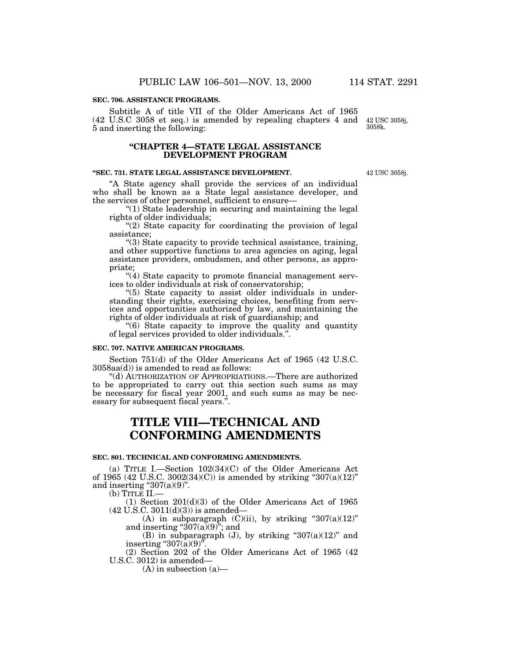# **SEC. 706. ASSISTANCE PROGRAMS.**

Subtitle A of title VII of the Older Americans Act of 1965 (42 U.S.C 3058 et seq.) is amended by repealing chapters 4 and 5 and inserting the following:

# **''CHAPTER 4—STATE LEGAL ASSISTANCE DEVELOPMENT PROGRAM**

## **''SEC. 731. STATE LEGAL ASSISTANCE DEVELOPMENT.**

''A State agency shall provide the services of an individual who shall be known as a State legal assistance developer, and the services of other personnel, sufficient to ensure-

''(1) State leadership in securing and maintaining the legal rights of older individuals;

"(2) State capacity for coordinating the provision of legal assistance;

''(3) State capacity to provide technical assistance, training, and other supportive functions to area agencies on aging, legal assistance providers, ombudsmen, and other persons, as appropriate;

''(4) State capacity to promote financial management services to older individuals at risk of conservatorship;

''(5) State capacity to assist older individuals in understanding their rights, exercising choices, benefiting from services and opportunities authorized by law, and maintaining the rights of older individuals at risk of guardianship; and

''(6) State capacity to improve the quality and quantity of legal services provided to older individuals.''.

### **SEC. 707. NATIVE AMERICAN PROGRAMS.**

Section 751(d) of the Older Americans Act of 1965 (42 U.S.C. 3058aa(d)) is amended to read as follows:

"(d) AUTHORIZATION OF APPROPRIATIONS.—There are authorized to be appropriated to carry out this section such sums as may be necessary for fiscal year 2001, and such sums as may be necessary for subsequent fiscal years.''.

# **TITLE VIII—TECHNICAL AND CONFORMING AMENDMENTS**

### **SEC. 801. TECHNICAL AND CONFORMING AMENDMENTS.**

(a) TITLE I.—Section 102(34)(C) of the Older Americans Act of 1965 (42 U.S.C. 3002(34)(C)) is amended by striking "307(a)(12)" and inserting " $307(a)(9)$ ".

 $(b)$  TITLE II.

(1) Section 201(d)(3) of the Older Americans Act of 1965  $(42 \text{ U.S.C. } 3011(d)(3))$  is amended–

(A) in subparagraph (C)(ii), by striking "307(a)(12)" and inserting "307(a)(9)"; and

(B) in subparagraph (J), by striking " $307(a)(12)$ " and inserting " $307(a)(9)$ "

(2) Section 202 of the Older Americans Act of 1965 (42 U.S.C. 3012) is amended—

 $(A)$  in subsection  $(a)$ —

42 USC 3058j, 3058k.

42 USC 3058j.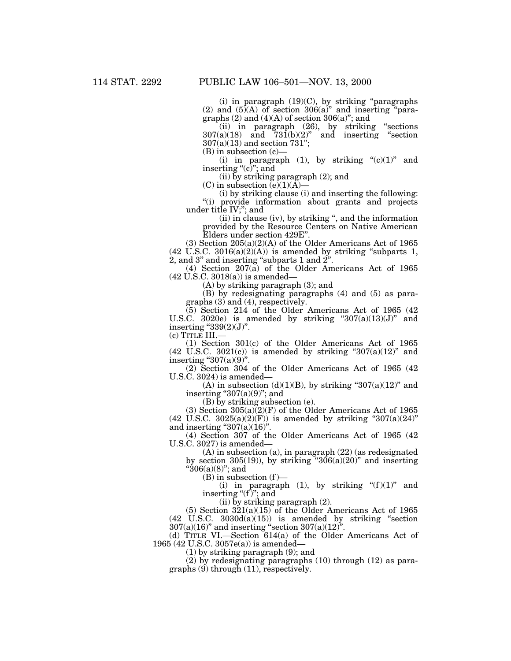(i) in paragraph (19)(C), by striking ''paragraphs (2) and  $(5)(A)$  of section  $306(a)$ " and inserting "paragraphs  $(2)$  and  $(4)(A)$  of section  $306(a)$ "; and

(ii) in paragraph (26), by striking ''sections  $307(a)(18)$  and  $731(b)(2)$ " and inserting "section 307(a)(13) and section 731'';

(B) in subsection (c)—

(i) in paragraph (1), by striking " $(c)(1)$ " and inserting " $(c)$ "; and

(ii) by striking paragraph (2); and

(C) in subsection  $(e)(1)(\overline{A})-$ 

(i) by striking clause (i) and inserting the following: "(i) provide information about grants and projects under title IV;''; and

(ii) in clause (iv), by striking '', and the information provided by the Resource Centers on Native American Elders under section 429E''.

(3) Section 205(a)(2)(A) of the Older Americans Act of 1965  $(42 \text{ U.S.C. } 3016(a)(2)(\text{A}))$  is amended by striking "subparts 1, 2, and 3'' and inserting ''subparts 1 and 2''.

(4) Section 207(a) of the Older Americans Act of 1965 (42 U.S.C. 3018(a)) is amended—

(A) by striking paragraph (3); and

(B) by redesignating paragraphs (4) and (5) as paragraphs (3) and (4), respectively.

(5) Section 214 of the Older Americans Act of 1965 (42 U.S.C. 3020e) is amended by striking " $307(a)(13)(J)$ " and inserting " $339(2)(J)$ ".

 $(c)$  TITLE  $III$ .

(1) Section 301(c) of the Older Americans Act of 1965  $(42 \text{ U.S.C. } 3021(c))$  is amended by striking " $307(a)(12)$ " and inserting " $307(a)(9)$ ".

(2) Section 304 of the Older Americans Act of 1965 (42 U.S.C. 3024) is amended—

(A) in subsection (d)(1)(B), by striking "307(a)(12)" and inserting " $307(a)(9)$ "; and

(B) by striking subsection (e).

(3) Section  $305(a)\bar{2}(F)$  of the Older Americans Act of 1965  $(42 \text{ U.S.C. } 3025(a)(2)(F))$  is amended by striking "307(a)(24)" and inserting " $307(a)(16)$ ".

(4) Section 307 of the Older Americans Act of 1965 (42 U.S.C. 3027) is amended—

(A) in subsection (a), in paragraph (22) (as redesignated by section 305(19)), by striking " $306(a)(20)$ " and inserting " $306(a)(8)$ "; and

 $(B)$  in subsection  $(f)$ —

(i) in paragraph (1), by striking " $(f)(1)$ " and inserting " $(f)$ "; and

(ii) by striking paragraph (2).

 $(5)$  Section  $321(a)(15)$  of the Older Americans Act of 1965  $(42 \text{ U.S.C. } 3030d(a)(15))$  is amended by striking "section  $307(a)(16)$ " and inserting "section  $307(a)(12)$ ".

(d) TITLE VI.—Section 614(a) of the Older Americans Act of 1965 (42 U.S.C. 3057e(a)) is amended—

(1) by striking paragraph (9); and

(2) by redesignating paragraphs (10) through (12) as paragraphs  $(9)$  through  $(11)$ , respectively.